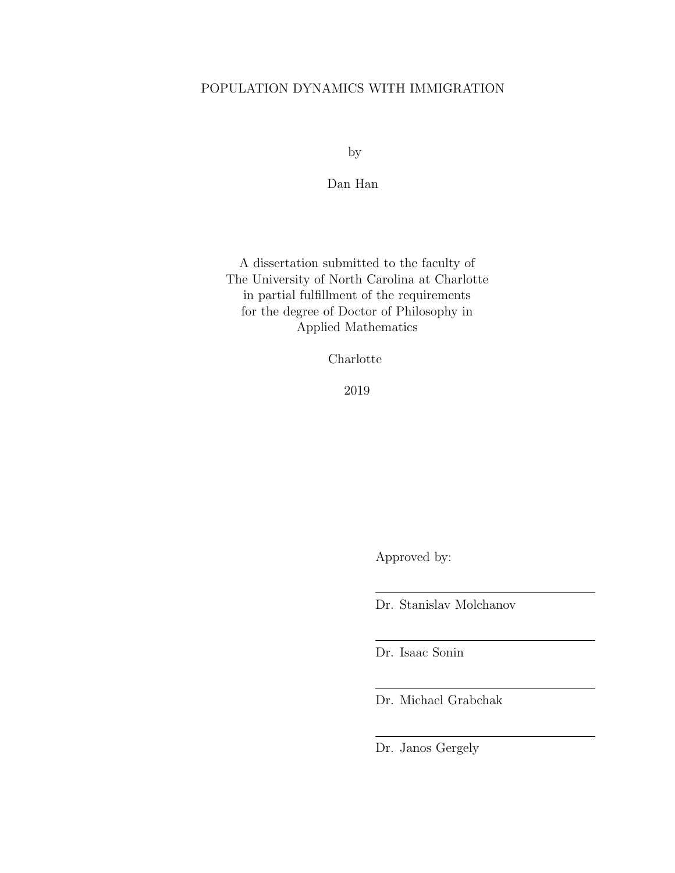# POPULATION DYNAMICS WITH IMMIGRATION

by

Dan Han

A dissertation submitted to the faculty of The University of North Carolina at Charlotte in partial fulfillment of the requirements for the degree of Doctor of Philosophy in Applied Mathematics

Charlotte

2019

Approved by:

Dr. Stanislav Molchanov

Dr. Isaac Sonin

Dr. Michael Grabchak

Dr. Janos Gergely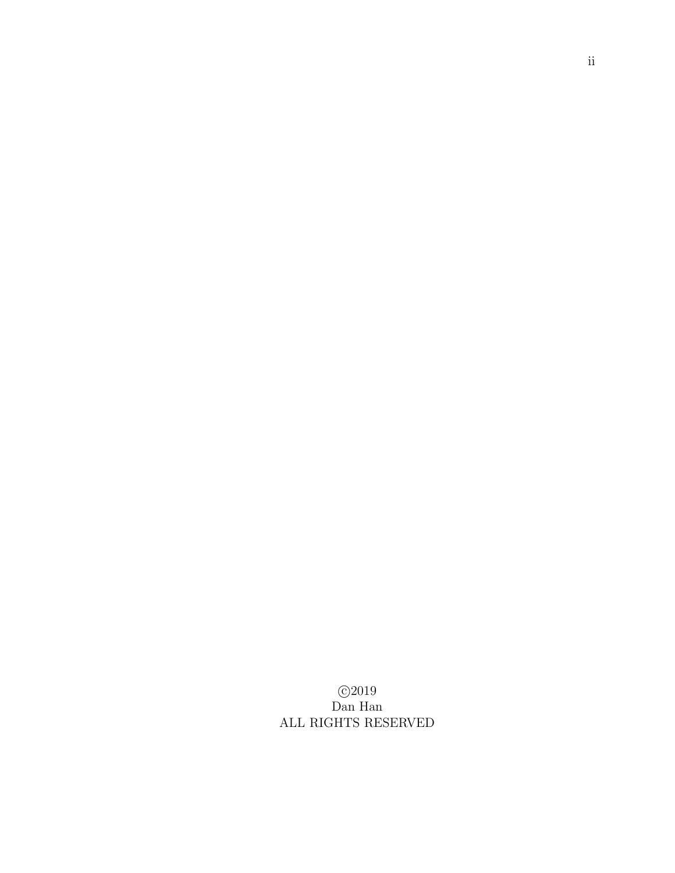c 2019 Dan Han ALL RIGHTS RESERVED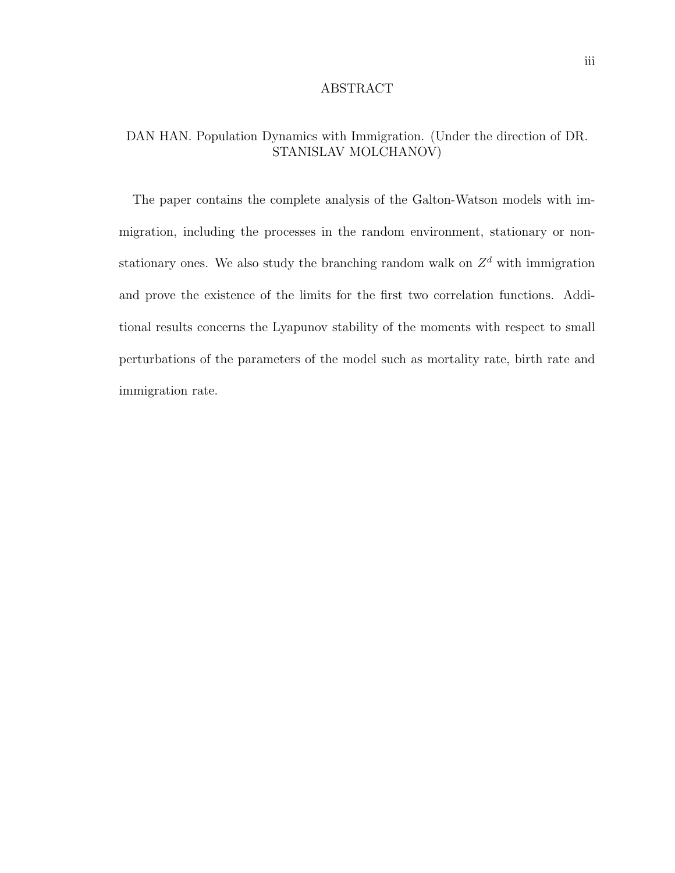### ABSTRACT

# DAN HAN. Population Dynamics with Immigration. (Under the direction of DR. STANISLAV MOLCHANOV)

The paper contains the complete analysis of the Galton-Watson models with immigration, including the processes in the random environment, stationary or nonstationary ones. We also study the branching random walk on  $Z<sup>d</sup>$  with immigration and prove the existence of the limits for the first two correlation functions. Additional results concerns the Lyapunov stability of the moments with respect to small perturbations of the parameters of the model such as mortality rate, birth rate and immigration rate.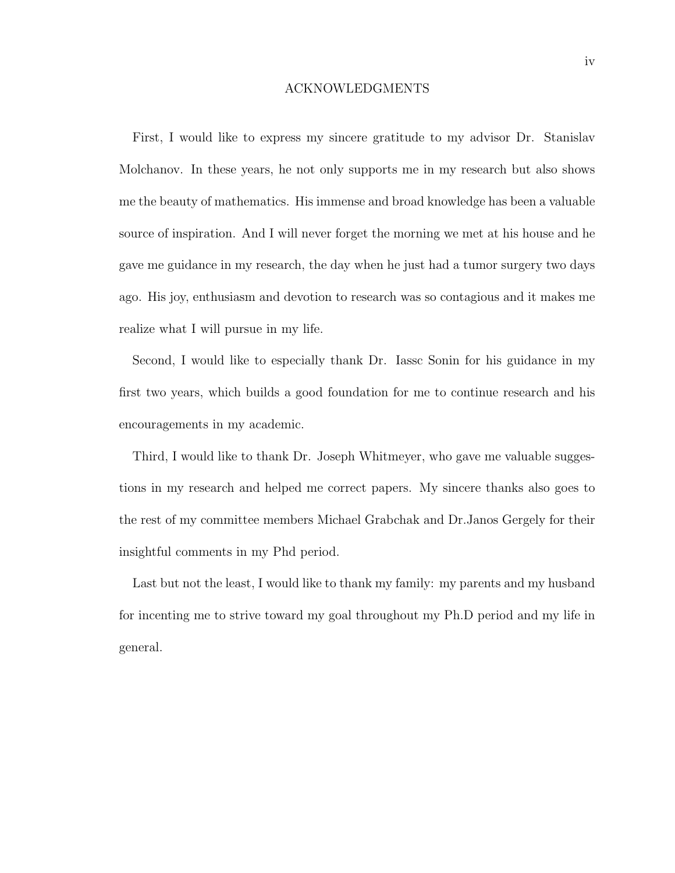### ACKNOWLEDGMENTS

First, I would like to express my sincere gratitude to my advisor Dr. Stanislav Molchanov. In these years, he not only supports me in my research but also shows me the beauty of mathematics. His immense and broad knowledge has been a valuable source of inspiration. And I will never forget the morning we met at his house and he gave me guidance in my research, the day when he just had a tumor surgery two days ago. His joy, enthusiasm and devotion to research was so contagious and it makes me realize what I will pursue in my life.

Second, I would like to especially thank Dr. Iassc Sonin for his guidance in my first two years, which builds a good foundation for me to continue research and his encouragements in my academic.

Third, I would like to thank Dr. Joseph Whitmeyer, who gave me valuable suggestions in my research and helped me correct papers. My sincere thanks also goes to the rest of my committee members Michael Grabchak and Dr.Janos Gergely for their insightful comments in my Phd period.

Last but not the least, I would like to thank my family: my parents and my husband for incenting me to strive toward my goal throughout my Ph.D period and my life in general.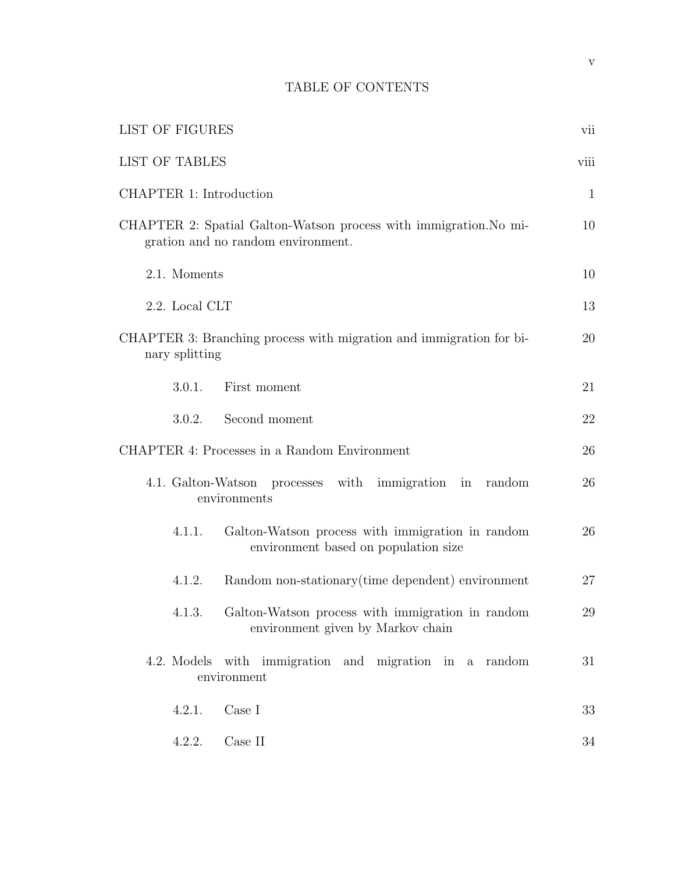# TABLE OF CONTENTS

| LIST OF FIGURES                                                                                         |              |  |  |  |  |
|---------------------------------------------------------------------------------------------------------|--------------|--|--|--|--|
| <b>LIST OF TABLES</b>                                                                                   |              |  |  |  |  |
| CHAPTER 1: Introduction                                                                                 | $\mathbf{1}$ |  |  |  |  |
| CHAPTER 2: Spatial Galton-Watson process with immigration. No mi-<br>gration and no random environment. | 10           |  |  |  |  |
| 2.1. Moments                                                                                            | 10           |  |  |  |  |
| 2.2. Local CLT                                                                                          | 13           |  |  |  |  |
| CHAPTER 3: Branching process with migration and immigration for bi-<br>nary splitting                   | 20           |  |  |  |  |
| 3.0.1.<br>First moment                                                                                  | 21           |  |  |  |  |
| Second moment<br>3.0.2.                                                                                 | 22           |  |  |  |  |
| CHAPTER 4: Processes in a Random Environment                                                            | 26           |  |  |  |  |
| 4.1. Galton-Watson<br>with<br>processes<br>immigration in random<br>environments                        | 26           |  |  |  |  |
| Galton-Watson process with immigration in random<br>4.1.1.<br>environment based on population size      |              |  |  |  |  |
| Random non-stationary (time dependent) environment<br>4.1.2.                                            | 27           |  |  |  |  |
| Galton-Watson process with immigration in random<br>4.1.3.<br>environment given by Markov chain         | 29           |  |  |  |  |
| 4.2. Models with immigration and migration in a random<br>environment                                   | 31           |  |  |  |  |
| Case I<br>4.2.1.                                                                                        | 33           |  |  |  |  |
| 4.2.2.<br>Case II                                                                                       | 34           |  |  |  |  |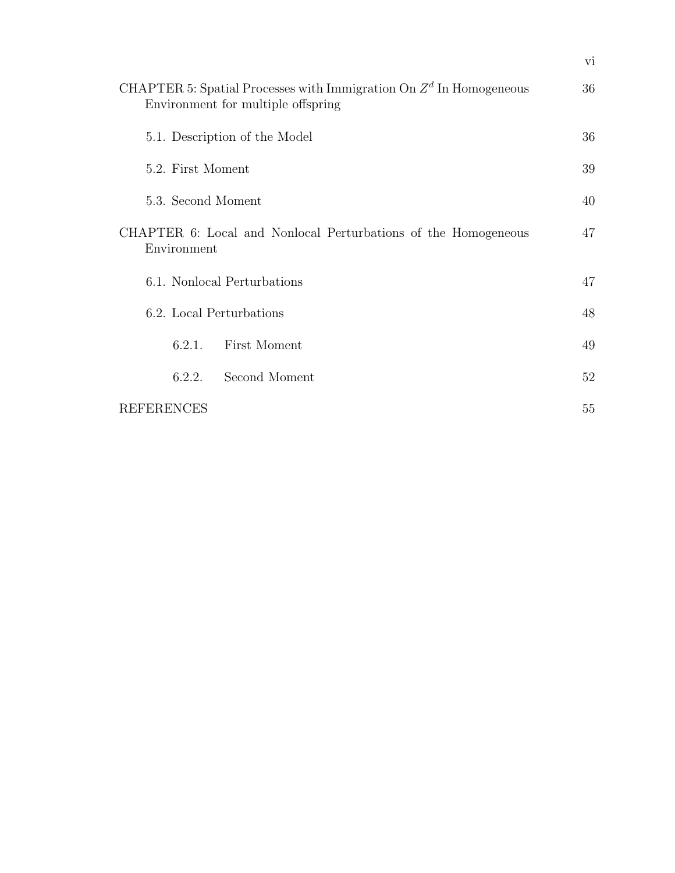| CHAPTER 5: Spatial Processes with Immigration On $Zd$ In Homogeneous<br>Environment for multiple offspring |               |    |  |  |
|------------------------------------------------------------------------------------------------------------|---------------|----|--|--|
| 5.1. Description of the Model                                                                              |               |    |  |  |
| 5.2. First Moment                                                                                          |               |    |  |  |
| 5.3. Second Moment                                                                                         |               |    |  |  |
| CHAPTER 6: Local and Nonlocal Perturbations of the Homogeneous<br>Environment                              |               |    |  |  |
| 6.1. Nonlocal Perturbations                                                                                |               |    |  |  |
| 6.2. Local Perturbations                                                                                   |               |    |  |  |
| 6.2.1.                                                                                                     | First Moment  | 49 |  |  |
| 6.2.2.                                                                                                     | Second Moment | 52 |  |  |
| <b>REFERENCES</b>                                                                                          |               | 55 |  |  |

vi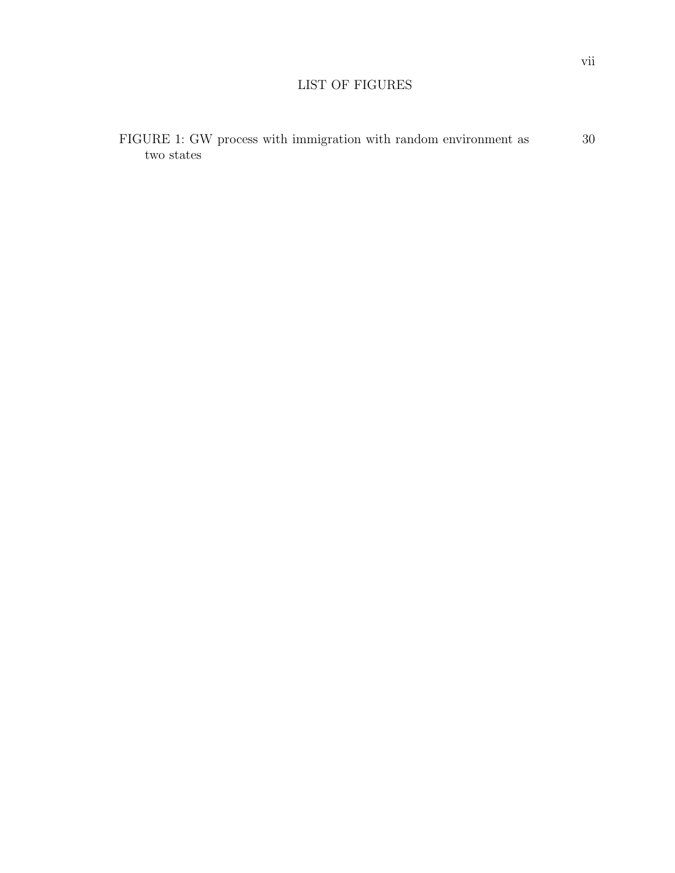# LIST OF FIGURES

| FIGURE 1: GW process with immigration with random environment as |  |  | 30 |
|------------------------------------------------------------------|--|--|----|
| two states                                                       |  |  |    |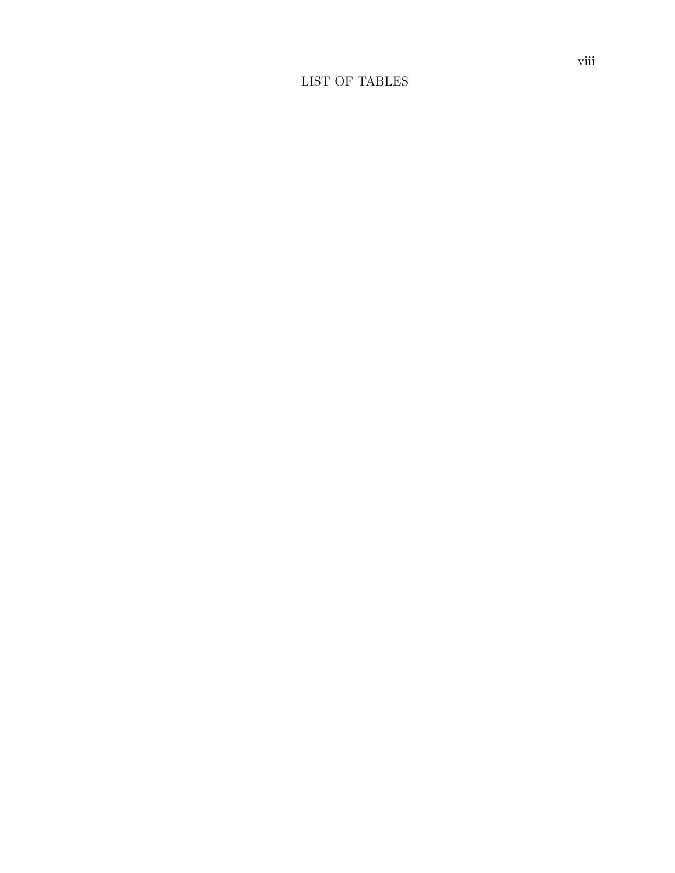# LIST OF TABLES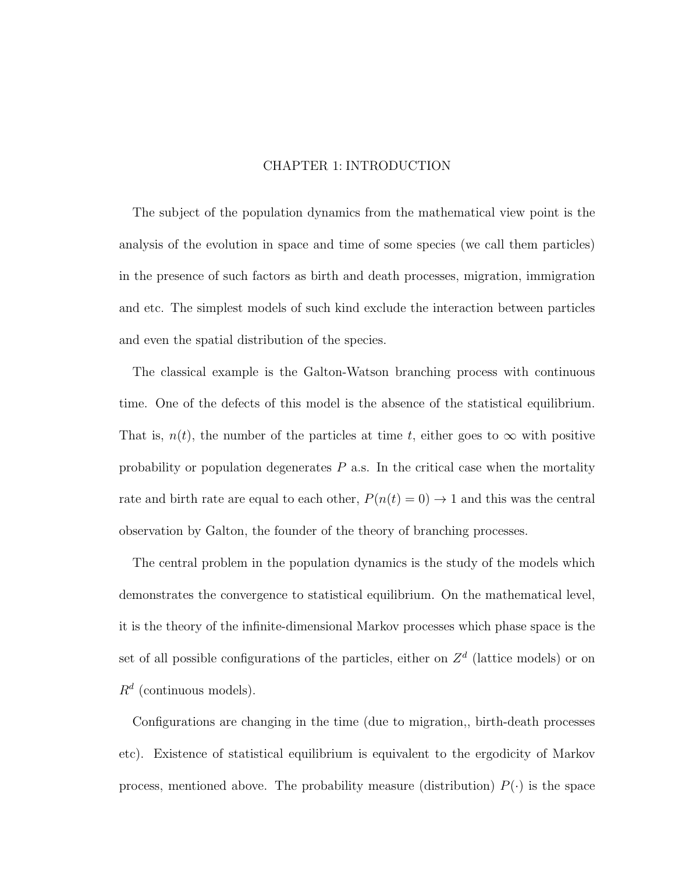### CHAPTER 1: INTRODUCTION

The subject of the population dynamics from the mathematical view point is the analysis of the evolution in space and time of some species (we call them particles) in the presence of such factors as birth and death processes, migration, immigration and etc. The simplest models of such kind exclude the interaction between particles and even the spatial distribution of the species.

The classical example is the Galton-Watson branching process with continuous time. One of the defects of this model is the absence of the statistical equilibrium. That is,  $n(t)$ , the number of the particles at time t, either goes to  $\infty$  with positive probability or population degenerates  $P$  a.s. In the critical case when the mortality rate and birth rate are equal to each other,  $P(n(t) = 0) \rightarrow 1$  and this was the central observation by Galton, the founder of the theory of branching processes.

The central problem in the population dynamics is the study of the models which demonstrates the convergence to statistical equilibrium. On the mathematical level, it is the theory of the infinite-dimensional Markov processes which phase space is the set of all possible configurations of the particles, either on  $Z<sup>d</sup>$  (lattice models) or on  $R^d$  (continuous models).

Configurations are changing in the time (due to migration,, birth-death processes etc). Existence of statistical equilibrium is equivalent to the ergodicity of Markov process, mentioned above. The probability measure (distribution)  $P(\cdot)$  is the space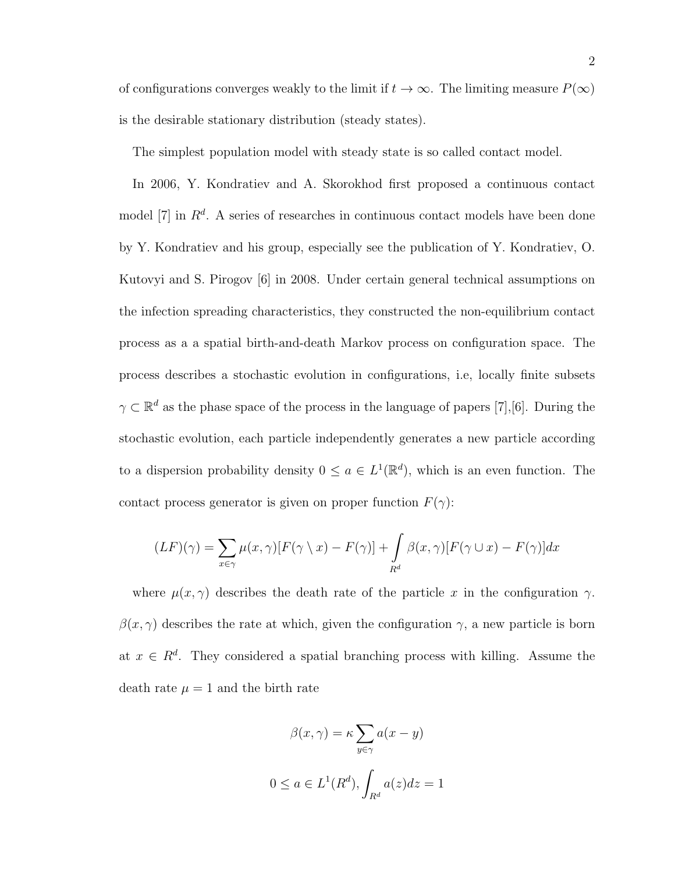of configurations converges weakly to the limit if  $t\to\infty.$  The limiting measure  $P(\infty)$ is the desirable stationary distribution (steady states).

The simplest population model with steady state is so called contact model.

In 2006, Y. Kondratiev and A. Skorokhod first proposed a continuous contact model [7] in  $\mathbb{R}^d$ . A series of researches in continuous contact models have been done by Y. Kondratiev and his group, especially see the publication of Y. Kondratiev, O. Kutovyi and S. Pirogov [6] in 2008. Under certain general technical assumptions on the infection spreading characteristics, they constructed the non-equilibrium contact process as a a spatial birth-and-death Markov process on configuration space. The process describes a stochastic evolution in configurations, i.e, locally finite subsets  $\gamma \subset \mathbb{R}^d$  as the phase space of the process in the language of papers [7], [6]. During the stochastic evolution, each particle independently generates a new particle according to a dispersion probability density  $0 \le a \in L^1(\mathbb{R}^d)$ , which is an even function. The contact process generator is given on proper function  $F(\gamma)$ :

$$
(LF)(\gamma) = \sum_{x \in \gamma} \mu(x, \gamma) [F(\gamma \setminus x) - F(\gamma)] + \int_{R^d} \beta(x, \gamma) [F(\gamma \cup x) - F(\gamma)] dx
$$

where  $\mu(x, \gamma)$  describes the death rate of the particle x in the configuration  $\gamma$ .  $\beta(x, \gamma)$  describes the rate at which, given the configuration  $\gamma$ , a new particle is born at  $x \in \mathbb{R}^d$ . They considered a spatial branching process with killing. Assume the death rate  $\mu = 1$  and the birth rate

$$
\beta(x,\gamma) = \kappa \sum_{y \in \gamma} a(x - y)
$$

$$
0 \le a \in L^1(R^d), \int_{R^d} a(z) dz = 1
$$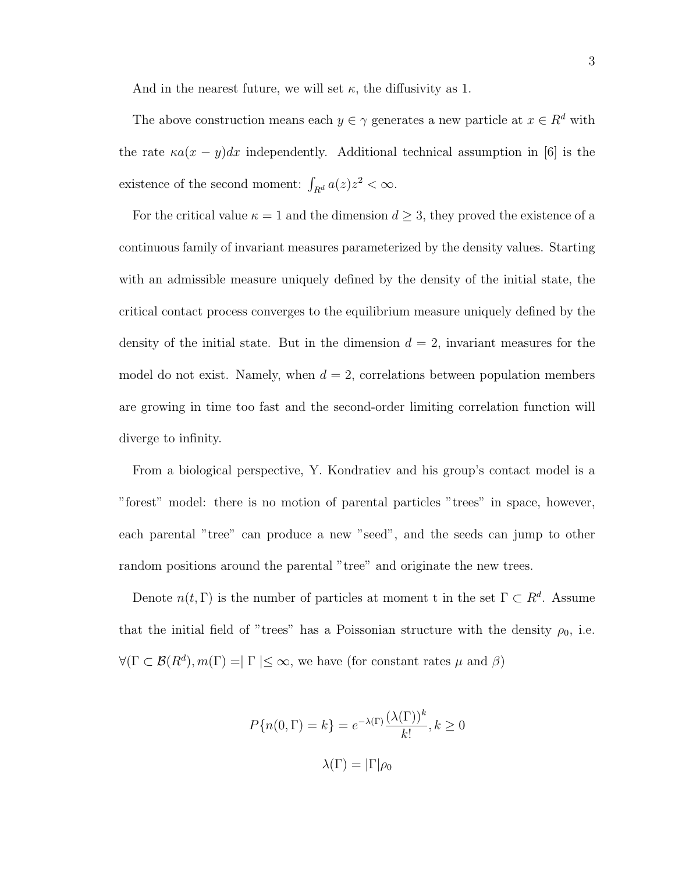And in the nearest future, we will set  $\kappa$ , the diffusivity as 1.

The above construction means each  $y \in \gamma$  generates a new particle at  $x \in R^d$  with the rate  $\kappa a(x-y)dx$  independently. Additional technical assumption in [6] is the existence of the second moment:  $\int_{R^d} a(z) z^2 < \infty$ .

For the critical value  $\kappa = 1$  and the dimension  $d \geq 3$ , they proved the existence of a continuous family of invariant measures parameterized by the density values. Starting with an admissible measure uniquely defined by the density of the initial state, the critical contact process converges to the equilibrium measure uniquely defined by the density of the initial state. But in the dimension  $d = 2$ , invariant measures for the model do not exist. Namely, when  $d = 2$ , correlations between population members are growing in time too fast and the second-order limiting correlation function will diverge to infinity.

From a biological perspective, Y. Kondratiev and his group's contact model is a "forest" model: there is no motion of parental particles "trees" in space, however, each parental "tree" can produce a new "seed", and the seeds can jump to other random positions around the parental "tree" and originate the new trees.

Denote  $n(t, \Gamma)$  is the number of particles at moment t in the set  $\Gamma \subset R^d$ . Assume that the initial field of "trees" has a Poissonian structure with the density  $\rho_0$ , i.e.  $\forall (\Gamma \subset \mathcal{B}(R^d), m(\Gamma) = \Gamma \leq \infty$ , we have (for constant rates  $\mu$  and  $\beta$ )

$$
P\{n(0,\Gamma) = k\} = e^{-\lambda(\Gamma)} \frac{(\lambda(\Gamma))^k}{k!}, k \ge 0
$$

$$
\lambda(\Gamma) = |\Gamma|\rho_0
$$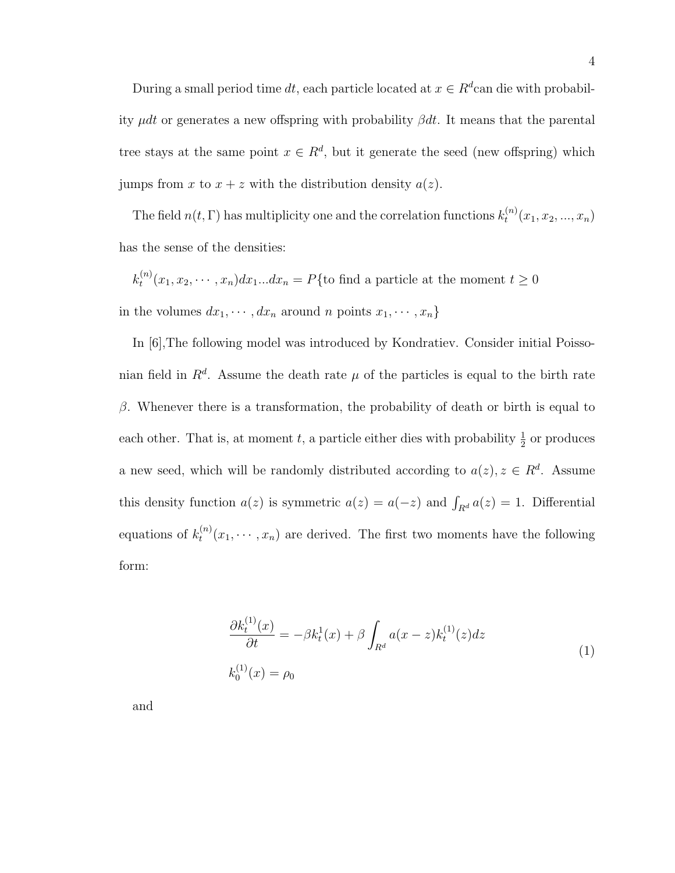During a small period time dt, each particle located at  $x \in R^d$ can die with probability  $\mu dt$  or generates a new offspring with probability  $\beta dt$ . It means that the parental tree stays at the same point  $x \in R^d$ , but it generate the seed (new offspring) which jumps from x to  $x + z$  with the distribution density  $a(z)$ .

The field  $n(t, \Gamma)$  has multiplicity one and the correlation functions  $k_t^{(n)}$  $t^{(n)}(x_1, x_2, ..., x_n)$ has the sense of the densities:

$$
k_t^{(n)}(x_1, x_2, \cdots, x_n) dx_1...dx_n = P\{\text{to find a particle at the moment } t \ge 0
$$
  
in the volumes  $dx_1, \cdots, dx_n$  around *n* points  $x_1, \cdots, x_n\}$ 

In [6],The following model was introduced by Kondratiev. Consider initial Poissonian field in  $R^d$ . Assume the death rate  $\mu$  of the particles is equal to the birth rate β. Whenever there is a transformation, the probability of death or birth is equal to each other. That is, at moment t, a particle either dies with probability  $\frac{1}{2}$  or produces a new seed, which will be randomly distributed according to  $a(z)$ ,  $z \in R<sup>d</sup>$ . Assume this density function  $a(z)$  is symmetric  $a(z) = a(-z)$  and  $\int_{R^d} a(z) = 1$ . Differential equations of  $k_t^{(n)}$  $t^{(n)}(x_1,\dots,x_n)$  are derived. The first two moments have the following form:

$$
\frac{\partial k_t^{(1)}(x)}{\partial t} = -\beta k_t^1(x) + \beta \int_{R^d} a(x - z) k_t^{(1)}(z) dz
$$
\n
$$
k_0^{(1)}(x) = \rho_0
$$
\n(1)

and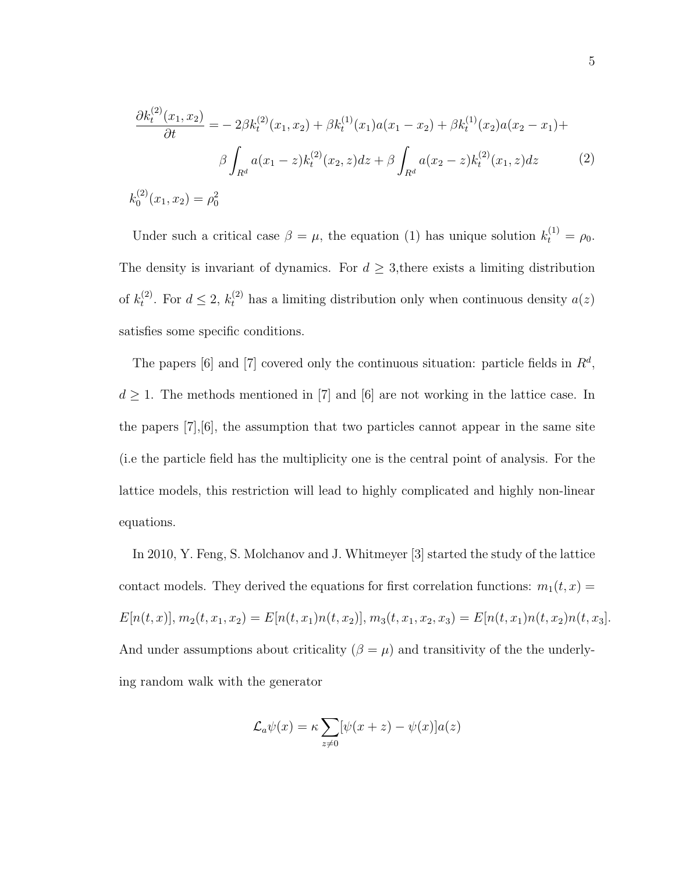$$
\frac{\partial k_t^{(2)}(x_1, x_2)}{\partial t} = -2\beta k_t^{(2)}(x_1, x_2) + \beta k_t^{(1)}(x_1)a(x_1 - x_2) + \beta k_t^{(1)}(x_2)a(x_2 - x_1) +
$$

$$
\beta \int_{R^d} a(x_1 - z)k_t^{(2)}(x_2, z)dz + \beta \int_{R^d} a(x_2 - z)k_t^{(2)}(x_1, z)dz \tag{2}
$$

 $k_0^{(2)}$  $\varphi_0^{(2)}(x_1,x_2)=\rho_0^2$ 

Under such a critical case  $\beta = \mu$ , the equation (1) has unique solution  $k_t^{(1)} = \rho_0$ . The density is invariant of dynamics. For  $d \geq 3$ , there exists a limiting distribution of  $k_t^{(2)}$ <sup>(2)</sup>. For  $d \leq 2$ ,  $k_t^{(2)}$  has a limiting distribution only when continuous density  $a(z)$ satisfies some specific conditions.

The papers [6] and [7] covered only the continuous situation: particle fields in  $R^d$ ,  $d \geq 1$ . The methods mentioned in [7] and [6] are not working in the lattice case. In the papers  $[7], [6]$ , the assumption that two particles cannot appear in the same site (i.e the particle field has the multiplicity one is the central point of analysis. For the lattice models, this restriction will lead to highly complicated and highly non-linear equations.

In 2010, Y. Feng, S. Molchanov and J. Whitmeyer [3] started the study of the lattice contact models. They derived the equations for first correlation functions:  $m_1(t, x) =$  $E[n(t, x)], m_2(t, x_1, x_2) = E[n(t, x_1)n(t, x_2)], m_3(t, x_1, x_2, x_3) = E[n(t, x_1)n(t, x_2)n(t, x_3].$ And under assumptions about criticality ( $\beta = \mu$ ) and transitivity of the the underlying random walk with the generator

$$
\mathcal{L}_a\psi(x) = \kappa \sum_{z \neq 0} [\psi(x+z) - \psi(x)]a(z)
$$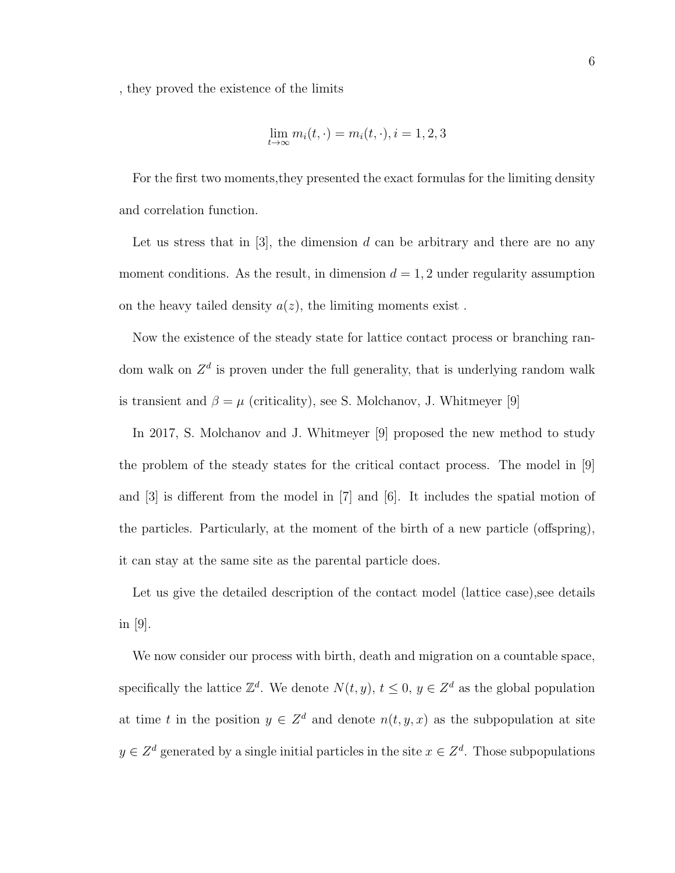, they proved the existence of the limits

$$
\lim_{t \to \infty} m_i(t, \cdot) = m_i(t, \cdot), i = 1, 2, 3
$$

For the first two moments,they presented the exact formulas for the limiting density and correlation function.

Let us stress that in  $[3]$ , the dimension d can be arbitrary and there are no any moment conditions. As the result, in dimension  $d = 1, 2$  under regularity assumption on the heavy tailed density  $a(z)$ , the limiting moments exist.

Now the existence of the steady state for lattice contact process or branching random walk on  $Z<sup>d</sup>$  is proven under the full generality, that is underlying random walk is transient and  $\beta = \mu$  (criticality), see S. Molchanov, J. Whitmeyer [9]

In 2017, S. Molchanov and J. Whitmeyer [9] proposed the new method to study the problem of the steady states for the critical contact process. The model in [9] and [3] is different from the model in [7] and [6]. It includes the spatial motion of the particles. Particularly, at the moment of the birth of a new particle (offspring), it can stay at the same site as the parental particle does.

Let us give the detailed description of the contact model (lattice case), see details in  $|9|$ .

We now consider our process with birth, death and migration on a countable space, specifically the lattice  $\mathbb{Z}^d$ . We denote  $N(t, y)$ ,  $t \leq 0$ ,  $y \in \mathbb{Z}^d$  as the global population at time t in the position  $y \in \mathbb{Z}^d$  and denote  $n(t, y, x)$  as the subpopulation at site  $y \in \mathbb{Z}^d$  generated by a single initial particles in the site  $x \in \mathbb{Z}^d$ . Those subpopulations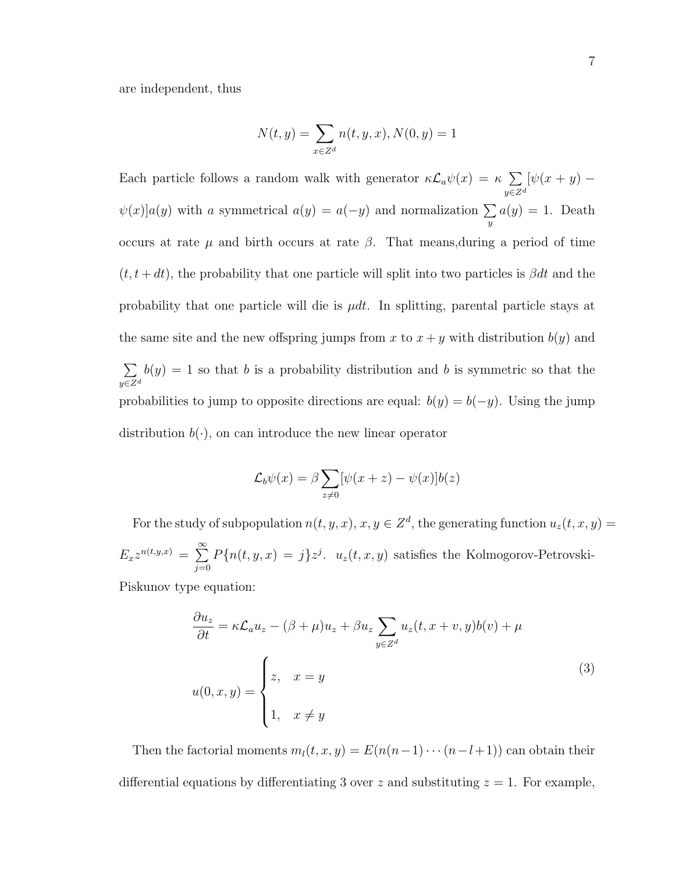are independent, thus

$$
N(t,y) = \sum_{x \in Z^d} n(t,y,x), N(0,y) = 1
$$

Each particle follows a random walk with generator  $\kappa \mathcal{L}_a \psi(x) = \kappa \sum$  $y{\in}Z^d$  $[\psi(x+y)]$  $\psi(x)|a(y)$  with a symmetrical  $a(y) = a(-y)$  and normalization  $\Sigma$  $\overline{y}$  $a(y) = 1$ . Death occurs at rate  $\mu$  and birth occurs at rate  $\beta$ . That means, during a period of time  $(t, t + dt)$ , the probability that one particle will split into two particles is  $\beta dt$  and the probability that one particle will die is  $\mu dt$ . In splitting, parental particle stays at the same site and the new offspring jumps from x to  $x + y$  with distribution  $b(y)$  and  $\sum$  $y \in Z^d$  $b(y) = 1$  so that b is a probability distribution and b is symmetric so that the probabilities to jump to opposite directions are equal:  $b(y) = b(-y)$ . Using the jump distribution  $b(\cdot)$ , on can introduce the new linear operator

$$
\mathcal{L}_b\psi(x) = \beta \sum_{z\neq 0} [\psi(x+z) - \psi(x)]b(z)
$$

For the study of subpopulation  $n(t, y, x), x, y \in \mathbb{Z}^d$ , the generating function  $u_z(t, x, y) =$  $E_x z^{n(t,y,x)} = \sum^{\infty}$  $j=0$  $P\{n(t, y, x) = j\}z^{j}$ .  $u_z(t, x, y)$  satisfies the Kolmogorov-Petrovski-

Piskunov type equation:

$$
\frac{\partial u_z}{\partial t} = \kappa \mathcal{L}_a u_z - (\beta + \mu) u_z + \beta u_z \sum_{y \in Z^d} u_z(t, x + v, y) b(v) + \mu
$$
  

$$
u(0, x, y) = \begin{cases} z, & x = y \\ 1, & x \neq y \end{cases}
$$
 (3)

Then the factorial moments  $m_l(t, x, y) = E(n(n-1)\cdots(n-l+1))$  can obtain their differential equations by differentiating 3 over z and substituting  $z = 1$ . For example,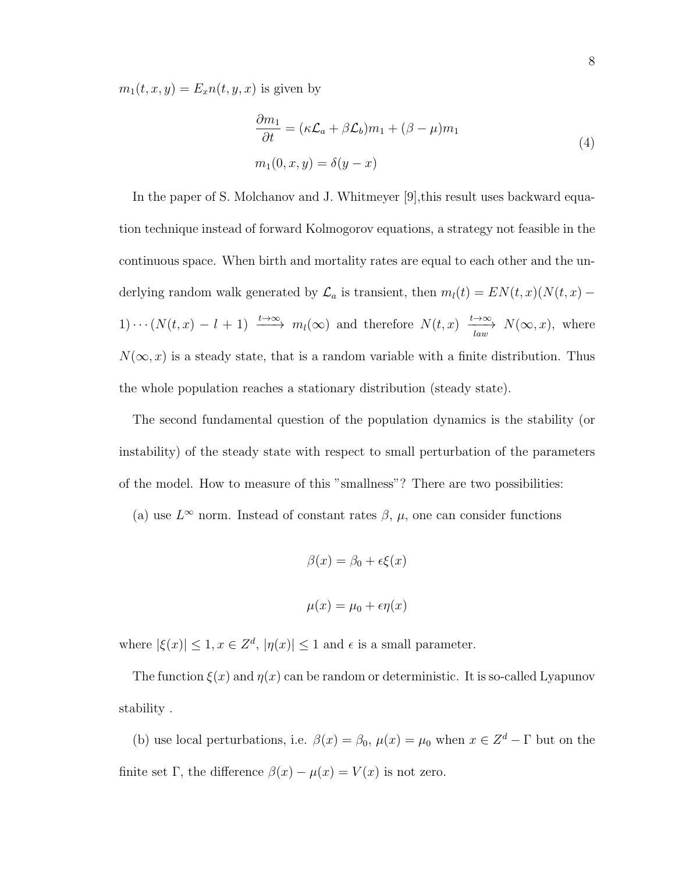$m_1(t, x, y) = E_x n(t, y, x)$  is given by

$$
\frac{\partial m_1}{\partial t} = (\kappa \mathcal{L}_a + \beta \mathcal{L}_b) m_1 + (\beta - \mu) m_1
$$
  

$$
m_1(0, x, y) = \delta(y - x)
$$
 (4)

In the paper of S. Molchanov and J. Whitmeyer  $[9]$ , this result uses backward equation technique instead of forward Kolmogorov equations, a strategy not feasible in the continuous space. When birth and mortality rates are equal to each other and the underlying random walk generated by  $\mathcal{L}_a$  is transient, then  $m_l(t) = EN(t, x)(N(t, x) -$ 1) · · ·  $(N(t, x) - l + 1) \xrightarrow{t \to \infty} m_l(\infty)$  and therefore  $N(t, x) \xrightarrow{l \to \infty} N(\infty, x)$ , where  $N(\infty, x)$  is a steady state, that is a random variable with a finite distribution. Thus the whole population reaches a stationary distribution (steady state).

The second fundamental question of the population dynamics is the stability (or instability) of the steady state with respect to small perturbation of the parameters of the model. How to measure of this "smallness"? There are two possibilities:

(a) use  $L^{\infty}$  norm. Instead of constant rates  $\beta$ ,  $\mu$ , one can consider functions

$$
\beta(x) = \beta_0 + \epsilon \xi(x)
$$

$$
\mu(x) = \mu_0 + \epsilon \eta(x)
$$

where  $|\xi(x)| \leq 1, x \in \mathbb{Z}^d, |\eta(x)| \leq 1$  and  $\epsilon$  is a small parameter.

The function  $\xi(x)$  and  $\eta(x)$  can be random or deterministic. It is so-called Lyapunov stability .

(b) use local perturbations, i.e.  $\beta(x) = \beta_0$ ,  $\mu(x) = \mu_0$  when  $x \in \mathbb{Z}^d - \Gamma$  but on the finite set Γ, the difference  $\beta(x) - \mu(x) = V(x)$  is not zero.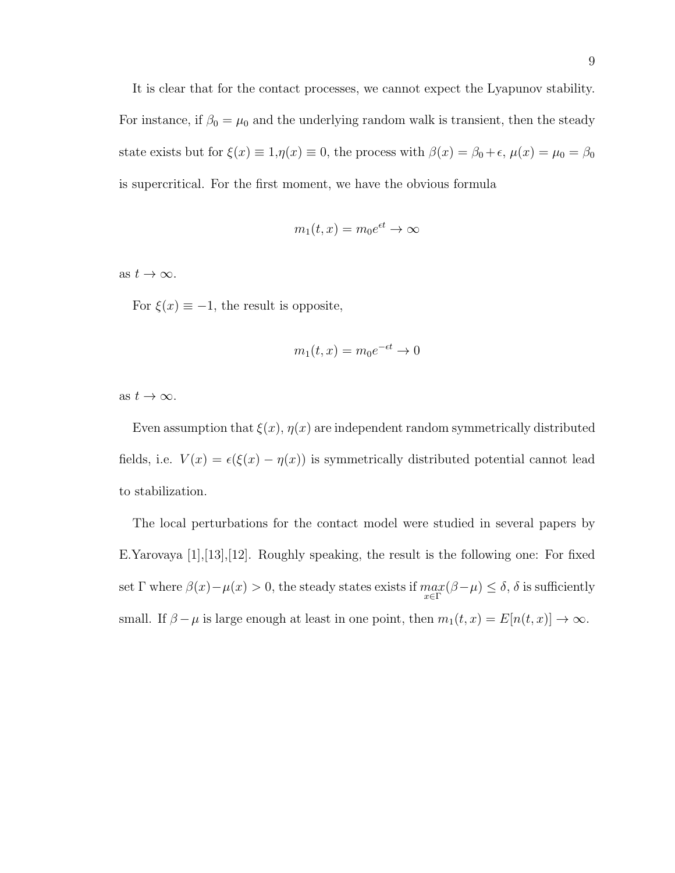It is clear that for the contact processes, we cannot expect the Lyapunov stability. For instance, if  $\beta_0 = \mu_0$  and the underlying random walk is transient, then the steady state exists but for  $\xi(x) \equiv 1, \eta(x) \equiv 0$ , the process with  $\beta(x) = \beta_0 + \epsilon$ ,  $\mu(x) = \mu_0 = \beta_0$ is supercritical. For the first moment, we have the obvious formula

$$
m_1(t, x) = m_0 e^{\epsilon t} \to \infty
$$

as  $t \to \infty$ .

For  $\xi(x) \equiv -1$ , the result is opposite,

$$
m_1(t, x) = m_0 e^{-\epsilon t} \to 0
$$

as  $t \to \infty$ .

Even assumption that  $\xi(x)$ ,  $\eta(x)$  are independent random symmetrically distributed fields, i.e.  $V(x) = \epsilon(\xi(x) - \eta(x))$  is symmetrically distributed potential cannot lead to stabilization.

The local perturbations for the contact model were studied in several papers by E.Yarovaya [1],[13],[12]. Roughly speaking, the result is the following one: For fixed set  $\Gamma$  where  $\beta(x) - \mu(x) > 0$ , the steady states exists if  $\max_{x \in \Gamma} (\beta - \mu) \le \delta$ ,  $\delta$  is sufficiently small. If  $\beta - \mu$  is large enough at least in one point, then  $m_1(t, x) = E[n(t, x)] \to \infty$ .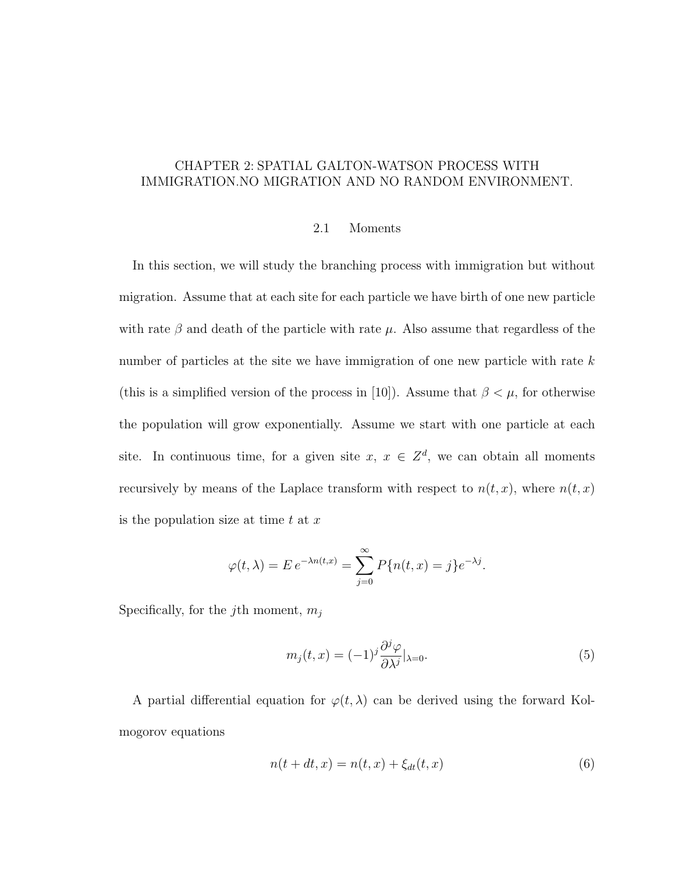# CHAPTER 2: SPATIAL GALTON-WATSON PROCESS WITH IMMIGRATION.NO MIGRATION AND NO RANDOM ENVIRONMENT.

#### 2.1 Moments

In this section, we will study the branching process with immigration but without migration. Assume that at each site for each particle we have birth of one new particle with rate  $\beta$  and death of the particle with rate  $\mu$ . Also assume that regardless of the number of particles at the site we have immigration of one new particle with rate k (this is a simplified version of the process in [10]). Assume that  $\beta < \mu$ , for otherwise the population will grow exponentially. Assume we start with one particle at each site. In continuous time, for a given site  $x, x \in \mathbb{Z}^d$ , we can obtain all moments recursively by means of the Laplace transform with respect to  $n(t, x)$ , where  $n(t, x)$ is the population size at time  $t$  at  $x$ 

$$
\varphi(t,\lambda) = E e^{-\lambda n(t,x)} = \sum_{j=0}^{\infty} P\{n(t,x) = j\} e^{-\lambda j}.
$$

Specifically, for the j<sup>th</sup> moment,  $m_i$ 

$$
m_j(t,x) = (-1)^j \frac{\partial^j \varphi}{\partial \lambda^j} |_{\lambda=0}.
$$
\n(5)

A partial differential equation for  $\varphi(t,\lambda)$  can be derived using the forward Kolmogorov equations

$$
n(t + dt, x) = n(t, x) + \xi_{dt}(t, x)
$$
\n(6)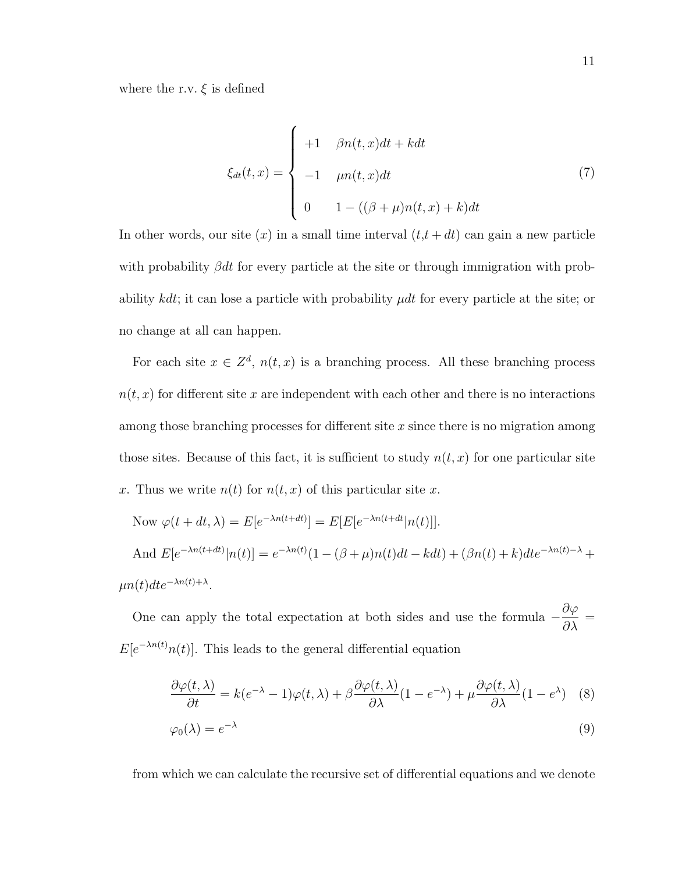where the r.v.  $\xi$  is defined

$$
\xi_{dt}(t,x) = \begin{cases}\n+1 & \beta n(t,x)dt + kdt \\
-1 & \mu n(t,x)dt \\
0 & 1 - ((\beta + \mu)n(t,x) + k)dt\n\end{cases}
$$
\n(7)

In other words, our site  $(x)$  in a small time interval  $(t, t + dt)$  can gain a new particle with probability  $\beta dt$  for every particle at the site or through immigration with probability  $kdt$ ; it can lose a particle with probability  $\mu dt$  for every particle at the site; or no change at all can happen.

For each site  $x \in \mathbb{Z}^d$ ,  $n(t, x)$  is a branching process. All these branching process  $n(t, x)$  for different site x are independent with each other and there is no interactions among those branching processes for different site  $x$  since there is no migration among those sites. Because of this fact, it is sufficient to study  $n(t, x)$  for one particular site x. Thus we write  $n(t)$  for  $n(t, x)$  of this particular site x.

Now 
$$
\varphi(t + dt, \lambda) = E[e^{-\lambda n(t+dt)}] = E[E[e^{-\lambda n(t+dt)}|n(t)]].
$$
  
And  $E[e^{-\lambda n(t+dt)}|n(t)] = e^{-\lambda n(t)}(1 - (\beta + \mu)n(t)dt - kdt) + (\beta n(t) + k)dt e^{-\lambda n(t) - \lambda} + \mu n(t)dt e^{-\lambda n(t) + \lambda}.$ 

One can apply the total expectation at both sides and use the formula  $-\frac{\partial \varphi}{\partial \lambda}$  $rac{\partial \varphi}{\partial \lambda}$  =  $E[e^{-\lambda n(t)}n(t)]$ . This leads to the general differential equation

$$
\frac{\partial \varphi(t,\lambda)}{\partial t} = k(e^{-\lambda} - 1)\varphi(t,\lambda) + \beta \frac{\partial \varphi(t,\lambda)}{\partial \lambda} (1 - e^{-\lambda}) + \mu \frac{\partial \varphi(t,\lambda)}{\partial \lambda} (1 - e^{\lambda})
$$
 (8)

$$
\varphi_0(\lambda) = e^{-\lambda} \tag{9}
$$

from which we can calculate the recursive set of differential equations and we denote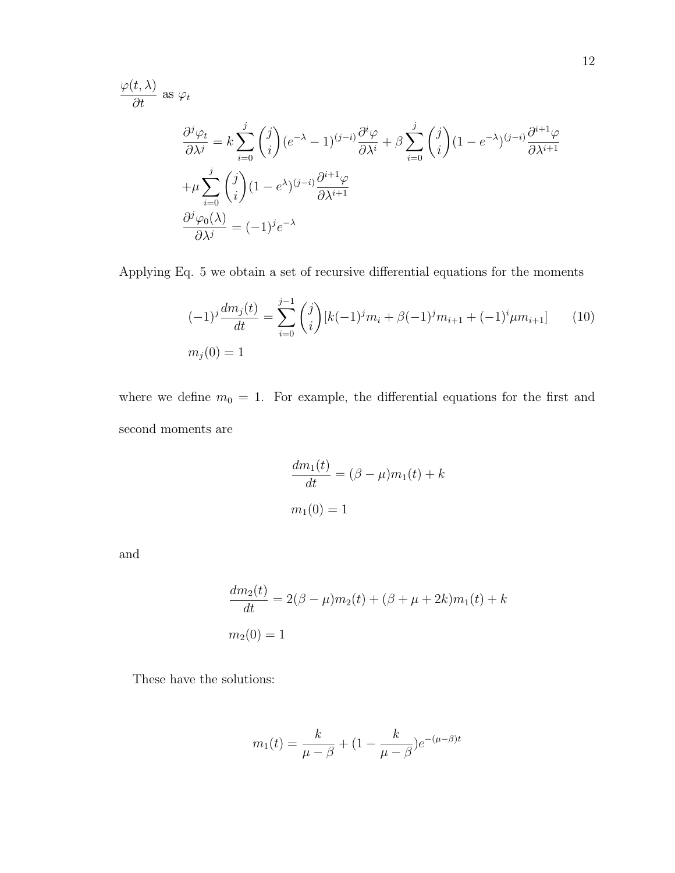$$
\frac{\varphi(t,\lambda)}{\partial t} \text{ as } \varphi_t
$$
\n
$$
\frac{\partial^j \varphi_t}{\partial \lambda^j} = k \sum_{i=0}^j \binom{j}{i} (e^{-\lambda} - 1)^{(j-i)} \frac{\partial^i \varphi}{\partial \lambda^i} + \beta \sum_{i=0}^j \binom{j}{i} (1 - e^{-\lambda})^{(j-i)} \frac{\partial^{i+1} \varphi}{\partial \lambda^{i+1}}
$$
\n
$$
+ \mu \sum_{i=0}^j \binom{j}{i} (1 - e^{\lambda})^{(j-i)} \frac{\partial^{i+1} \varphi}{\partial \lambda^{i+1}}
$$
\n
$$
\frac{\partial^j \varphi_0(\lambda)}{\partial \lambda^j} = (-1)^j e^{-\lambda}
$$

Applying Eq. 5 we obtain a set of recursive differential equations for the moments

$$
(-1)^{j} \frac{dm_{j}(t)}{dt} = \sum_{i=0}^{j-1} {j \choose i} [k(-1)^{j}m_{i} + \beta(-1)^{j}m_{i+1} + (-1)^{i} \mu m_{i+1}] \qquad (10)
$$
  

$$
m_{j}(0) = 1
$$

where we define  $m_0 = 1$ . For example, the differential equations for the first and second moments are

$$
\frac{dm_1(t)}{dt} = (\beta - \mu)m_1(t) + k
$$

$$
m_1(0) = 1
$$

and

$$
\frac{dm_2(t)}{dt} = 2(\beta - \mu)m_2(t) + (\beta + \mu + 2k)m_1(t) + k
$$
  

$$
m_2(0) = 1
$$

These have the solutions:

$$
m_1(t) = \frac{k}{\mu - \beta} + (1 - \frac{k}{\mu - \beta})e^{-(\mu - \beta)t}
$$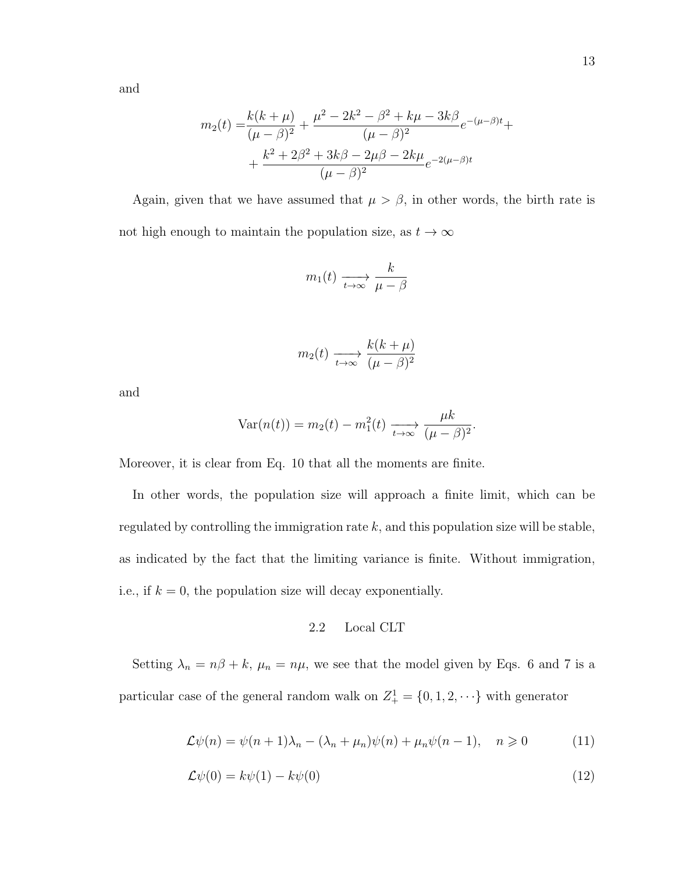and

$$
m_2(t) = \frac{k(k+\mu)}{(\mu-\beta)^2} + \frac{\mu^2 - 2k^2 - \beta^2 + k\mu - 3k\beta}{(\mu-\beta)^2}e^{-(\mu-\beta)t} + \frac{k^2 + 2\beta^2 + 3k\beta - 2\mu\beta - 2k\mu}{(\mu-\beta)^2}e^{-2(\mu-\beta)t}
$$

Again, given that we have assumed that  $\mu > \beta$ , in other words, the birth rate is not high enough to maintain the population size, as  $t\to\infty$ 

$$
m_1(t) \xrightarrow[t \to \infty]{} \frac{k}{\mu - \beta}
$$

$$
m_2(t) \xrightarrow[t \to \infty]{} \frac{k(k+\mu)}{(\mu-\beta)^2}
$$

and

$$
Var(n(t)) = m_2(t) - m_1^2(t) \xrightarrow[t \to \infty]{} \frac{\mu k}{(\mu - \beta)^2}.
$$

Moreover, it is clear from Eq. 10 that all the moments are finite.

In other words, the population size will approach a finite limit, which can be regulated by controlling the immigration rate  $k$ , and this population size will be stable, as indicated by the fact that the limiting variance is finite. Without immigration, i.e., if  $k = 0$ , the population size will decay exponentially.

# 2.2 Local CLT

Setting  $\lambda_n = n\beta + k$ ,  $\mu_n = n\mu$ , we see that the model given by Eqs. 6 and 7 is a particular case of the general random walk on  $Z_{+}^{1} = \{0, 1, 2, \dots\}$  with generator

$$
\mathcal{L}\psi(n) = \psi(n+1)\lambda_n - (\lambda_n + \mu_n)\psi(n) + \mu_n\psi(n-1), \quad n \geq 0 \tag{11}
$$

$$
\mathcal{L}\psi(0) = k\psi(1) - k\psi(0) \tag{12}
$$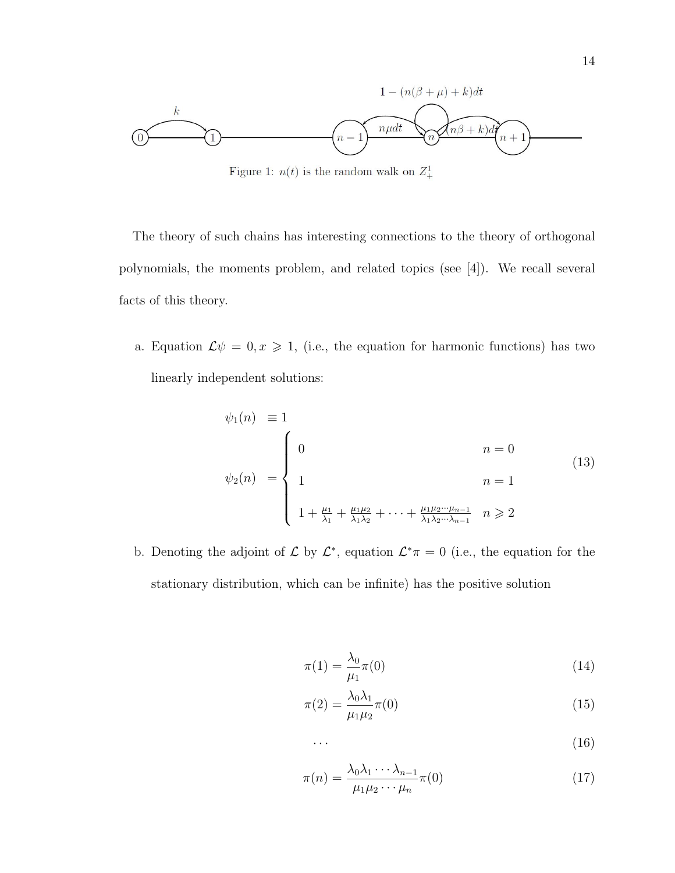

Figure 1:  $n(t)$  is the random walk on  $Z_+^1$ 

The theory of such chains has interesting connections to the theory of orthogonal polynomials, the moments problem, and related topics (see [4]). We recall several facts of this theory.

a. Equation  $\mathcal{L}\psi = 0, x \geq 1$ , (i.e., the equation for harmonic functions) has two linearly independent solutions:

$$
\psi_1(n) \equiv 1
$$
\n
$$
\psi_2(n) = \begin{cases}\n0 & n = 0 \\
1 & n = 1 \\
1 + \frac{\mu_1}{\lambda_1} + \frac{\mu_1 \mu_2}{\lambda_1 \lambda_2} + \dots + \frac{\mu_1 \mu_2 \cdots \mu_{n-1}}{\lambda_1 \lambda_2 \cdots \lambda_{n-1}} & n \ge 2\n\end{cases}
$$
\n(13)

b. Denoting the adjoint of  $\mathcal L$  by  $\mathcal L^*$ , equation  $\mathcal L^*\pi=0$  (i.e., the equation for the stationary distribution, which can be infinite) has the positive solution

$$
\pi(1) = \frac{\lambda_0}{\mu_1} \pi(0) \tag{14}
$$

$$
\pi(2) = \frac{\lambda_0 \lambda_1}{\mu_1 \mu_2} \pi(0) \tag{15}
$$

$$
\cdots \hspace{1.5cm} (16)
$$

$$
\pi(n) = \frac{\lambda_0 \lambda_1 \cdots \lambda_{n-1}}{\mu_1 \mu_2 \cdots \mu_n} \pi(0) \tag{17}
$$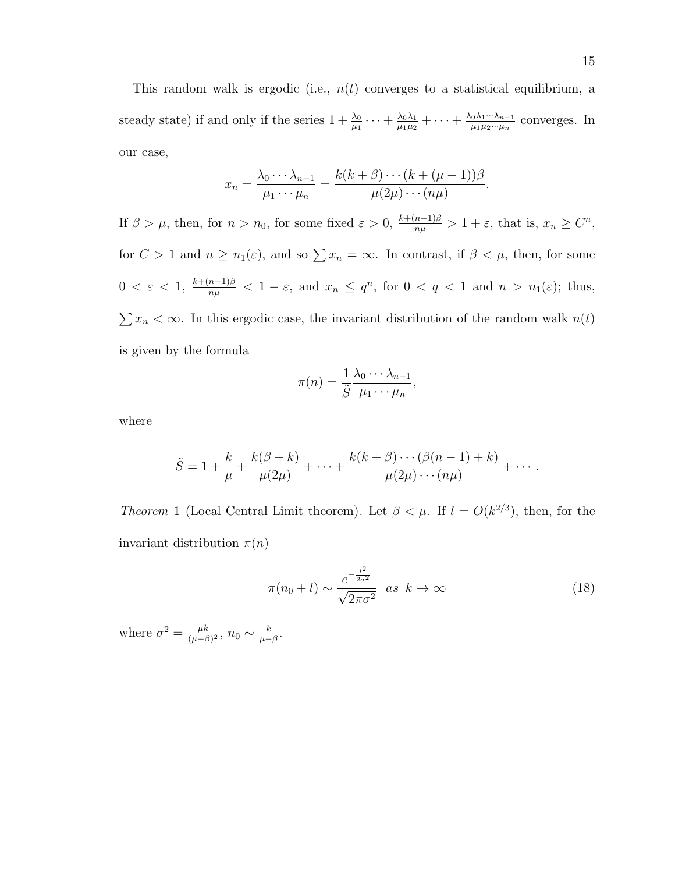This random walk is ergodic (i.e.,  $n(t)$  converges to a statistical equilibrium, a steady state) if and only if the series  $1 + \frac{\lambda_0}{\mu_1} \cdots + \frac{\lambda_0 \lambda_1}{\mu_1 \mu_2}$  $\frac{\lambda_0\lambda_1}{\mu_1\mu_2}+\cdots+\frac{\lambda_0\lambda_1\cdot\cdot\cdot\lambda_{n-1}}{\mu_1\mu_2\cdot\cdot\cdot\mu_n}$  $\frac{10^{\lambda_1 \cdots \lambda_{n-1}}}{\mu_1 \mu_2 \cdots \mu_n}$  converges. In our case,

$$
x_n = \frac{\lambda_0 \cdots \lambda_{n-1}}{\mu_1 \cdots \mu_n} = \frac{k(k+\beta) \cdots (k+(\mu-1))\beta}{\mu(2\mu) \cdots (n\mu)}.
$$

If  $\beta > \mu$ , then, for  $n > n_0$ , for some fixed  $\varepsilon > 0$ ,  $\frac{k + (n-1)\beta}{n\mu} > 1 + \varepsilon$ , that is,  $x_n \geq C^n$ , for  $C > 1$  and  $n \ge n_1(\varepsilon)$ , and so  $\sum x_n = \infty$ . In contrast, if  $\beta < \mu$ , then, for some  $0 < \varepsilon < 1$ ,  $\frac{k+(n-1)\beta}{n\mu} < 1-\varepsilon$ , and  $x_n \leq q^n$ , for  $0 < q < 1$  and  $n > n_1(\varepsilon)$ ; thus,  $\sum x_n < \infty$ . In this ergodic case, the invariant distribution of the random walk  $n(t)$ is given by the formula

$$
\pi(n) = \frac{1}{\tilde{S}} \frac{\lambda_0 \cdots \lambda_{n-1}}{\mu_1 \cdots \mu_n},
$$

where

$$
\tilde{S} = 1 + \frac{k}{\mu} + \frac{k(\beta + k)}{\mu(2\mu)} + \dots + \frac{k(k + \beta) \cdots (\beta(n - 1) + k)}{\mu(2\mu) \cdots (n\mu)} + \dots
$$

Theorem 1 (Local Central Limit theorem). Let  $\beta < \mu$ . If  $l = O(k^{2/3})$ , then, for the invariant distribution  $\pi(n)$ 

$$
\pi(n_0 + l) \sim \frac{e^{-\frac{l^2}{2\sigma^2}}}{\sqrt{2\pi\sigma^2}} \quad \text{as} \quad k \to \infty \tag{18}
$$

where  $\sigma^2 = \frac{\mu k}{(\mu - k)}$  $\frac{\mu k}{(\mu-\beta)^2}, n_0 \sim \frac{k}{\mu-\mu}$  $\frac{k}{\mu-\beta}$ .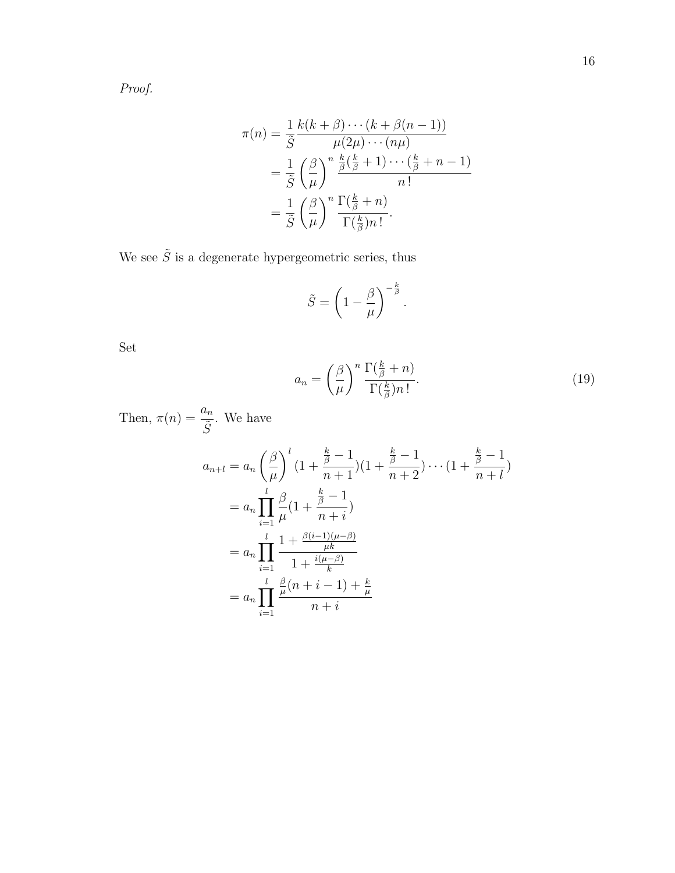$$
\pi(n) = \frac{1}{\tilde{S}} \frac{k(k+\beta)\cdots(k+\beta(n-1))}{\mu(2\mu)\cdots(n\mu)}
$$

$$
= \frac{1}{\tilde{S}} \left(\frac{\beta}{\mu}\right)^n \frac{\frac{k}{\beta}(\frac{k}{\beta}+1)\cdots(\frac{k}{\beta}+n-1)}{n!}
$$

$$
= \frac{1}{\tilde{S}} \left(\frac{\beta}{\mu}\right)^n \frac{\Gamma(\frac{k}{\beta}+n)}{\Gamma(\frac{k}{\beta})n!}.
$$

We see  $\tilde{S}$  is a degenerate hypergeometric series, thus

$$
\tilde{S} = \left(1 - \frac{\beta}{\mu}\right)^{-\frac{k}{\beta}}
$$

.

Set

$$
a_n = \left(\frac{\beta}{\mu}\right)^n \frac{\Gamma(\frac{k}{\beta} + n)}{\Gamma(\frac{k}{\beta})n!}.
$$
\n(19)

Then,  $\pi(n) = \frac{a_n}{\tilde{a}}$  $\frac{\overline{s}_n}{\tilde{S}}$ . We have

$$
a_{n+l} = a_n \left(\frac{\beta}{\mu}\right)^l \left(1 + \frac{\frac{k}{\beta} - 1}{n+1}\right) \left(1 + \frac{\frac{k}{\beta} - 1}{n+2}\right) \cdots \left(1 + \frac{\frac{k}{\beta} - 1}{n+l}\right)
$$
  
= 
$$
a_n \prod_{i=1}^l \frac{\beta}{\mu} \left(1 + \frac{\frac{k}{\beta} - 1}{n+i}\right)
$$
  
= 
$$
a_n \prod_{i=1}^l \frac{1 + \frac{\beta(i-1)(\mu - \beta)}{\mu k}}{1 + \frac{i(\mu - \beta)}{k}}
$$
  
= 
$$
a_n \prod_{i=1}^l \frac{\frac{\beta}{\mu} (n+i-1) + \frac{k}{\mu}}{n+i}
$$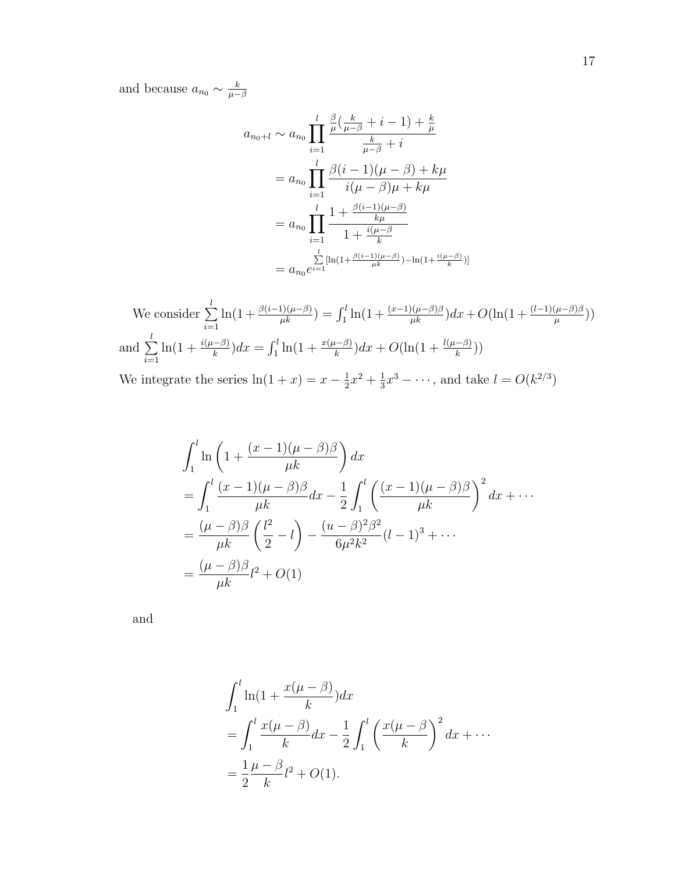and because  $a_{n_0} \sim \frac{k}{\mu - 1}$  $\mu-\beta$ 

$$
a_{n_0+l} \sim a_{n_0} \prod_{i=1}^l \frac{\frac{\beta}{\mu} \left( \frac{k}{\mu - \beta} + i - 1 \right) + \frac{k}{\mu}}{\frac{k}{\mu - \beta} + i}
$$
  
= 
$$
a_{n_0} \prod_{i=1}^l \frac{\beta(i-1)(\mu - \beta) + k\mu}{i(\mu - \beta)\mu + k\mu}
$$
  
= 
$$
a_{n_0} \prod_{i=1}^l \frac{1 + \frac{\beta(i-1)(\mu - \beta)}{k\mu}}{1 + \frac{i(\mu - \beta)}{k}}
$$
  
= 
$$
a_{n_0} e^{\sum_{i=1}^l [\ln(1 + \frac{\beta(i-1)(\mu - \beta)}{\mu k}) - \ln(1 + \frac{i(\mu - \beta)}{k})]}
$$

We consider 
$$
\sum_{i=1}^{l} \ln(1 + \frac{\beta(i-1)(\mu-\beta)}{\mu k}) = \int_{1}^{l} \ln(1 + \frac{(x-1)(\mu-\beta)\beta}{\mu k}) dx + O(\ln(1 + \frac{(l-1)(\mu-\beta)\beta}{\mu}))
$$
  
and 
$$
\sum_{i=1}^{l} \ln(1 + \frac{i(\mu-\beta)}{k}) dx = \int_{1}^{l} \ln(1 + \frac{x(\mu-\beta)}{k}) dx + O(\ln(1 + \frac{l(\mu-\beta)}{k}))
$$
  
We integrate the series  $\ln(1 + x) = x - \frac{1}{2}x^{2} + \frac{1}{3}x^{3} - \cdots$ , and take  $l = O(k^{2/3})$ 

$$
\int_{1}^{l} \ln\left(1 + \frac{(x-1)(\mu - \beta)\beta}{\mu k}\right) dx
$$
  
= 
$$
\int_{1}^{l} \frac{(x-1)(\mu - \beta)\beta}{\mu k} dx - \frac{1}{2} \int_{1}^{l} \left(\frac{(x-1)(\mu - \beta)\beta}{\mu k}\right)^{2} dx + \cdots
$$
  
= 
$$
\frac{(\mu - \beta)\beta}{\mu k} \left(\frac{l^{2}}{2} - l\right) - \frac{(u - \beta)^{2}\beta^{2}}{6\mu^{2}k^{2}} (l - 1)^{3} + \cdots
$$
  
= 
$$
\frac{(\mu - \beta)\beta}{\mu k} l^{2} + O(1)
$$

and

$$
\int_1^l \ln(1 + \frac{x(\mu - \beta)}{k}) dx
$$
  
= 
$$
\int_1^l \frac{x(\mu - \beta)}{k} dx - \frac{1}{2} \int_1^l \left(\frac{x(\mu - \beta)}{k}\right)^2 dx + \cdots
$$
  
= 
$$
\frac{1}{2} \frac{\mu - \beta}{k} l^2 + O(1).
$$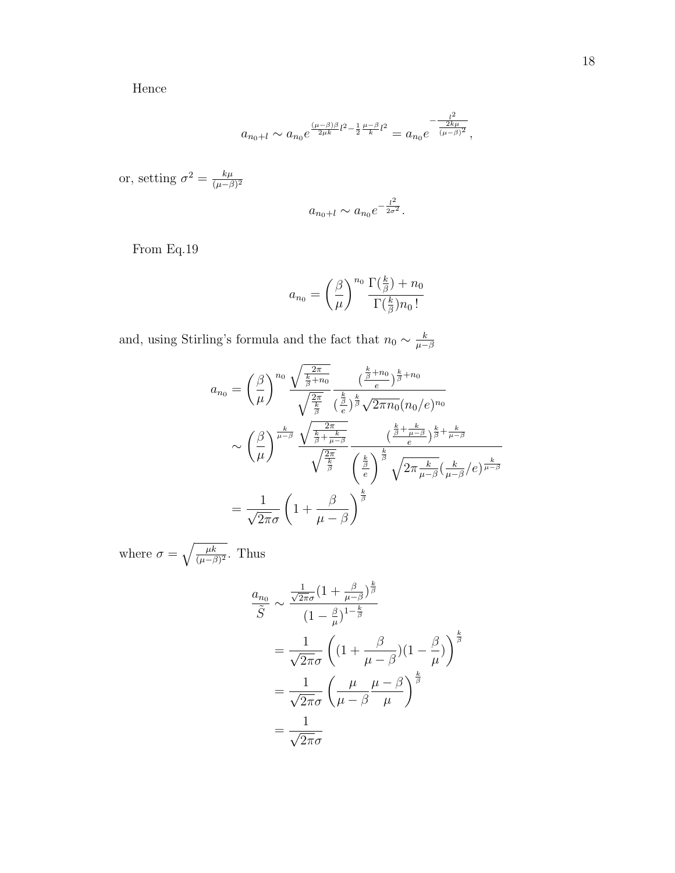Hence

$$
a_{n_0+l} \sim a_{n_0} e^{\frac{(\mu-\beta)\beta}{2\mu k}l^2 - \frac{1}{2}\frac{\mu-\beta}{k}l^2} = a_{n_0} e^{-\frac{l^2}{\frac{2k\mu}{(\mu-\beta)^2}}},
$$

or, setting  $\sigma^2 = \frac{k\mu}{(\mu - \mu)^2}$  $(\mu-\beta)^2$ 

$$
a_{n_0+l} \sim a_{n_0} e^{-\frac{l^2}{2\sigma^2}}
$$

.

From Eq.19

$$
a_{n_0} = \left(\frac{\beta}{\mu}\right)^{n_0} \frac{\Gamma(\frac{k}{\beta}) + n_0}{\Gamma(\frac{k}{\beta})n_0!}
$$

and, using Stirling's formula and the fact that  $n_0 \sim \frac{k}{\mu - 1}$  $\mu-\beta$ 

$$
a_{n_0} = \left(\frac{\beta}{\mu}\right)^{n_0} \frac{\sqrt{\frac{2\pi}{\frac{k}{\beta}+n_0}}}{\sqrt{\frac{2\pi}{\frac{k}{\beta}}}\frac{(\frac{k}{\beta}+n_0)}{(\frac{k}{\beta})^{\frac{k}{\beta}}\sqrt{2\pi n_0}(n_0/e)^{n_0}}}
$$

$$
\sim \left(\frac{\beta}{\mu}\right)^{\frac{k}{\mu-\beta}} \frac{\sqrt{\frac{2\pi}{\frac{k}{\beta}+\frac{k}{\mu-\beta}}}}{\sqrt{\frac{2\pi}{\frac{k}{\beta}}}\frac{(\frac{k}{\beta}+\frac{k}{\mu-\beta})^{\frac{k}{\beta}+\frac{k}{\mu-\beta}}}{(\frac{k}{e})^{\frac{k}{\beta}}\sqrt{2\pi\frac{k}{\mu-\beta}}(\frac{k}{\mu-\beta}/e)^{\frac{k}{\mu-\beta}}}
$$

$$
= \frac{1}{\sqrt{2\pi}\sigma} \left(1+\frac{\beta}{\mu-\beta}\right)^{\frac{k}{\beta}}
$$

where  $\sigma = \sqrt{\frac{\mu k}{(\mu - \beta)^2}}$ . Thus

$$
\frac{a_{n_0}}{\tilde{S}} \sim \frac{\frac{1}{\sqrt{2\pi}\sigma} \left(1 + \frac{\beta}{\mu - \beta}\right)^{\frac{k}{\beta}}}{\left(1 - \frac{\beta}{\mu}\right)^{1 - \frac{k}{\beta}}}
$$
\n
$$
= \frac{1}{\sqrt{2\pi}\sigma} \left( \left(1 + \frac{\beta}{\mu - \beta}\right) \left(1 - \frac{\beta}{\mu}\right) \right)^{\frac{k}{\beta}}
$$
\n
$$
= \frac{1}{\sqrt{2\pi}\sigma} \left( \frac{\mu}{\mu - \beta} \frac{\mu - \beta}{\mu} \right)^{\frac{k}{\beta}}
$$
\n
$$
= \frac{1}{\sqrt{2\pi}\sigma}
$$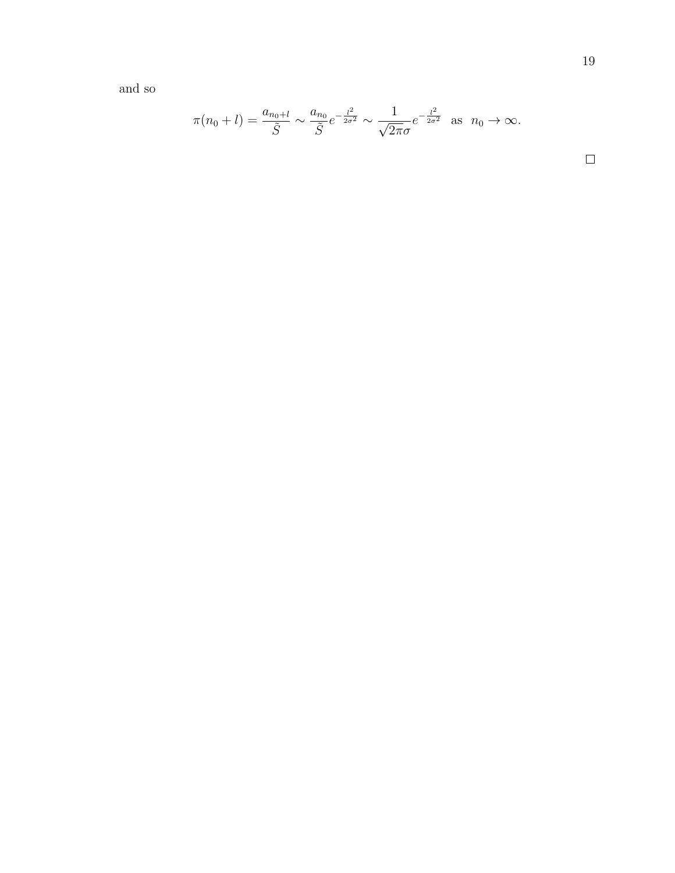and so

$$
\pi(n_0 + l) = \frac{a_{n_0 + l}}{\tilde{S}} \sim \frac{a_{n_0}}{\tilde{S}} e^{-\frac{l^2}{2\sigma^2}} \sim \frac{1}{\sqrt{2\pi}\sigma} e^{-\frac{l^2}{2\sigma^2}} \text{ as } n_0 \to \infty.
$$

 $\Box$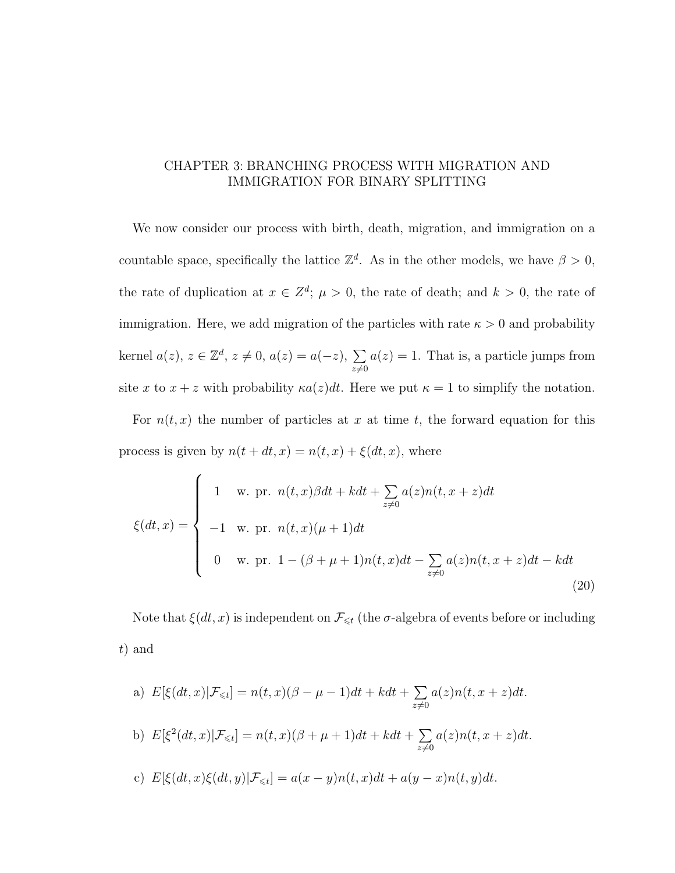## CHAPTER 3: BRANCHING PROCESS WITH MIGRATION AND IMMIGRATION FOR BINARY SPLITTING

We now consider our process with birth, death, migration, and immigration on a countable space, specifically the lattice  $\mathbb{Z}^d$ . As in the other models, we have  $\beta > 0$ , the rate of duplication at  $x \in \mathbb{Z}^d$ ;  $\mu > 0$ , the rate of death; and  $k > 0$ , the rate of immigration. Here, we add migration of the particles with rate  $\kappa > 0$  and probability kernel  $a(z)$ ,  $z \in \mathbb{Z}^d$ ,  $z \neq 0$ ,  $a(z) = a(-z)$ ,  $\sum$  $z\neq0$  $a(z) = 1$ . That is, a particle jumps from site x to  $x + z$  with probability  $\kappa a(z)dt$ . Here we put  $\kappa = 1$  to simplify the notation.

For  $n(t, x)$  the number of particles at x at time t, the forward equation for this process is given by  $n(t + dt, x) = n(t, x) + \xi(dt, x)$ , where

$$
\xi(dt, x) = \begin{cases}\n1 & \text{w. pr. } n(t, x)\beta dt + kdt + \sum_{z \neq 0} a(z)n(t, x + z)dt \\
-1 & \text{w. pr. } n(t, x)(\mu + 1)dt \\
0 & \text{w. pr. } 1 - (\beta + \mu + 1)n(t, x)dt - \sum_{z \neq 0} a(z)n(t, x + z)dt - kdt\n\end{cases}
$$
\n(20)

Note that  $\xi(dt, x)$  is independent on  $\mathcal{F}_{\leq t}$  (the  $\sigma$ -algebra of events before or including t) and

a) 
$$
E[\xi(dt, x)|\mathcal{F}_{\leq t}] = n(t, x)(\beta - \mu - 1)dt + kdt + \sum_{z \neq 0} a(z)n(t, x + z)dt.
$$
  
b) 
$$
E[\xi^{2}(dt, x)|\mathcal{F}_{\leq t}] = n(t, x)(\beta + \mu + 1)dt + kdt + \sum_{z \neq 0} a(z)n(t, x + z)dt.
$$
  
c) 
$$
E[\xi(dt, x)\xi(dt, y)|\mathcal{F}_{\leq t}] = a(x - y)n(t, x)dt + a(y - x)n(t, y)dt.
$$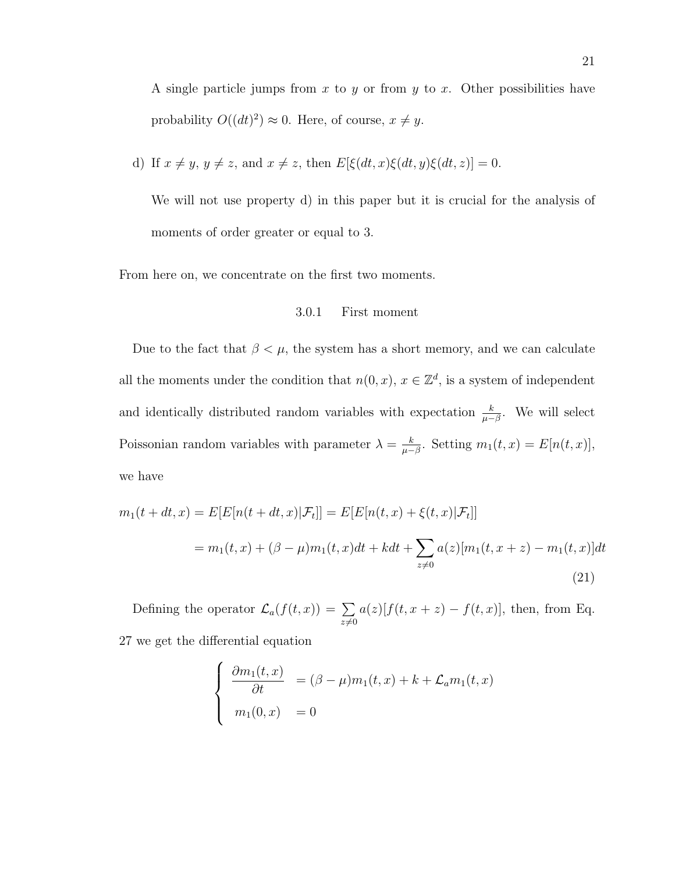A single particle jumps from x to y or from y to x. Other possibilities have probability  $O((dt)^2) \approx 0$ . Here, of course,  $x \neq y$ .

d) If 
$$
x \neq y
$$
,  $y \neq z$ , and  $x \neq z$ , then  $E[\xi(dt, x)\xi(dt, y)\xi(dt, z)] = 0$ .

We will not use property d) in this paper but it is crucial for the analysis of moments of order greater or equal to 3.

From here on, we concentrate on the first two moments.

### 3.0.1 First moment

Due to the fact that  $\beta < \mu$ , the system has a short memory, and we can calculate all the moments under the condition that  $n(0, x)$ ,  $x \in \mathbb{Z}^d$ , is a system of independent and identically distributed random variables with expectation  $\frac{k}{\mu-\beta}$ . We will select Poissonian random variables with parameter  $\lambda = \frac{k}{\mu}$  $\frac{k}{\mu-\beta}$ . Setting  $m_1(t,x) = E[n(t,x)],$ we have

$$
m_1(t + dt, x) = E[E[n(t + dt, x)|\mathcal{F}_t]] = E[E[n(t, x) + \xi(t, x)|\mathcal{F}_t]]
$$
  
= 
$$
m_1(t, x) + (\beta - \mu)m_1(t, x)dt + kdt + \sum_{z \neq 0} a(z)[m_1(t, x + z) - m_1(t, x)]dt
$$
  
(21)

Defining the operator  $\mathcal{L}_a(f(t,x)) = \sum$  $z\neq0$  $a(z)[f(t, x + z) - f(t, x)]$ , then, from Eq. 27 we get the differential equation

$$
\begin{cases}\n\frac{\partial m_1(t,x)}{\partial t} = (\beta - \mu)m_1(t,x) + k + \mathcal{L}_a m_1(t,x) \\
m_1(0,x) = 0\n\end{cases}
$$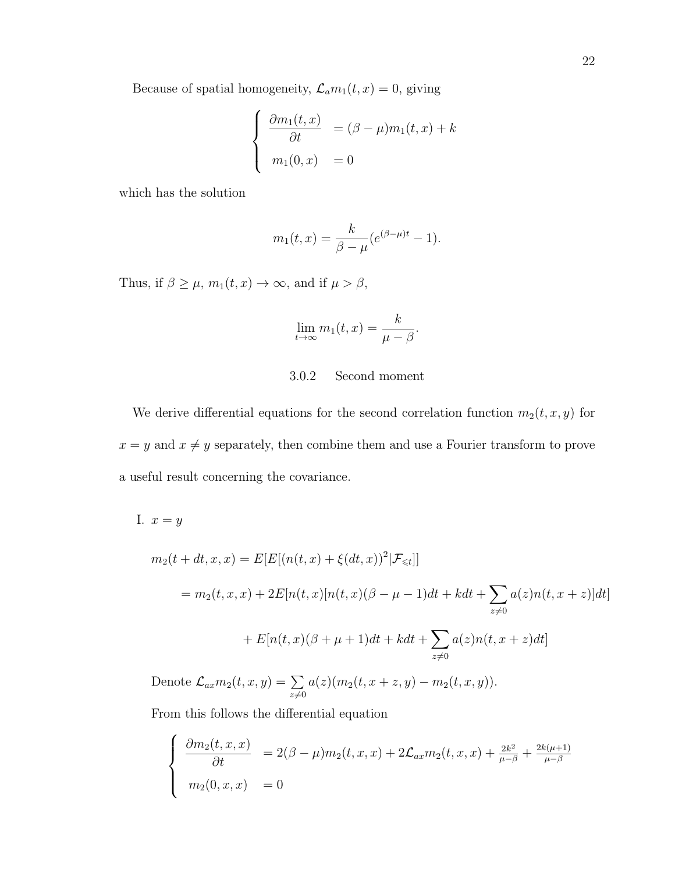Because of spatial homogeneity,  $\mathcal{L}_a m_1(t, x) = 0$ , giving

$$
\begin{cases}\n\frac{\partial m_1(t,x)}{\partial t} = (\beta - \mu)m_1(t,x) + k \\
m_1(0,x) = 0\n\end{cases}
$$

which has the solution

$$
m_1(t,x) = \frac{k}{\beta - \mu} (e^{(\beta - \mu)t} - 1).
$$

Thus, if  $\beta \geq \mu$ ,  $m_1(t, x) \to \infty$ , and if  $\mu > \beta$ ,

$$
\lim_{t \to \infty} m_1(t, x) = \frac{k}{\mu - \beta}.
$$

### 3.0.2 Second moment

We derive differential equations for the second correlation function  $m_2(t, x, y)$  for  $x = y$  and  $x \neq y$  separately, then combine them and use a Fourier transform to prove a useful result concerning the covariance.

I.  $x=y$  $m_2(t + dt, x, x) = E[E[(n(t, x) + \xi(dt, x))^2 | \mathcal{F}_{\leq t}]]$  $= m_2(t, x, x) + 2E[n(t, x)[n(t, x)(\beta - \mu - 1)dt + kdt + \sum$  $z\neq0$  $a(z)n(t, x+z)$ ]dt  $+ E[n(t, x)(\beta + \mu + 1)dt + kdt + \sum$  $z\neq0$  $a(z)n(t, x+z)dt]$ Denote  $\mathcal{L}_{ax}m_2(t,x,y)=\sum$  $z\neq0$  $a(z)(m_2(t, x + z, y) - m_2(t, x, y)).$ 

From this follows the differential equation

$$
\begin{cases} \frac{\partial m_2(t, x, x)}{\partial t} = 2(\beta - \mu) m_2(t, x, x) + 2\mathcal{L}_{ax} m_2(t, x, x) + \frac{2k^2}{\mu - \beta} + \frac{2k(\mu + 1)}{\mu - \beta} \\ m_2(0, x, x) = 0 \end{cases}
$$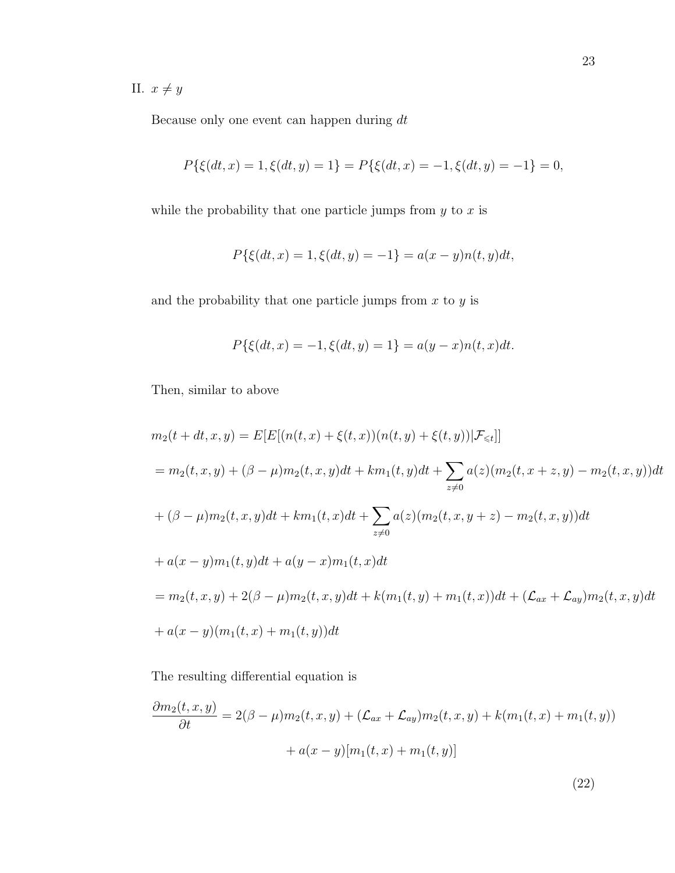II.  $x \neq y$ 

Because only one event can happen during  $dt$ 

$$
P\{\xi(dt,x)=1,\xi(dt,y)=1\}=P\{\xi(dt,x)=-1,\xi(dt,y)=-1\}=0,
$$

while the probability that one particle jumps from  $y$  to  $x$  is

$$
P\{\xi(dt, x) = 1, \xi(dt, y) = -1\} = a(x - y)n(t, y)dt,
$$

and the probability that one particle jumps from  $x$  to  $y$  is

$$
P\{\xi(dt,x) = -1, \xi(dt,y) = 1\} = a(y-x)n(t,x)dt.
$$

Then, similar to above

$$
m_2(t + dt, x, y) = E[E[(n(t, x) + \xi(t, x))(n(t, y) + \xi(t, y))|\mathcal{F}_{\leq t}]]
$$
  
\n
$$
= m_2(t, x, y) + (\beta - \mu)m_2(t, x, y)dt + km_1(t, y)dt + \sum_{z \neq 0} a(z)(m_2(t, x + z, y) - m_2(t, x, y))dt
$$
  
\n
$$
+ (\beta - \mu)m_2(t, x, y)dt + km_1(t, x)dt + \sum_{z \neq 0} a(z)(m_2(t, x, y + z) - m_2(t, x, y))dt
$$
  
\n
$$
+ a(x - y)m_1(t, y)dt + a(y - x)m_1(t, x)dt
$$
  
\n
$$
= m_2(t, x, y) + 2(\beta - \mu)m_2(t, x, y)dt + k(m_1(t, y) + m_1(t, x))dt + (\mathcal{L}_{ax} + \mathcal{L}_{ay})m_2(t, x, y)dt
$$
  
\n
$$
+ a(x - y)(m_1(t, x) + m_1(t, y))dt
$$

The resulting differential equation is

$$
\frac{\partial m_2(t, x, y)}{\partial t} = 2(\beta - \mu) m_2(t, x, y) + (\mathcal{L}_{ax} + \mathcal{L}_{ay}) m_2(t, x, y) + k(m_1(t, x) + m_1(t, y))
$$

$$
+ a(x - y)[m_1(t, x) + m_1(t, y)]
$$

(22)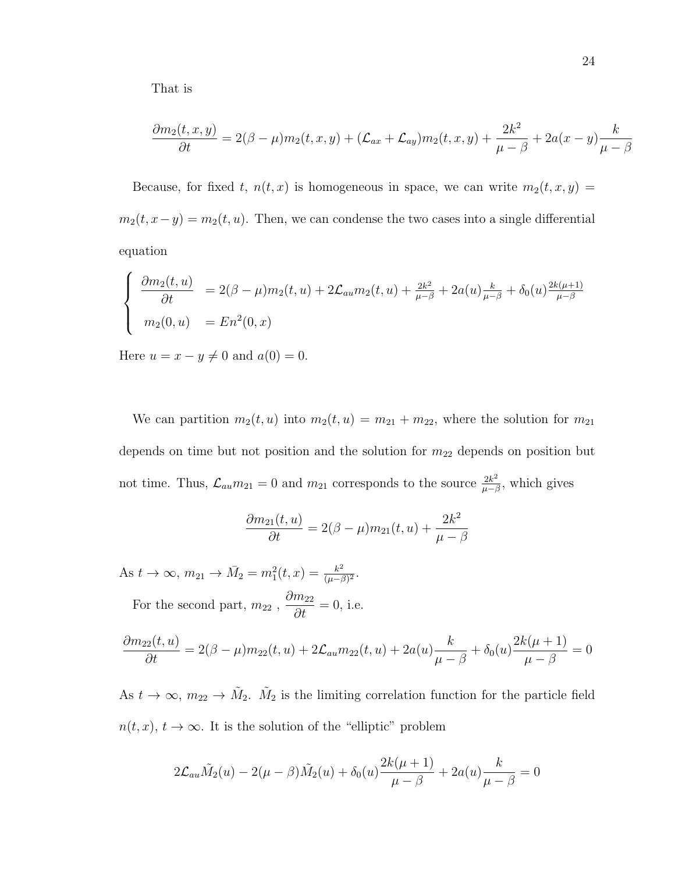That is

$$
\frac{\partial m_2(t, x, y)}{\partial t} = 2(\beta - \mu)m_2(t, x, y) + (\mathcal{L}_{ax} + \mathcal{L}_{ay})m_2(t, x, y) + \frac{2k^2}{\mu - \beta} + 2a(x - y)\frac{k}{\mu - \beta}
$$

Because, for fixed t,  $n(t, x)$  is homogeneous in space, we can write  $m_2(t, x, y) =$  $m_2(t, x-y) = m_2(t, u)$ . Then, we can condense the two cases into a single differential equation

$$
\begin{cases}\n\frac{\partial m_2(t, u)}{\partial t} = 2(\beta - \mu) m_2(t, u) + 2\mathcal{L}_{au} m_2(t, u) + \frac{2k^2}{\mu - \beta} + 2a(u) \frac{k}{\mu - \beta} + \delta_0(u) \frac{2k(\mu + 1)}{\mu - \beta} \\
m_2(0, u) = En^2(0, x)\n\end{cases}
$$

Here  $u = x - y \neq 0$  and  $a(0) = 0$ .

We can partition  $m_2(t, u)$  into  $m_2(t, u) = m_{21} + m_{22}$ , where the solution for  $m_{21}$ depends on time but not position and the solution for  $m_{22}$  depends on position but not time. Thus,  $\mathcal{L}_{au}m_{21}=0$  and  $m_{21}$  corresponds to the source  $\frac{2k^2}{u-k}$  $rac{2k^2}{\mu-\beta}$ , which gives

$$
\frac{\partial m_{21}(t,u)}{\partial t} = 2(\beta - \mu)m_{21}(t,u) + \frac{2k^2}{\mu - \beta}
$$

As  $t \to \infty$ ,  $m_{21} \to \bar{M}_2 = m_1^2(t, x) = \frac{k^2}{(\mu - \beta)}$  $\frac{k^2}{(\mu-\beta)^2}$ . For the second part,  $m_{22}$ ,  $\partial m_{22}$  $\frac{m_{22}}{\partial t} = 0$ , i.e.

$$
\frac{\partial m_{22}(t, u)}{\partial t} = 2(\beta - \mu)m_{22}(t, u) + 2\mathcal{L}_{au}m_{22}(t, u) + 2a(u)\frac{k}{\mu - \beta} + \delta_0(u)\frac{2k(\mu + 1)}{\mu - \beta} = 0
$$

As  $t \to \infty$ ,  $m_{22} \to \tilde{M}_2$ .  $\tilde{M}_2$  is the limiting correlation function for the particle field  $n(t, x), t \to \infty$ . It is the solution of the "elliptic" problem

$$
2\mathcal{L}_{au}\tilde{M}_{2}(u) - 2(\mu - \beta)\tilde{M}_{2}(u) + \delta_{0}(u)\frac{2k(\mu + 1)}{\mu - \beta} + 2a(u)\frac{k}{\mu - \beta} = 0
$$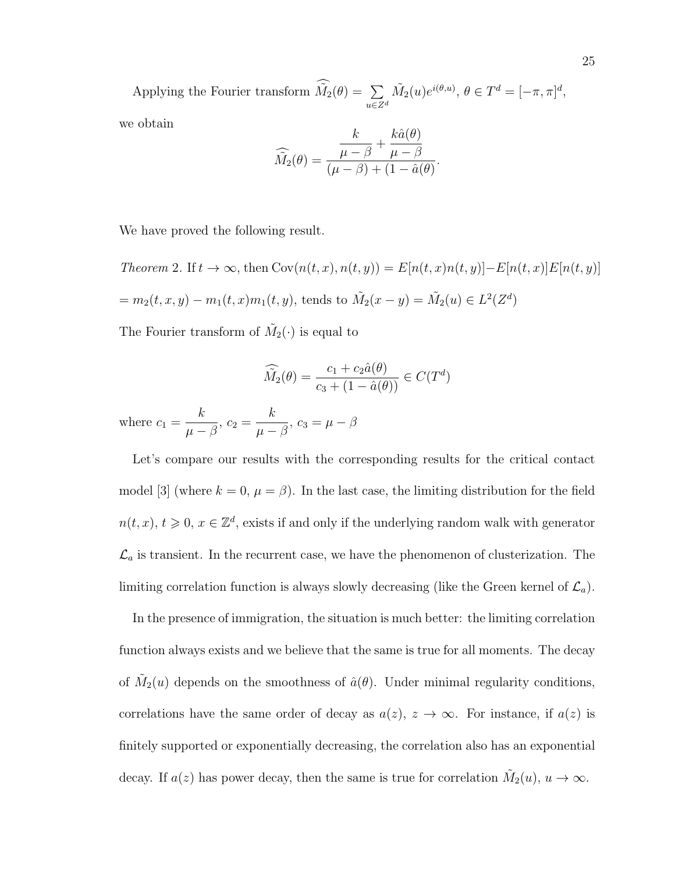Applying the Fourier transform  $\tilde{M}_2(\theta) = \sum$  $u \in \mathbb{Z}^d$  $\tilde{M_2}(u)e^{i(\theta,u)}, \theta \in T^d = [-\pi, \pi]^d,$ we obtain  $h \hat{\sigma}(\theta)$ 

$$
\widehat{M}_2(\theta) = \frac{\frac{k}{\mu - \beta} + \frac{k\hat{a}(\theta)}{\mu - \beta}}{(\mu - \beta) + (1 - \hat{a}(\theta))}.
$$

We have proved the following result.

Theorem 2. If 
$$
t \to \infty
$$
, then  $Cov(n(t, x), n(t, y)) = E[n(t, x)n(t, y)] - E[n(t, x)]E[n(t, y)]$   
=  $m_2(t, x, y) - m_1(t, x)m_1(t, y)$ , tends to  $\tilde{M}_2(x - y) = \tilde{M}_2(u) \in L^2(Z^d)$ 

The Fourier transform of  $\tilde{M}_2(\cdot)$  is equal to

$$
\widehat{\tilde{M}_2}(\theta) = \frac{c_1 + c_2 \hat{a}(\theta)}{c_3 + (1 - \hat{a}(\theta))} \in C(T^d)
$$

where  $c_1 =$ k  $\frac{n}{\mu-\beta},\,c_2=$ k  $\frac{n}{\mu-\beta},\,c_3=\mu-\beta$ 

Let's compare our results with the corresponding results for the critical contact model [3] (where  $k = 0$ ,  $\mu = \beta$ ). In the last case, the limiting distribution for the field  $n(t, x), t \geq 0, x \in \mathbb{Z}^d$ , exists if and only if the underlying random walk with generator  $\mathcal{L}_a$  is transient. In the recurrent case, we have the phenomenon of clusterization. The limiting correlation function is always slowly decreasing (like the Green kernel of  $\mathcal{L}_a$ ).

In the presence of immigration, the situation is much better: the limiting correlation function always exists and we believe that the same is true for all moments. The decay of  $\tilde{M}_2(u)$  depends on the smoothness of  $\hat{a}(\theta)$ . Under minimal regularity conditions, correlations have the same order of decay as  $a(z)$ ,  $z \to \infty$ . For instance, if  $a(z)$  is finitely supported or exponentially decreasing, the correlation also has an exponential decay. If  $a(z)$  has power decay, then the same is true for correlation  $\tilde{M}_2(u)$ ,  $u \to \infty$ .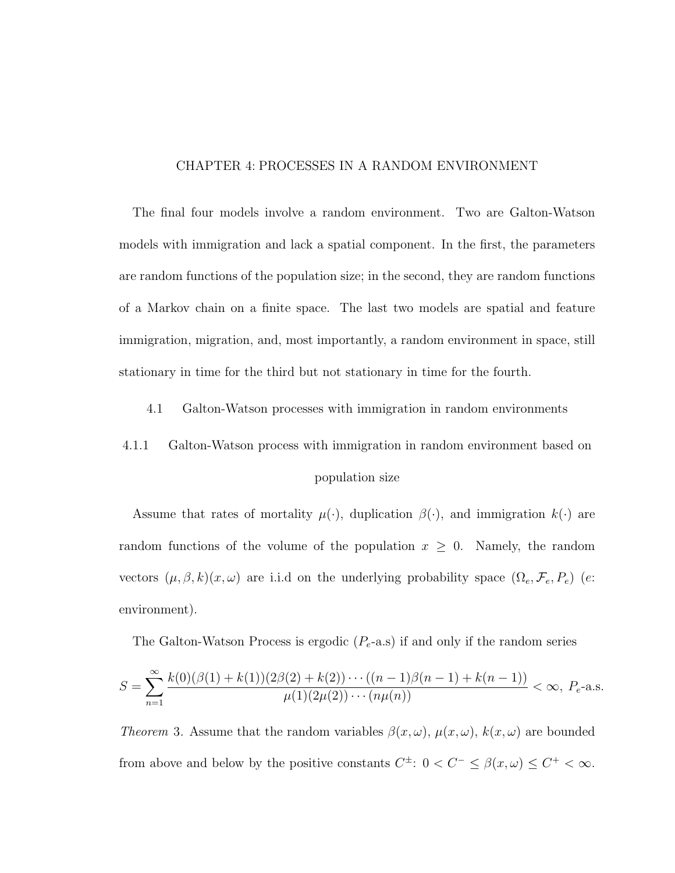### CHAPTER 4: PROCESSES IN A RANDOM ENVIRONMENT

The final four models involve a random environment. Two are Galton-Watson models with immigration and lack a spatial component. In the first, the parameters are random functions of the population size; in the second, they are random functions of a Markov chain on a finite space. The last two models are spatial and feature immigration, migration, and, most importantly, a random environment in space, still stationary in time for the third but not stationary in time for the fourth.

4.1 Galton-Watson processes with immigration in random environments

# 4.1.1 Galton-Watson process with immigration in random environment based on population size

Assume that rates of mortality  $\mu(\cdot)$ , duplication  $\beta(\cdot)$ , and immigration  $k(\cdot)$  are random functions of the volume of the population  $x \geq 0$ . Namely, the random vectors  $(\mu, \beta, k)(x, \omega)$  are i.i.d on the underlying probability space  $(\Omega_e, \mathcal{F}_e, P_e)$  (e: environment).

The Galton-Watson Process is ergodic  $(P_e$ -a.s) if and only if the random series

$$
S = \sum_{n=1}^{\infty} \frac{k(0)(\beta(1) + k(1))(2\beta(2) + k(2))\cdots((n-1)\beta(n-1) + k(n-1))}{\mu(1)(2\mu(2))\cdots(n\mu(n))} < \infty, \ P_e
$$
-a.s.

Theorem 3. Assume that the random variables  $\beta(x,\omega)$ ,  $\mu(x,\omega)$ ,  $k(x,\omega)$  are bounded from above and below by the positive constants  $C^{\pm}$ :  $0 < C^{-} \leq \beta(x,\omega) \leq C^{+} < \infty$ .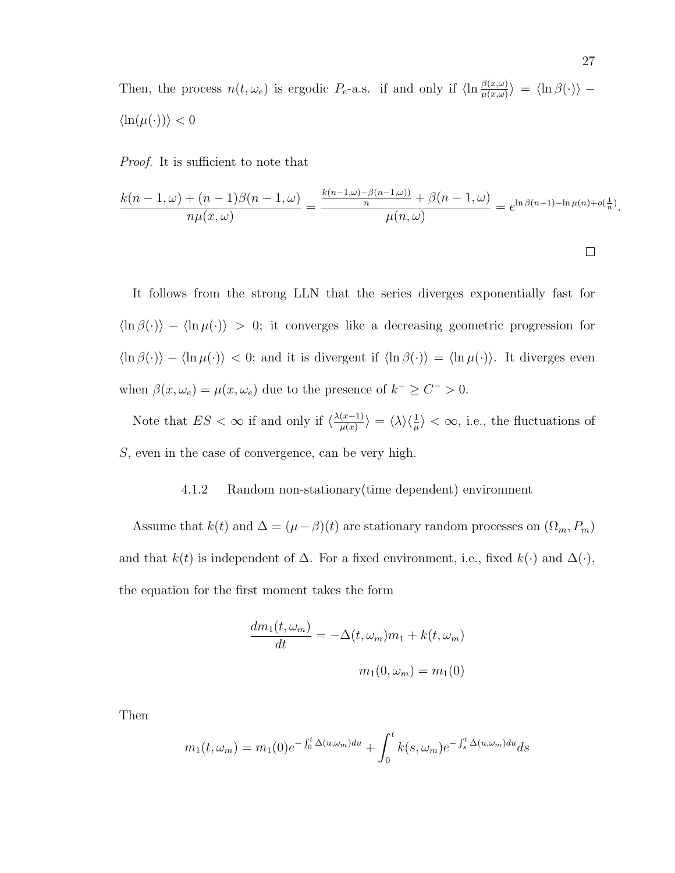Then, the process  $n(t, \omega_e)$  is ergodic  $P_e$ -a.s. if and only if  $\langle \ln \frac{\beta(x,\omega)}{\mu(x,\omega)} \rangle = \langle \ln \beta(\cdot) \rangle$  –  $\langle \ln(\mu(\cdot)) \rangle < 0$ 

Proof. It is sufficient to note that

$$
\frac{k(n-1,\omega) + (n-1)\beta(n-1,\omega)}{n\mu(x,\omega)} = \frac{\frac{k(n-1,\omega) - \beta(n-1,\omega))}{n} + \beta(n-1,\omega)}{\mu(n,\omega)} = e^{\ln \beta(n-1) - \ln \mu(n) + o(\frac{1}{n})}.
$$

It follows from the strong LLN that the series diverges exponentially fast for  $\langle \ln \beta(\cdot) \rangle - \langle \ln \mu(\cdot) \rangle > 0$ ; it converges like a decreasing geometric progression for  $\langle \ln \beta(\cdot) \rangle - \langle \ln \mu(\cdot) \rangle < 0$ ; and it is divergent if  $\langle \ln \beta(\cdot) \rangle = \langle \ln \mu(\cdot) \rangle$ . It diverges even when  $\beta(x,\omega_e) = \mu(x,\omega_e)$  due to the presence of  $k^- \ge C^- > 0$ .

Note that  $ES < \infty$  if and only if  $\langle \frac{\lambda(x-1)}{\mu(x)} \rangle$  $\langle \frac{(x-1)}{\mu(x)} \rangle = \langle \lambda \rangle \langle \frac{1}{\mu} \rangle < \infty$ , i.e., the fluctuations of S, even in the case of convergence, can be very high.

### 4.1.2 Random non-stationary(time dependent) environment

Assume that  $k(t)$  and  $\Delta = (\mu - \beta)(t)$  are stationary random processes on  $(\Omega_m, P_m)$ and that  $k(t)$  is independent of  $\Delta$ . For a fixed environment, i.e., fixed  $k(\cdot)$  and  $\Delta(\cdot)$ , the equation for the first moment takes the form

$$
\frac{dm_1(t,\omega_m)}{dt} = -\Delta(t,\omega_m)m_1 + k(t,\omega_m)
$$

$$
m_1(0,\omega_m) = m_1(0)
$$

Then

$$
m_1(t,\omega_m) = m_1(0)e^{-\int_0^t \Delta(u,\omega_m)du} + \int_0^t k(s,\omega_m)e^{-\int_s^t \Delta(u,\omega_m)du}ds
$$

 $\Box$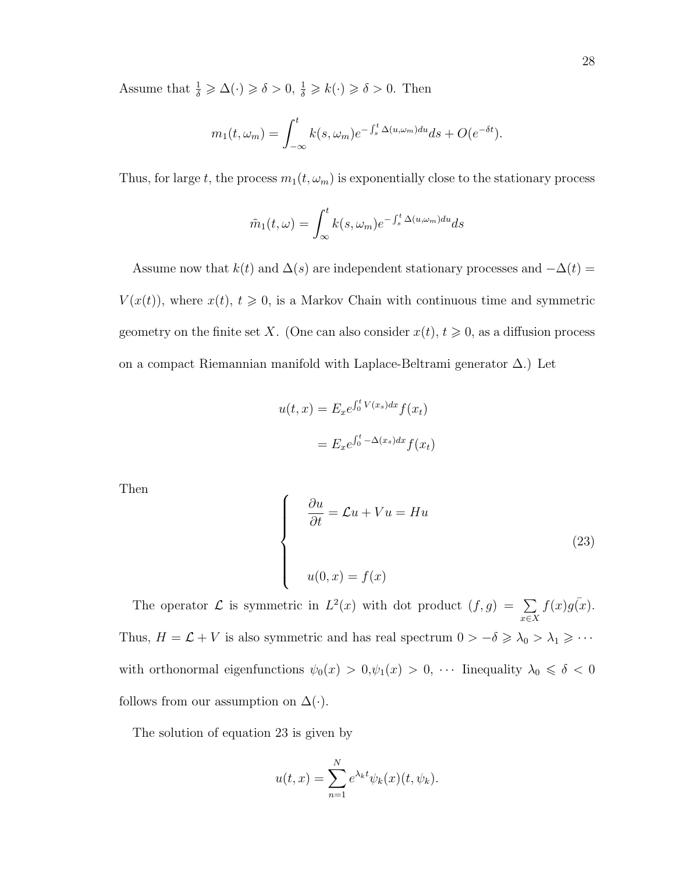Assume that  $\frac{1}{\delta} \geq \Delta(\cdot) \geq \delta > 0, \frac{1}{\delta} \geq k(\cdot) \geq \delta > 0$ . Then

$$
m_1(t,\omega_m) = \int_{-\infty}^t k(s,\omega_m) e^{-\int_s^t \Delta(u,\omega_m) du} ds + O(e^{-\delta t}).
$$

Thus, for large t, the process  $m_1(t, \omega_m)$  is exponentially close to the stationary process

$$
\tilde{m}_1(t,\omega) = \int_{\infty}^t k(s,\omega_m) e^{-\int_s^t \Delta(u,\omega_m) du} ds
$$

Assume now that  $k(t)$  and  $\Delta(s)$  are independent stationary processes and  $-\Delta(t)$  =  $V(x(t))$ , where  $x(t)$ ,  $t \geq 0$ , is a Markov Chain with continuous time and symmetric geometry on the finite set X. (One can also consider  $x(t)$ ,  $t \geq 0$ , as a diffusion process on a compact Riemannian manifold with Laplace-Beltrami generator ∆.) Let

$$
u(t,x) = E_x e^{\int_0^t V(x_s)dx} f(x_t)
$$

$$
= E_x e^{\int_0^t -\Delta(x_s)dx} f(x_t)
$$

Then

$$
\begin{cases}\n\frac{\partial u}{\partial t} = \mathcal{L}u + Vu = Hu \\
u(0, x) = f(x)\n\end{cases}
$$
\n(23)

The operator  $\mathcal L$  is symmetric in  $L^2(x)$  with dot product  $(f, g) = \sum$ x∈X  $f(x)g(x)$ . Thus,  $H = \mathcal{L} + V$  is also symmetric and has real spectrum  $0 > -\delta \ge \lambda_0 > \lambda_1 \ge \cdots$ with orthonormal eigenfunctions  $\psi_0(x) > 0, \psi_1(x) > 0, \cdots$  Iinequality  $\lambda_0 \le \delta < 0$ follows from our assumption on  $\Delta(\cdot)$ .

The solution of equation 23 is given by

$$
u(t,x) = \sum_{n=1}^{N} e^{\lambda_k t} \psi_k(x)(t, \psi_k).
$$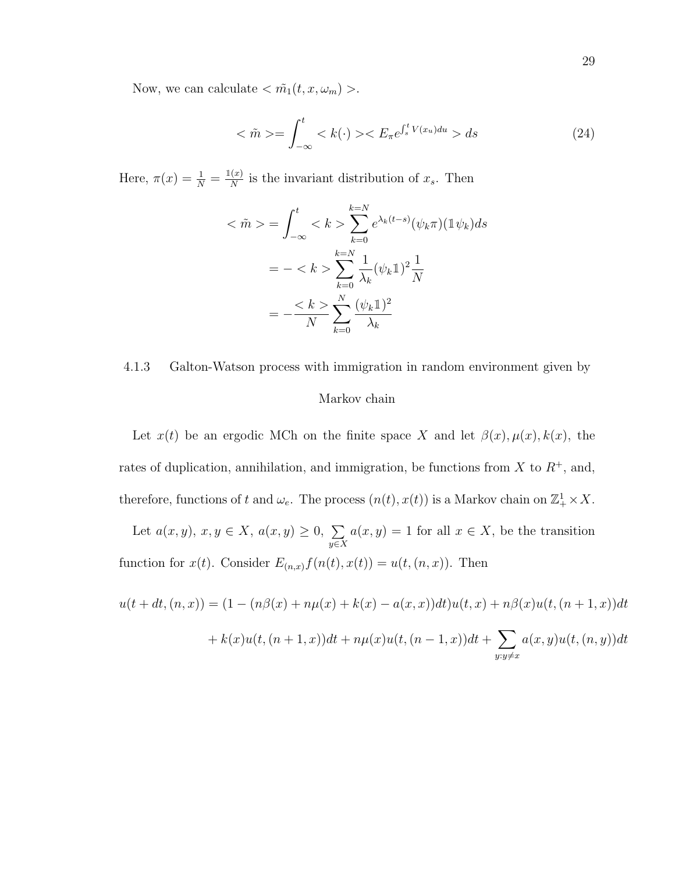Now, we can calculate  $\langle \tilde{m_1}(t,x,\omega_m)\rangle$ .

$$
\langle \tilde{m} \rangle = \int_{-\infty}^{t} \langle k(\cdot) \rangle \langle E_{\pi} e^{\int_{s}^{t} V(x_{u}) du} \rangle ds \qquad (24)
$$

Here,  $\pi(x) = \frac{1}{N} = \frac{\mathbb{1}(x)}{N}$  $\frac{x}{N}$  is the invariant distribution of  $x_s$ . Then

$$
\langle \tilde{m} \rangle = \int_{-\infty}^{t} \langle k \rangle \sum_{k=0}^{k=N} e^{\lambda_k (t-s)} (\psi_k \pi) (\mathbb{1} \psi_k) ds
$$
  
= - $\langle k \rangle \sum_{k=0}^{k=N} \frac{1}{\lambda_k} (\psi_k \mathbb{1})^2 \frac{1}{N}$   
= - $\frac{\langle k \rangle}{N} \sum_{k=0}^{N} \frac{(\psi_k \mathbb{1})^2}{\lambda_k}$ 

# 4.1.3 Galton-Watson process with immigration in random environment given by Markov chain

Let  $x(t)$  be an ergodic MCh on the finite space X and let  $\beta(x), \mu(x), k(x)$ , the rates of duplication, annihilation, and immigration, be functions from  $X$  to  $R^+$ , and, therefore, functions of t and  $\omega_e$ . The process  $(n(t), x(t))$  is a Markov chain on  $\mathbb{Z}_+^1 \times X$ .

Let  $a(x, y), x, y \in X$ ,  $a(x, y) \geq 0$ ,  $\sum$  $y \in X$  $a(x, y) = 1$  for all  $x \in X$ , be the transition function for  $x(t)$ . Consider  $E_{(n,x)}f(n(t), x(t)) = u(t,(n,x))$ . Then

$$
u(t + dt, (n, x)) = (1 - (n\beta(x) + n\mu(x) + k(x) - a(x, x))dt)u(t, x) + n\beta(x)u(t, (n + 1, x))dt
$$

$$
+ k(x)u(t, (n + 1, x))dt + n\mu(x)u(t, (n - 1, x))dt + \sum_{y:y \neq x} a(x, y)u(t, (n, y))dt
$$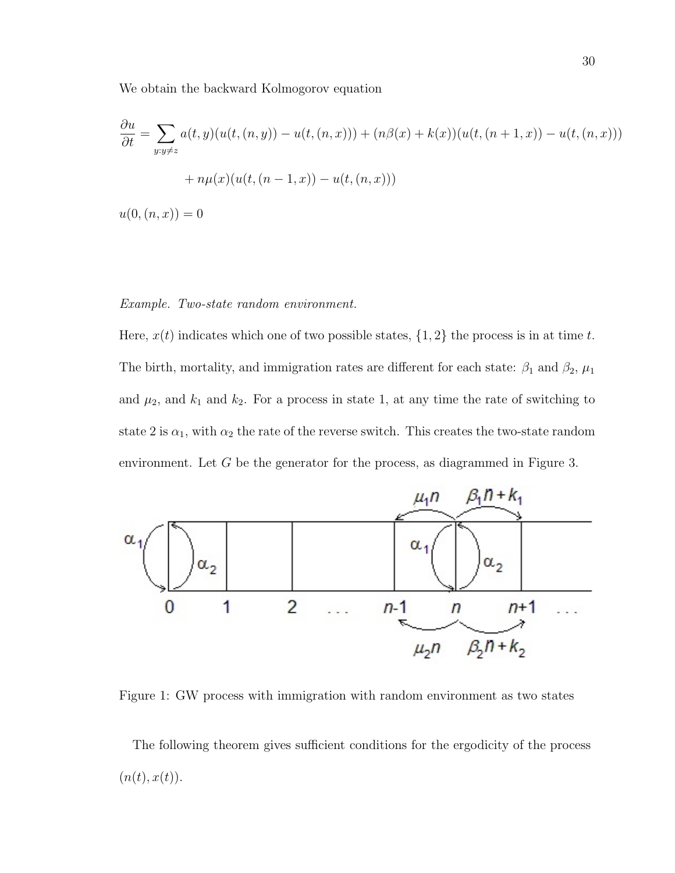We obtain the backward Kolmogorov equation

$$
\frac{\partial u}{\partial t} = \sum_{y:y \neq z} a(t, y)(u(t, (n, y)) - u(t, (n, x))) + (n\beta(x) + k(x))(u(t, (n + 1, x)) - u(t, (n, x))) + n\mu(x)(u(t, (n - 1, x)) - u(t, (n, x)))
$$

 $u(0,(n,x)) = 0$ 

### Example. Two-state random environment.

Here,  $x(t)$  indicates which one of two possible states,  $\{1, 2\}$  the process is in at time t. The birth, mortality, and immigration rates are different for each state:  $\beta_1$  and  $\beta_2$ ,  $\mu_1$ and  $\mu_2$ , and  $k_1$  and  $k_2$ . For a process in state 1, at any time the rate of switching to state 2 is  $\alpha_1$ , with  $\alpha_2$  the rate of the reverse switch. This creates the two-state random environment. Let G be the generator for the process, as diagrammed in Figure 3.



Figure 1: GW process with immigration with random environment as two states

The following theorem gives sufficient conditions for the ergodicity of the process  $(n(t), x(t)).$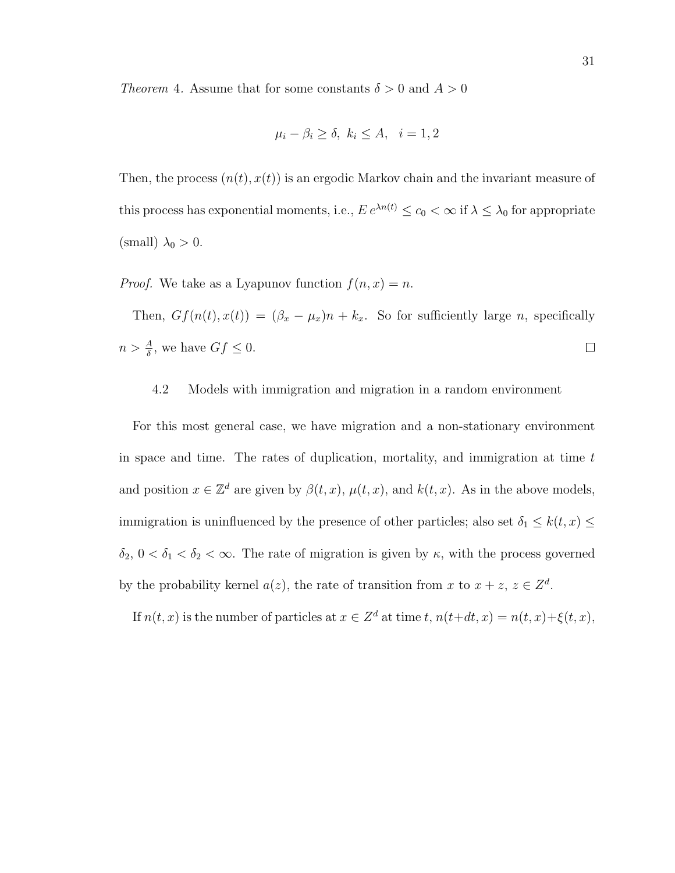Theorem 4. Assume that for some constants  $\delta > 0$  and  $A > 0$ 

$$
\mu_i - \beta_i \ge \delta, \ k_i \le A, \ i = 1, 2
$$

Then, the process  $(n(t), x(t))$  is an ergodic Markov chain and the invariant measure of this process has exponential moments, i.e.,  $E e^{\lambda n(t)} \le c_0 < \infty$  if  $\lambda \le \lambda_0$  for appropriate (small)  $\lambda_0 > 0$ .

*Proof.* We take as a Lyapunov function  $f(n, x) = n$ .

Then,  $Gf(n(t), x(t)) = (\beta_x - \mu_x)n + k_x$ . So for sufficiently large *n*, specifically  $n > \frac{A}{\delta}$ , we have  $Gf \leq 0$ .  $\Box$ 

## 4.2 Models with immigration and migration in a random environment

For this most general case, we have migration and a non-stationary environment in space and time. The rates of duplication, mortality, and immigration at time  $t$ and position  $x \in \mathbb{Z}^d$  are given by  $\beta(t, x)$ ,  $\mu(t, x)$ , and  $k(t, x)$ . As in the above models, immigration is uninfluenced by the presence of other particles; also set  $\delta_1 \leq k(t, x) \leq$  $\delta_2$ ,  $0 < \delta_1 < \delta_2 < \infty$ . The rate of migration is given by  $\kappa$ , with the process governed by the probability kernel  $a(z)$ , the rate of transition from x to  $x + z$ ,  $z \in \mathbb{Z}^d$ .

If  $n(t, x)$  is the number of particles at  $x \in \mathbb{Z}^d$  at time  $t, n(t+dt, x) = n(t, x) + \xi(t, x)$ ,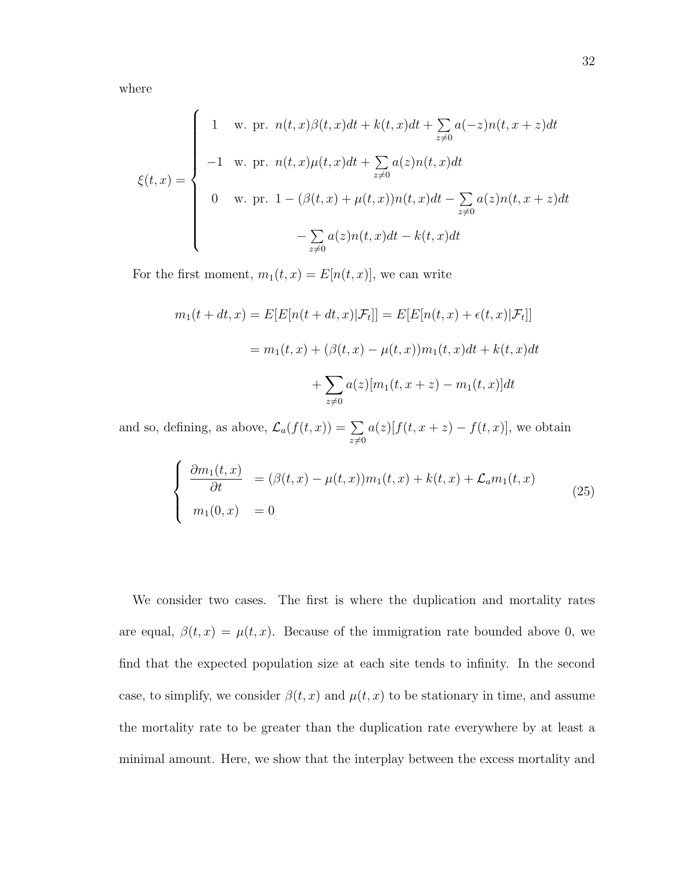where

$$
\xi(t,x) = \begin{cases}\n1 & \text{w. pr. } n(t,x)\beta(t,x)dt + k(t,x)dt + \sum_{z\neq 0} a(-z)n(t,x+z)dt \\
-1 & \text{w. pr. } n(t,x)\mu(t,x)dt + \sum_{z\neq 0} a(z)n(t,x)dt \\
0 & \text{w. pr. } 1 - (\beta(t,x) + \mu(t,x))n(t,x)dt - \sum_{z\neq 0} a(z)n(t,x+z)dt \\
& - \sum_{z\neq 0} a(z)n(t,x)dt - k(t,x)dt\n\end{cases}
$$

For the first moment,  $m_1(t, x) = E[n(t, x)]$ , we can write

$$
m_1(t + dt, x) = E[E[n(t + dt, x)|\mathcal{F}_t]] = E[E[n(t, x) + \epsilon(t, x)|\mathcal{F}_t]]
$$
  
=  $m_1(t, x) + (\beta(t, x) - \mu(t, x))m_1(t, x)dt + k(t, x)dt$   
+  $\sum_{z \neq 0} a(z)[m_1(t, x + z) - m_1(t, x)]dt$ 

and so, defining, as above,  $\mathcal{L}_a(f(t,x)) = \sum$  $z\neq0$  $a(z)[f(t, x+z) - f(t, x)]$ , we obtain

$$
\begin{cases}\n\frac{\partial m_1(t,x)}{\partial t} = (\beta(t,x) - \mu(t,x))m_1(t,x) + k(t,x) + \mathcal{L}_a m_1(t,x) \\
m_1(0,x) = 0\n\end{cases}
$$
\n(25)

We consider two cases. The first is where the duplication and mortality rates are equal,  $\beta(t, x) = \mu(t, x)$ . Because of the immigration rate bounded above 0, we find that the expected population size at each site tends to infinity. In the second case, to simplify, we consider  $\beta(t, x)$  and  $\mu(t, x)$  to be stationary in time, and assume the mortality rate to be greater than the duplication rate everywhere by at least a minimal amount. Here, we show that the interplay between the excess mortality and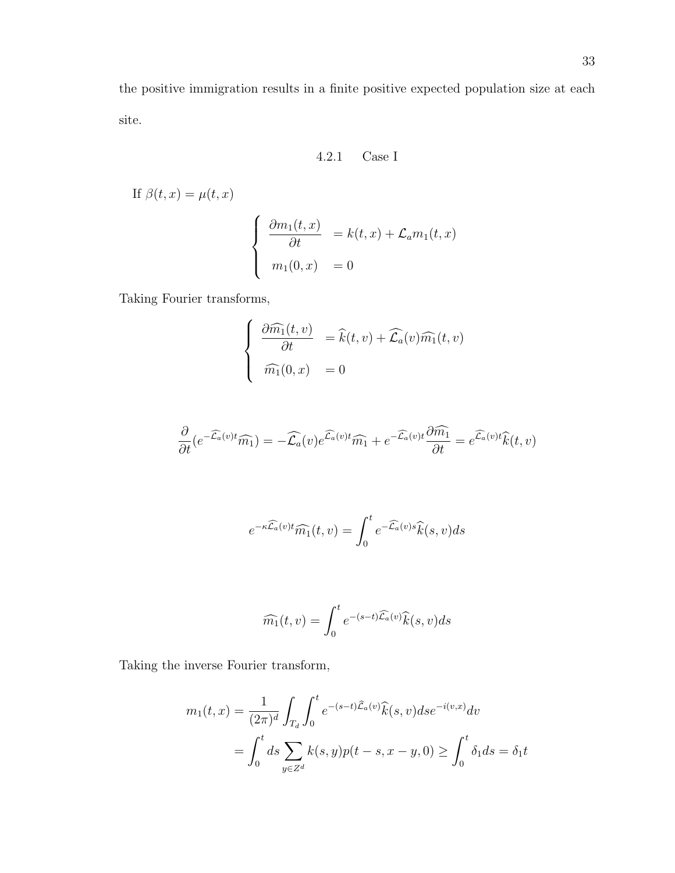the positive immigration results in a finite positive expected population size at each site.

4.2.1 Case I

If  $\beta(t, x) = \mu(t, x)$  $\sqrt{ }$  $\int$  $\overline{\mathcal{L}}$  $\frac{\partial m_1(t,x)}{\partial t}$  =  $k(t,x) + \mathcal{L}_a m_1(t,x)$  $m_1(0, x) = 0$ 

Taking Fourier transforms,

$$
\begin{cases}\n\frac{\partial \widehat{m_1}(t, v)}{\partial t} = \widehat{k}(t, v) + \widehat{\mathcal{L}_a}(v) \widehat{m_1}(t, v) \\
\widehat{m_1}(0, x) = 0\n\end{cases}
$$

$$
\frac{\partial}{\partial t}(e^{-\widehat{\mathcal{L}}_a(v)t}\widehat{m_1}) = -\widehat{\mathcal{L}_a}(v)e^{\widehat{\mathcal{L}}_a(v)t}\widehat{m_1} + e^{-\widehat{\mathcal{L}}_a(v)t}\frac{\partial \widehat{m_1}}{\partial t} = e^{\widehat{\mathcal{L}}_a(v)t}\widehat{k}(t,v)
$$

$$
e^{-\kappa \widehat{\mathcal{L}_a}(v)t} \widehat{m_1}(t,v) = \int_0^t e^{-\widehat{\mathcal{L}_a}(v)s} \widehat{k}(s,v)ds
$$

$$
\widehat{m_1}(t,v) = \int_0^t e^{-(s-t)\widehat{\mathcal{L}_a}(v)} \widehat{k}(s,v) ds
$$

Taking the inverse Fourier transform,

$$
m_1(t,x) = \frac{1}{(2\pi)^d} \int_{T_d} \int_0^t e^{-(s-t)\hat{\mathcal{L}}_a(v)} \hat{k}(s,v) ds e^{-i(v,x)} dv
$$
  
= 
$$
\int_0^t ds \sum_{y \in Z^d} k(s,y) p(t-s, x-y, 0) \ge \int_0^t \delta_1 ds = \delta_1 t
$$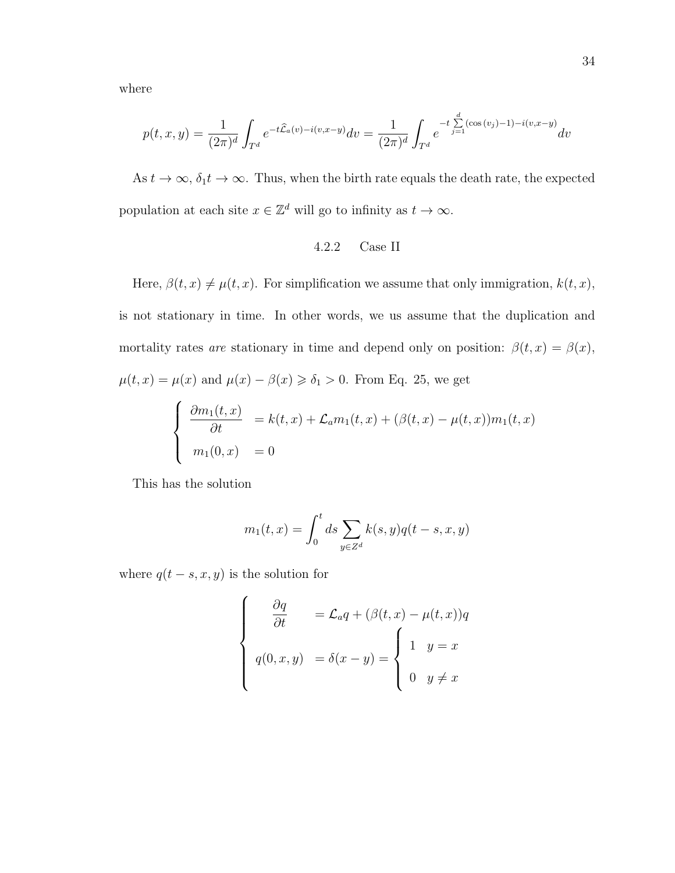where

$$
p(t, x, y) = \frac{1}{(2\pi)^d} \int_{T^d} e^{-t\hat{\mathcal{L}}_a(v) - i(v, x - y)} dv = \frac{1}{(2\pi)^d} \int_{T^d} e^{-t \sum_{j=1}^d (\cos(v_j) - 1) - i(v, x - y)} dv
$$

As  $t \to \infty$ ,  $\delta_1 t \to \infty$ . Thus, when the birth rate equals the death rate, the expected population at each site  $x \in \mathbb{Z}^d$  will go to infinity as  $t \to \infty$ .

## 4.2.2 Case II

Here,  $\beta(t, x) \neq \mu(t, x)$ . For simplification we assume that only immigration,  $k(t, x)$ , is not stationary in time. In other words, we us assume that the duplication and mortality rates are stationary in time and depend only on position:  $\beta(t,x) = \beta(x)$ ,  $\mu(t, x) = \mu(x)$  and  $\mu(x) - \beta(x) \ge \delta_1 > 0$ . From Eq. 25, we get

$$
\begin{cases}\n\frac{\partial m_1(t,x)}{\partial t} = k(t,x) + \mathcal{L}_a m_1(t,x) + (\beta(t,x) - \mu(t,x))m_1(t,x) \\
m_1(0,x) = 0\n\end{cases}
$$

This has the solution

$$
m_1(t, x) = \int_0^t ds \sum_{y \in Z^d} k(s, y) q(t - s, x, y)
$$

where  $q(t - s, x, y)$  is the solution for

$$
\begin{cases}\n\frac{\partial q}{\partial t} = \mathcal{L}_a q + (\beta(t, x) - \mu(t, x))q \\
q(0, x, y) = \delta(x - y) = \begin{cases}\n1 & y = x \\
0 & y \neq x\n\end{cases}\n\end{cases}
$$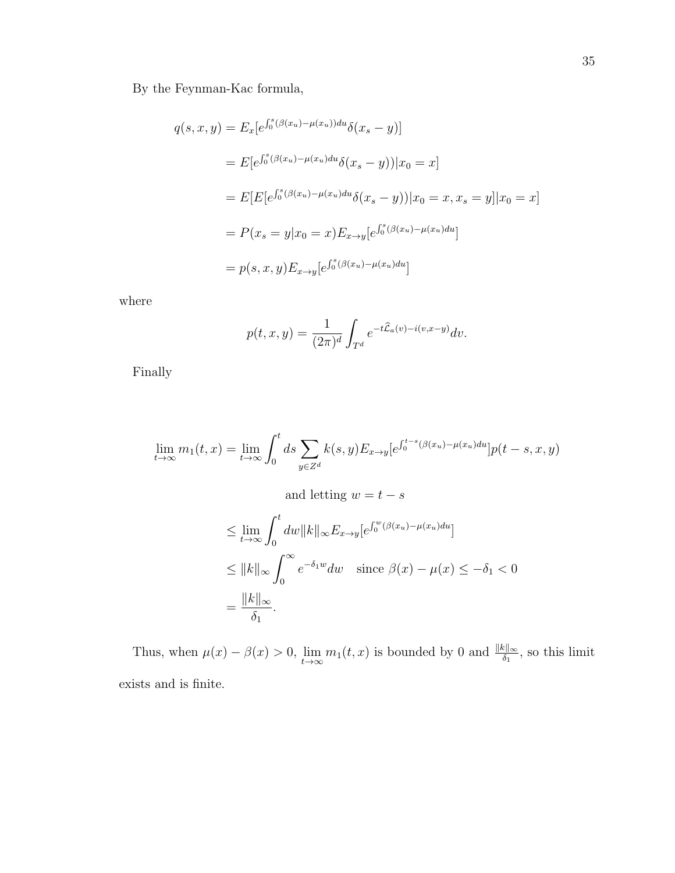By the Feynman-Kac formula,

$$
q(s, x, y) = E_x[e^{\int_0^s (\beta(x_u) - \mu(x_u))du} \delta(x_s - y)]
$$
  
=  $E[e^{\int_0^s (\beta(x_u) - \mu(x_u)du} \delta(x_s - y))|x_0 = x]$   
=  $E[E[e^{\int_0^s (\beta(x_u) - \mu(x_u)du} \delta(x_s - y))|x_0 = x, x_s = y]|x_0 = x]$   
=  $P(x_s = y|x_0 = x)E_{x \to y}[e^{\int_0^s (\beta(x_u) - \mu(x_u)du}]$   
=  $p(s, x, y)E_{x \to y}[e^{\int_0^s (\beta(x_u) - \mu(x_u)du}]$ 

where

$$
p(t, x, y) = \frac{1}{(2\pi)^d} \int_{T^d} e^{-t\widehat{\mathcal{L}}_a(v) - i(v, x-y)} dv.
$$

Finally

$$
\lim_{t \to \infty} m_1(t, x) = \lim_{t \to \infty} \int_0^t ds \sum_{y \in Z^d} k(s, y) E_{x \to y} [e^{\int_0^{t-s} (\beta(x_u) - \mu(x_u) du}] p(t - s, x, y)
$$

and letting 
$$
w = t - s
$$
  
\n $\leq \lim_{t \to \infty} \int_0^t dw \|k\|_{\infty} E_{x \to y} [e^{\int_0^w (\beta(x_u) - \mu(x_u) du}]$   
\n $\leq \|k\|_{\infty} \int_0^{\infty} e^{-\delta_1 w} dw \text{ since } \beta(x) - \mu(x) \leq -\delta_1 < 0$   
\n $= \frac{\|k\|_{\infty}}{\delta_1}.$ 

Thus, when  $\mu(x) - \beta(x) > 0$ ,  $\lim_{t \to \infty} m_1(t, x)$  is bounded by 0 and  $\frac{\|k\|_{\infty}}{\delta_1}$ , so this limit exists and is finite.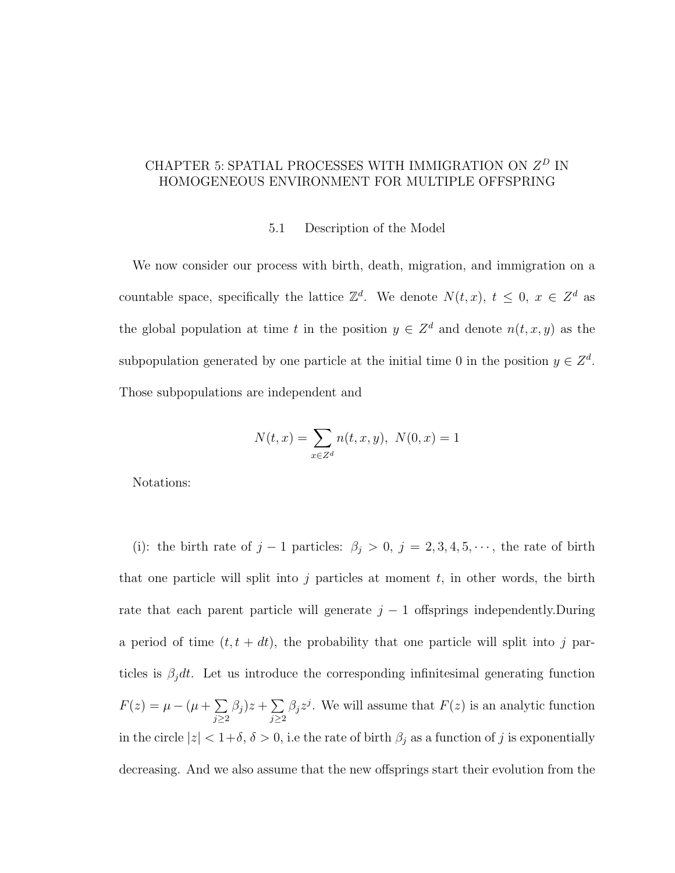# CHAPTER 5: SPATIAL PROCESSES WITH IMMIGRATION ON  $Z^D$  IN HOMOGENEOUS ENVIRONMENT FOR MULTIPLE OFFSPRING

### 5.1 Description of the Model

We now consider our process with birth, death, migration, and immigration on a countable space, specifically the lattice  $\mathbb{Z}^d$ . We denote  $N(t, x)$ ,  $t \leq 0$ ,  $x \in \mathbb{Z}^d$  as the global population at time t in the position  $y \in \mathbb{Z}^d$  and denote  $n(t, x, y)$  as the subpopulation generated by one particle at the initial time 0 in the position  $y \in \mathbb{Z}^d$ . Those subpopulations are independent and

$$
N(t, x) = \sum_{x \in Z^d} n(t, x, y), \ N(0, x) = 1
$$

Notations:

(i): the birth rate of  $j-1$  particles:  $\beta_j > 0$ ,  $j = 2, 3, 4, 5, \dots$ , the rate of birth that one particle will split into j particles at moment  $t$ , in other words, the birth rate that each parent particle will generate  $j - 1$  offsprings independently.During a period of time  $(t, t + dt)$ , the probability that one particle will split into j particles is  $\beta_j dt$ . Let us introduce the corresponding infinitesimal generating function  $F(z) = \mu - (\mu + \sum$  $j \geq 2$  $\beta_j$ ) $z+\sum$  $j \geq 2$  $\beta_j z^j$ . We will assume that  $F(z)$  is an analytic function in the circle  $|z| < 1+\delta$ ,  $\delta > 0$ , i.e the rate of birth  $\beta_j$  as a function of j is exponentially decreasing. And we also assume that the new offsprings start their evolution from the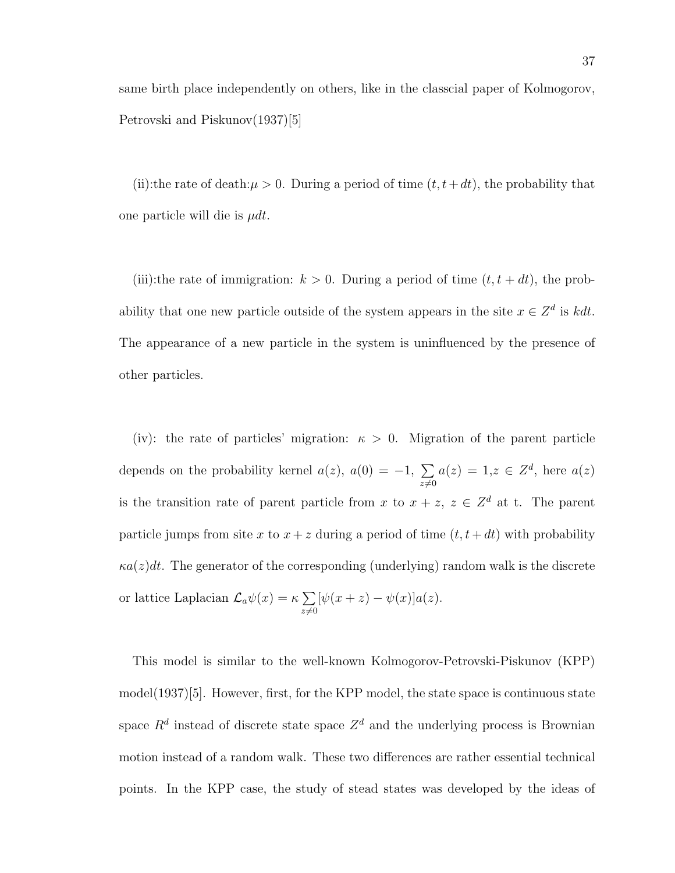same birth place independently on others, like in the classcial paper of Kolmogorov, Petrovski and Piskunov(1937)[5]

(ii):the rate of death: $\mu > 0$ . During a period of time  $(t, t+dt)$ , the probability that one particle will die is  $\mu dt$ .

(iii):the rate of immigration:  $k > 0$ . During a period of time  $(t, t + dt)$ , the probability that one new particle outside of the system appears in the site  $x \in \mathbb{Z}^d$  is kdt. The appearance of a new particle in the system is uninfluenced by the presence of other particles.

(iv): the rate of particles' migration:  $\kappa > 0$ . Migration of the parent particle depends on the probability kernel  $a(z)$ ,  $a(0) = -1$ ,  $\sum$  $z\neq0$  $a(z) = 1, z \in \mathbb{Z}^d$ , here  $a(z)$ is the transition rate of parent particle from x to  $x + z$ ,  $z \in \mathbb{Z}^d$  at t. The parent particle jumps from site x to  $x + z$  during a period of time  $(t, t + dt)$  with probability  $\kappa a(z)dt$ . The generator of the corresponding (underlying) random walk is the discrete or lattice Laplacian  $\mathcal{L}_a\psi(x) = \kappa \sum$  $z\neq0$  $[\psi(x+z)-\psi(x)]a(z).$ 

This model is similar to the well-known Kolmogorov-Petrovski-Piskunov (KPP) model(1937)[5]. However, first, for the KPP model, the state space is continuous state space  $R<sup>d</sup>$  instead of discrete state space  $Z<sup>d</sup>$  and the underlying process is Brownian motion instead of a random walk. These two differences are rather essential technical points. In the KPP case, the study of stead states was developed by the ideas of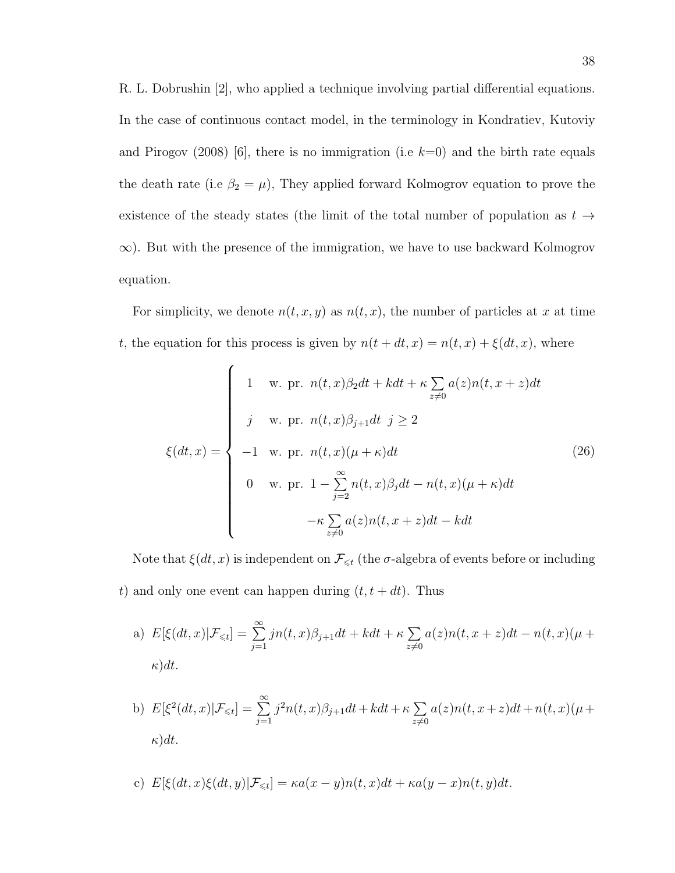R. L. Dobrushin [2], who applied a technique involving partial differential equations. In the case of continuous contact model, in the terminology in Kondratiev, Kutoviy and Pirogov (2008) [6], there is no immigration (i.e  $k=0$ ) and the birth rate equals the death rate (i.e  $\beta_2 = \mu$ ), They applied forward Kolmogrov equation to prove the existence of the steady states (the limit of the total number of population as  $t \rightarrow$  $\infty$ ). But with the presence of the immigration, we have to use backward Kolmogrov equation.

For simplicity, we denote  $n(t, x, y)$  as  $n(t, x)$ , the number of particles at x at time t, the equation for this process is given by  $n(t + dt, x) = n(t, x) + \xi(dt, x)$ , where

$$
\xi(dt,x) = \begin{cases}\n1 & \text{w. pr. } n(t,x)\beta_2 dt + kdt + \kappa \sum_{z \neq 0} a(z)n(t,x+z)dt \\
j & \text{w. pr. } n(t,x)\beta_{j+1}dt \ j \geq 2 \\
-1 & \text{w. pr. } n(t,x)(\mu + \kappa)dt \\
0 & \text{w. pr. } 1 - \sum_{j=2}^{\infty} n(t,x)\beta_j dt - n(t,x)(\mu + \kappa)dt \\
-\kappa \sum_{z \neq 0} a(z)n(t,x+z)dt - kdt\n\end{cases} \tag{26}
$$

Note that  $\xi(dt,x)$  is independent on  $\mathcal{F}_{\leq t}$  (the  $\sigma$ -algebra of events before or including t) and only one event can happen during  $(t, t + dt)$ . Thus

a) 
$$
E[\xi(dt, x)|\mathcal{F}_{\leq t}] = \sum_{j=1}^{\infty} jn(t, x)\beta_{j+1}dt + kdt + \kappa \sum_{z \neq 0} a(z)n(t, x+z)dt - n(t, x)(\mu + \kappa)dt.
$$

b) 
$$
E[\xi^{2}(dt,x)|\mathcal{F}_{\leq t}] = \sum_{j=1}^{\infty} j^{2}n(t,x)\beta_{j+1}dt + kdt + \kappa \sum_{z \neq 0} a(z)n(t,x+z)dt + n(t,x)(\mu + \kappa)dt.
$$

c) 
$$
E[\xi(dt, x)\xi(dt, y)|\mathcal{F}_{\leq t}] = \kappa a(x - y)n(t, x)dt + \kappa a(y - x)n(t, y)dt.
$$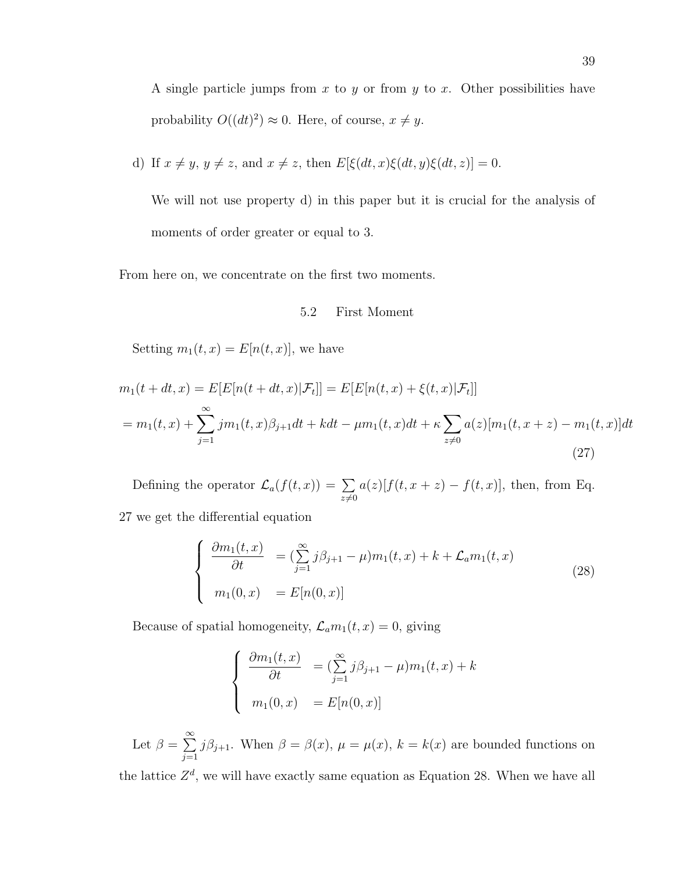A single particle jumps from x to y or from y to x. Other possibilities have probability  $O((dt)^2) \approx 0$ . Here, of course,  $x \neq y$ .

d) If 
$$
x \neq y
$$
,  $y \neq z$ , and  $x \neq z$ , then  $E[\xi(dt, x)\xi(dt, y)\xi(dt, z)] = 0$ .

We will not use property d) in this paper but it is crucial for the analysis of moments of order greater or equal to 3.

From here on, we concentrate on the first two moments.

### 5.2 First Moment

Setting  $m_1(t, x) = E[n(t, x)]$ , we have

$$
m_1(t + dt, x) = E[E[n(t + dt, x)|\mathcal{F}_t]] = E[E[n(t, x) + \xi(t, x)|\mathcal{F}_t]]
$$
  
= 
$$
m_1(t, x) + \sum_{j=1}^{\infty} j m_1(t, x) \beta_{j+1} dt + k dt - \mu m_1(t, x) dt + \kappa \sum_{z \neq 0} a(z) [m_1(t, x + z) - m_1(t, x)] dt
$$
  
(27)

Defining the operator  $\mathcal{L}_a(f(t,x)) = \sum$  $z\neq0$  $a(z)[f(t, x + z) - f(t, x)]$ , then, from Eq.

27 we get the differential equation

$$
\begin{cases}\n\frac{\partial m_1(t,x)}{\partial t} = (\sum_{j=1}^{\infty} j\beta_{j+1} - \mu) m_1(t,x) + k + \mathcal{L}_a m_1(t,x) \\
m_1(0,x) = E[n(0,x)]\n\end{cases}
$$
\n(28)

Because of spatial homogeneity,  $\mathcal{L}_a m_1(t, x) = 0$ , giving

$$
\begin{cases}\n\frac{\partial m_1(t,x)}{\partial t} = \left(\sum_{j=1}^{\infty} j\beta_{j+1} - \mu\right) m_1(t,x) + k \\
m_1(0,x) = E[n(0,x)]\n\end{cases}
$$

Let  $\beta = \sum_{n=1}^{\infty}$  $j=1$  $j\beta_{j+1}$ . When  $\beta = \beta(x)$ ,  $\mu = \mu(x)$ ,  $k = k(x)$  are bounded functions on

the lattice  $Z^d$ , we will have exactly same equation as Equation 28. When we have all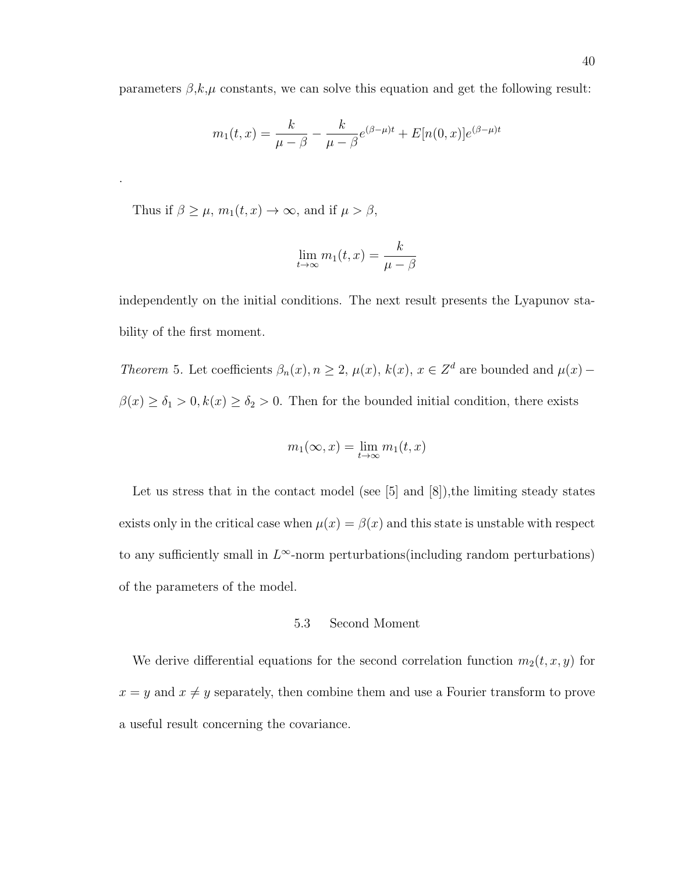parameters  $\beta, k, \mu$  constants, we can solve this equation and get the following result:

$$
m_1(t,x) = \frac{k}{\mu - \beta} - \frac{k}{\mu - \beta} e^{(\beta - \mu)t} + E[n(0,x)]e^{(\beta - \mu)t}
$$

Thus if  $\beta \geq \mu$ ,  $m_1(t, x) \to \infty$ , and if  $\mu > \beta$ ,

.

$$
\lim_{t \to \infty} m_1(t, x) = \frac{k}{\mu - \beta}
$$

independently on the initial conditions. The next result presents the Lyapunov stability of the first moment.

Theorem 5. Let coefficients  $\beta_n(x), n \geq 2$ ,  $\mu(x), k(x), x \in \mathbb{Z}^d$  are bounded and  $\mu(x)$  –  $\beta(x) \ge \delta_1 > 0, k(x) \ge \delta_2 > 0$ . Then for the bounded initial condition, there exists

$$
m_1(\infty, x) = \lim_{t \to \infty} m_1(t, x)
$$

Let us stress that in the contact model (see  $[5]$  and  $[8]$ ), the limiting steady states exists only in the critical case when  $\mu(x) = \beta(x)$  and this state is unstable with respect to any sufficiently small in  $L^{\infty}$ -norm perturbations(including random perturbations) of the parameters of the model.

## 5.3 Second Moment

We derive differential equations for the second correlation function  $m_2(t, x, y)$  for  $x = y$  and  $x \neq y$  separately, then combine them and use a Fourier transform to prove a useful result concerning the covariance.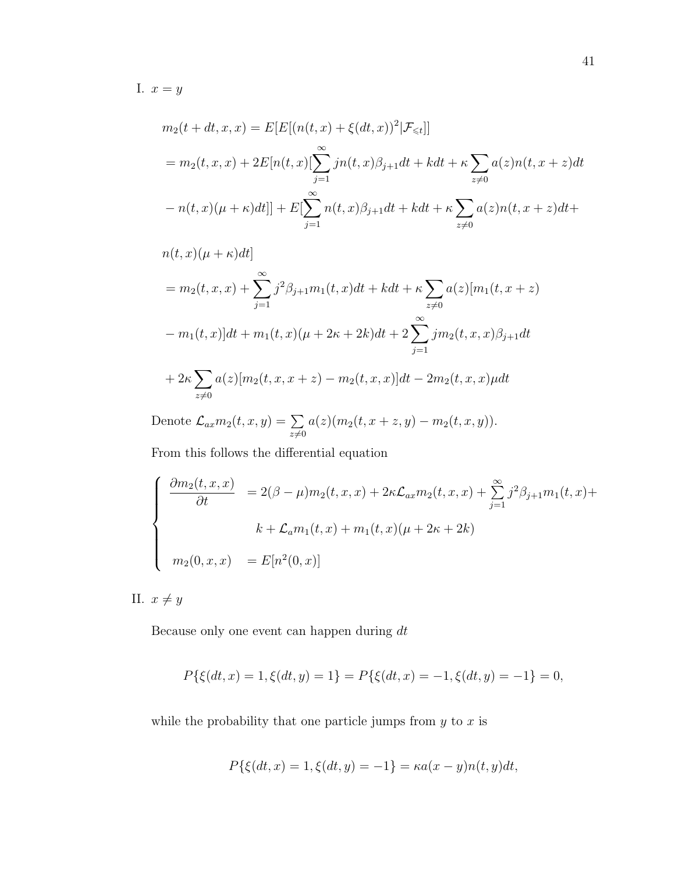I.  $x = y$ 

$$
m_2(t + dt, x, x) = E[E[(n(t, x) + \xi(dt, x))^2 | \mathcal{F}_{\leq t}]]
$$
  
=  $m_2(t, x, x) + 2E[n(t, x)[\sum_{j=1}^{\infty} jn(t, x)\beta_{j+1}dt + kdt + \kappa \sum_{z \neq 0} a(z)n(t, x+z)dt$   
 $- n(t, x)(\mu + \kappa)dt]] + E[\sum_{j=1}^{\infty} n(t, x)\beta_{j+1}dt + kdt + \kappa \sum_{z \neq 0} a(z)n(t, x+z)dt +$ 

$$
n(t, x)(\mu + \kappa)dt
$$
  
=  $m_2(t, x, x) + \sum_{j=1}^{\infty} j^2 \beta_{j+1} m_1(t, x) dt + k dt + \kappa \sum_{z \neq 0} a(z) [m_1(t, x + z)$   
 $- m_1(t, x)]dt + m_1(t, x)(\mu + 2\kappa + 2k)dt + 2 \sum_{j=1}^{\infty} j m_2(t, x, x) \beta_{j+1} dt$   
 $+ 2\kappa \sum_{z \neq 0} a(z) [m_2(t, x, x + z) - m_2(t, x, x)]dt - 2m_2(t, x, x)\mu dt$ 

Denote  $\mathcal{L}_{ax}m_2(t,x,y)=\sum$  $z\neq0$  $a(z)(m_2(t, x + z, y) - m_2(t, x, y)).$ 

From this follows the differential equation

$$
\begin{cases}\n\frac{\partial m_2(t, x, x)}{\partial t} = 2(\beta - \mu) m_2(t, x, x) + 2\kappa \mathcal{L}_{ax} m_2(t, x, x) + \sum_{j=1}^{\infty} j^2 \beta_{j+1} m_1(t, x) + \\
k + \mathcal{L}_a m_1(t, x) + m_1(t, x)(\mu + 2\kappa + 2k) \\
m_2(0, x, x) = E[n^2(0, x)]\n\end{cases}
$$

II.  $x \neq y$ 

Because only one event can happen during dt

$$
P\{\xi(dt,x)=1,\xi(dt,y)=1\}=P\{\xi(dt,x)=-1,\xi(dt,y)=-1\}=0,
$$

while the probability that one particle jumps from  $y$  to  $x$  is

$$
P\{\xi(dt, x) = 1, \xi(dt, y) = -1\} = \kappa a(x - y)n(t, y)dt,
$$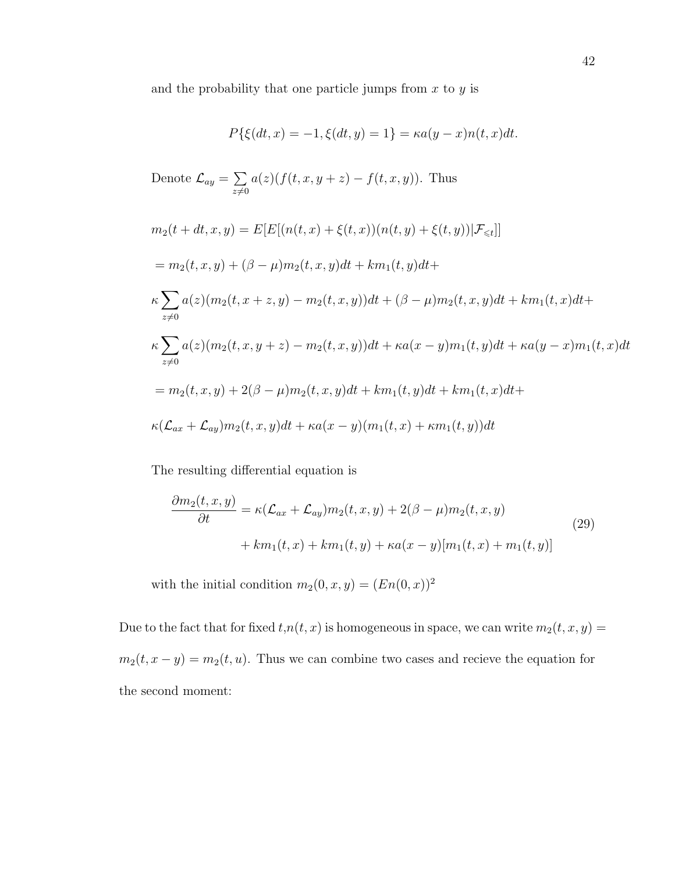and the probability that one particle jumps from  $x$  to  $y$  is

$$
P\{\xi(dt, x) = -1, \xi(dt, y) = 1\} = \kappa a(y - x)n(t, x)dt.
$$

Denote 
$$
\mathcal{L}_{ay} = \sum_{z \neq 0} a(z) (f(t, x, y + z) - f(t, x, y))
$$
. Thus

$$
m_2(t + dt, x, y) = E[E[(n(t, x) + \xi(t, x))(n(t, y) + \xi(t, y))|\mathcal{F}_{\leq t}]]
$$
  
\n
$$
= m_2(t, x, y) + (\beta - \mu)m_2(t, x, y)dt + km_1(t, y)dt +
$$
  
\n
$$
\kappa \sum_{z \neq 0} a(z)(m_2(t, x + z, y) - m_2(t, x, y))dt + (\beta - \mu)m_2(t, x, y)dt + km_1(t, x)dt +
$$
  
\n
$$
\kappa \sum_{z \neq 0} a(z)(m_2(t, x, y + z) - m_2(t, x, y))dt + \kappa a(x - y)m_1(t, y)dt + \kappa a(y - x)m_1(t, x)dt
$$
  
\n
$$
= m_2(t, x, y) + 2(\beta - \mu)m_2(t, x, y)dt + km_1(t, y)dt + km_1(t, x)dt +
$$
  
\n
$$
\kappa(\mathcal{L}_{ax} + \mathcal{L}_{ay})m_2(t, x, y)dt + \kappa a(x - y)(m_1(t, x) + \kappa m_1(t, y))dt
$$

The resulting differential equation is

$$
\frac{\partial m_2(t, x, y)}{\partial t} = \kappa (\mathcal{L}_{ax} + \mathcal{L}_{ay}) m_2(t, x, y) + 2(\beta - \mu) m_2(t, x, y)
$$
  
+ 
$$
km_1(t, x) + km_1(t, y) + \kappa a(x - y) [m_1(t, x) + m_1(t, y)]
$$
 (29)

with the initial condition  $m_2(0, x, y) = (En(0, x))^2$ 

Due to the fact that for fixed  $t, n(t, x)$  is homogeneous in space, we can write  $m_2(t, x, y) =$  $m_2(t, x - y) = m_2(t, u)$ . Thus we can combine two cases and recieve the equation for the second moment: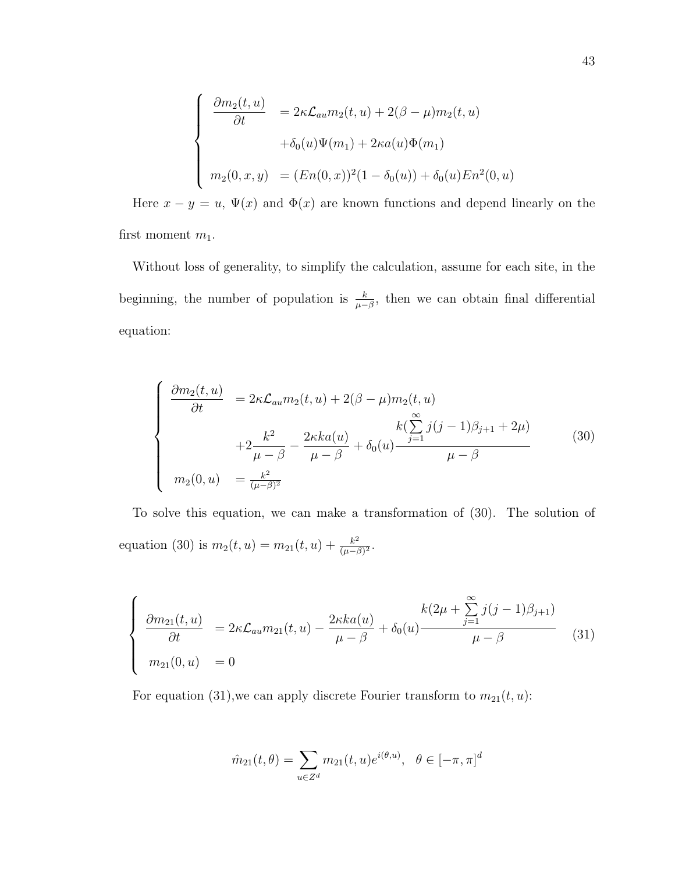$$
\begin{cases}\n\frac{\partial m_2(t, u)}{\partial t} = 2\kappa \mathcal{L}_{au} m_2(t, u) + 2(\beta - \mu) m_2(t, u) \\
+ \delta_0(u)\Psi(m_1) + 2\kappa a(u)\Phi(m_1) \\
m_2(0, x, y) = (En(0, x))^2 (1 - \delta_0(u)) + \delta_0(u) En^2(0, u)\n\end{cases}
$$

Here  $x - y = u$ ,  $\Psi(x)$  and  $\Phi(x)$  are known functions and depend linearly on the first moment  $m_1$ .

Without loss of generality, to simplify the calculation, assume for each site, in the beginning, the number of population is  $\frac{k}{\mu-\beta}$ , then we can obtain final differential equation:

$$
\begin{cases}\n\frac{\partial m_2(t, u)}{\partial t} = 2\kappa \mathcal{L}_{au} m_2(t, u) + 2(\beta - \mu) m_2(t, u) \\
+ 2\frac{k^2}{\mu - \beta} - \frac{2\kappa ka(u)}{\mu - \beta} + \delta_0(u) \frac{k(\sum_{j=1}^{\infty} j(j-1)\beta_{j+1} + 2\mu)}{\mu - \beta} \\
m_2(0, u) = \frac{k^2}{(\mu - \beta)^2}\n\end{cases} (30)
$$

To solve this equation, we can make a transformation of (30). The solution of equation (30) is  $m_2(t, u) = m_{21}(t, u) + \frac{k^2}{(u - t)}$  $\frac{k^2}{(\mu-\beta)^2}$ .

$$
\begin{cases}\n\frac{\partial m_{21}(t,u)}{\partial t} = 2\kappa \mathcal{L}_{au} m_{21}(t,u) - \frac{2\kappa ka(u)}{\mu - \beta} + \delta_0(u) \frac{k(2\mu + \sum_{j=1}^{\infty} j(j-1)\beta_{j+1})}{\mu - \beta} \\
m_{21}(0,u) = 0\n\end{cases}
$$
\n(31)

For equation (31), we can apply discrete Fourier transform to  $m_{21}(t, u)$ :

$$
\hat{m}_{21}(t,\theta) = \sum_{u \in \mathbb{Z}^d} m_{21}(t,u)e^{i(\theta,u)}, \ \ \theta \in [-\pi, \pi]^d
$$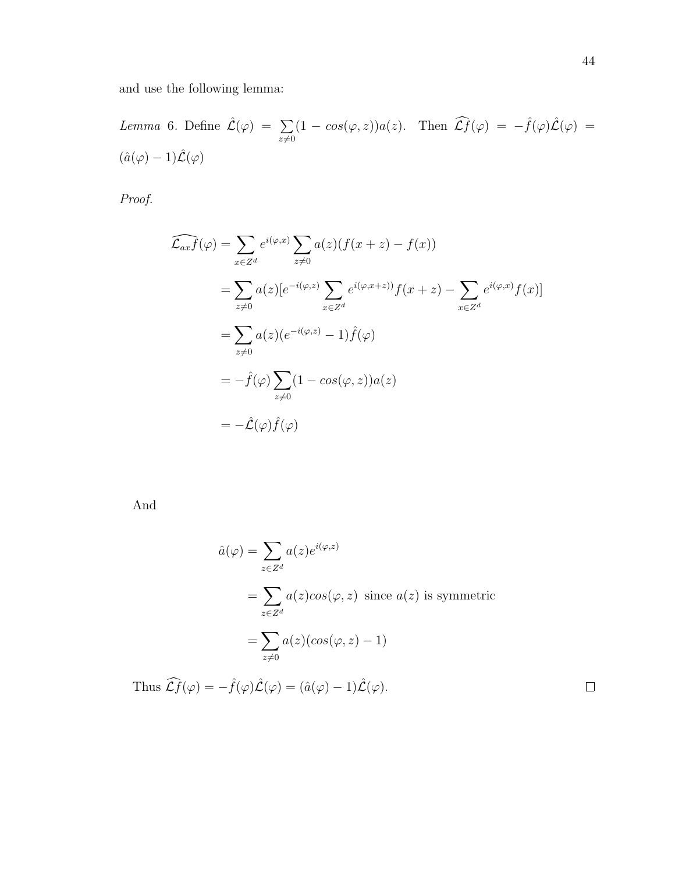and use the following lemma:

Lemma 6. Define 
$$
\hat{\mathcal{L}}(\varphi) = \sum_{z \neq 0} (1 - \cos(\varphi, z)) a(z)
$$
. Then  $\widehat{\mathcal{L}}f(\varphi) = -\hat{f}(\varphi) \hat{\mathcal{L}}(\varphi) = (\hat{a}(\varphi) - 1) \hat{\mathcal{L}}(\varphi)$ 

Proof.

$$
\widehat{\mathcal{L}_{ax}f}(\varphi) = \sum_{x \in Z^d} e^{i(\varphi, x)} \sum_{z \neq 0} a(z) (f(x + z) - f(x))
$$
  
\n
$$
= \sum_{z \neq 0} a(z) [e^{-i(\varphi, z)} \sum_{x \in Z^d} e^{i(\varphi, x+z)} f(x + z) - \sum_{x \in Z^d} e^{i(\varphi, x)} f(x)]
$$
  
\n
$$
= \sum_{z \neq 0} a(z) (e^{-i(\varphi, z)} - 1) \widehat{f}(\varphi)
$$
  
\n
$$
= -\widehat{f}(\varphi) \sum_{z \neq 0} (1 - \cos(\varphi, z)) a(z)
$$
  
\n
$$
= -\widehat{\mathcal{L}}(\varphi) \widehat{f}(\varphi)
$$

And

$$
\hat{a}(\varphi) = \sum_{z \in Z^d} a(z)e^{i(\varphi, z)}
$$
  
= 
$$
\sum_{z \in Z^d} a(z)cos(\varphi, z) \text{ since } a(z) \text{ is symmetric}
$$
  
= 
$$
\sum_{z \neq 0} a(z)(cos(\varphi, z) - 1)
$$
  
Thus 
$$
\widehat{C}f(\varphi) = -\hat{f}(\varphi)\hat{\mathcal{L}}(\varphi) = (\hat{a}(\varphi) - 1)\hat{\mathcal{L}}(\varphi).
$$

 $\Box$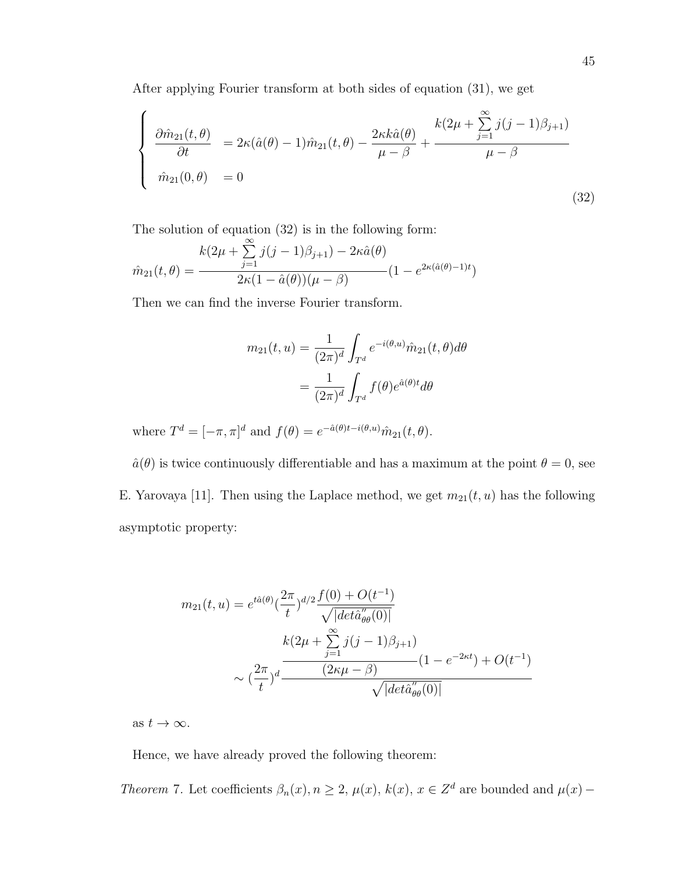After applying Fourier transform at both sides of equation (31), we get

$$
\begin{cases}\n\frac{\partial \hat{m}_{21}(t,\theta)}{\partial t} = 2\kappa(\hat{a}(\theta) - 1)\hat{m}_{21}(t,\theta) - \frac{2\kappa k\hat{a}(\theta)}{\mu - \beta} + \frac{k(2\mu + \sum_{j=1}^{\infty} j(j-1)\beta_{j+1})}{\mu - \beta} \\
\hat{m}_{21}(0,\theta) = 0\n\end{cases}
$$
\n(32)

The solution of equation (32) is in the following form:

$$
\hat{m}_{21}(t,\theta) = \frac{k(2\mu + \sum_{j=1}^{\infty} j(j-1)\beta_{j+1}) - 2\kappa \hat{a}(\theta)}{2\kappa(1 - \hat{a}(\theta))(\mu - \beta)} (1 - e^{2\kappa(\hat{a}(\theta) - 1)t})
$$

Then we can find the inverse Fourier transform.

$$
m_{21}(t, u) = \frac{1}{(2\pi)^d} \int_{T^d} e^{-i(\theta, u)} \hat{m}_{21}(t, \theta) d\theta
$$

$$
= \frac{1}{(2\pi)^d} \int_{T^d} f(\theta) e^{\hat{a}(\theta)t} d\theta
$$

where  $T^d = [-\pi, \pi]^d$  and  $f(\theta) = e^{-\hat{a}(\theta)t - i(\theta, u)} \hat{m}_{21}(t, \theta)$ .

 $\hat{a}(\theta)$  is twice continuously differentiable and has a maximum at the point  $\theta = 0$ , see E. Yarovaya [11]. Then using the Laplace method, we get  $m_{21}(t, u)$  has the following asymptotic property:

$$
m_{21}(t, u) = e^{t\hat{a}(\theta)} \left(\frac{2\pi}{t}\right)^{d/2} \frac{f(0) + O(t^{-1})}{\sqrt{|det\hat{a}_{\theta\theta}''(0)|}}
$$

$$
k(2\mu + \sum_{j=1}^{\infty} j(j-1)\beta_{j+1})
$$

$$
\sim \left(\frac{2\pi}{t}\right)^d \frac{(2\kappa\mu - \beta)}{\sqrt{|det\hat{a}_{\theta\theta}''(0)|}}
$$

as  $t \to \infty$ .

Hence, we have already proved the following theorem:

Theorem 7. Let coefficients  $\beta_n(x), n \geq 2$ ,  $\mu(x), k(x), x \in \mathbb{Z}^d$  are bounded and  $\mu(x)$  –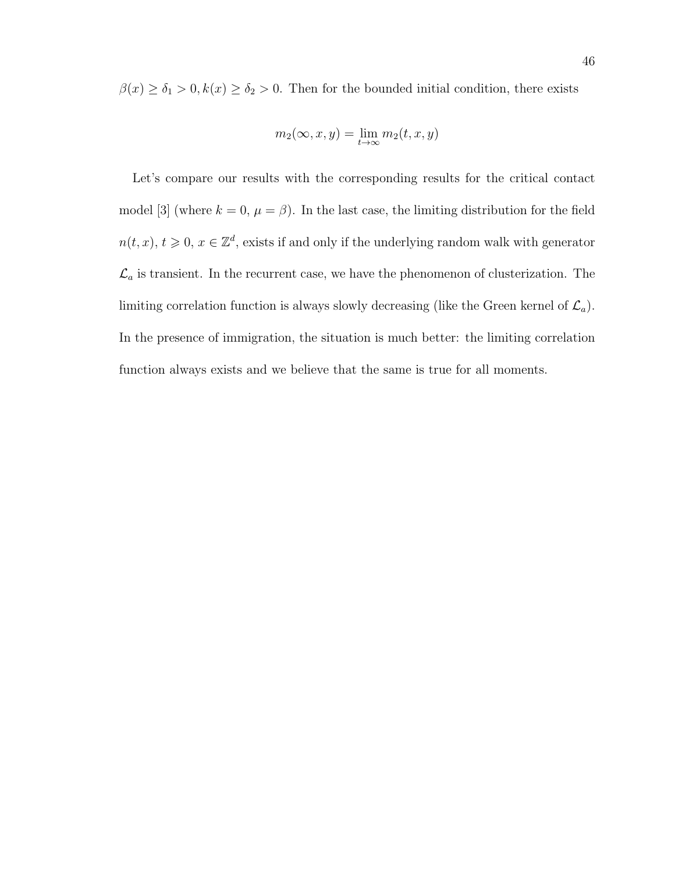$\beta(x) \ge \delta_1 > 0, k(x) \ge \delta_2 > 0$ . Then for the bounded initial condition, there exists

$$
m_2(\infty, x, y) = \lim_{t \to \infty} m_2(t, x, y)
$$

Let's compare our results with the corresponding results for the critical contact model [3] (where  $k = 0$ ,  $\mu = \beta$ ). In the last case, the limiting distribution for the field  $n(t, x), t \geq 0, x \in \mathbb{Z}^d$ , exists if and only if the underlying random walk with generator  $\mathcal{L}_a$  is transient. In the recurrent case, we have the phenomenon of clusterization. The limiting correlation function is always slowly decreasing (like the Green kernel of  $\mathcal{L}_a$ ). In the presence of immigration, the situation is much better: the limiting correlation function always exists and we believe that the same is true for all moments.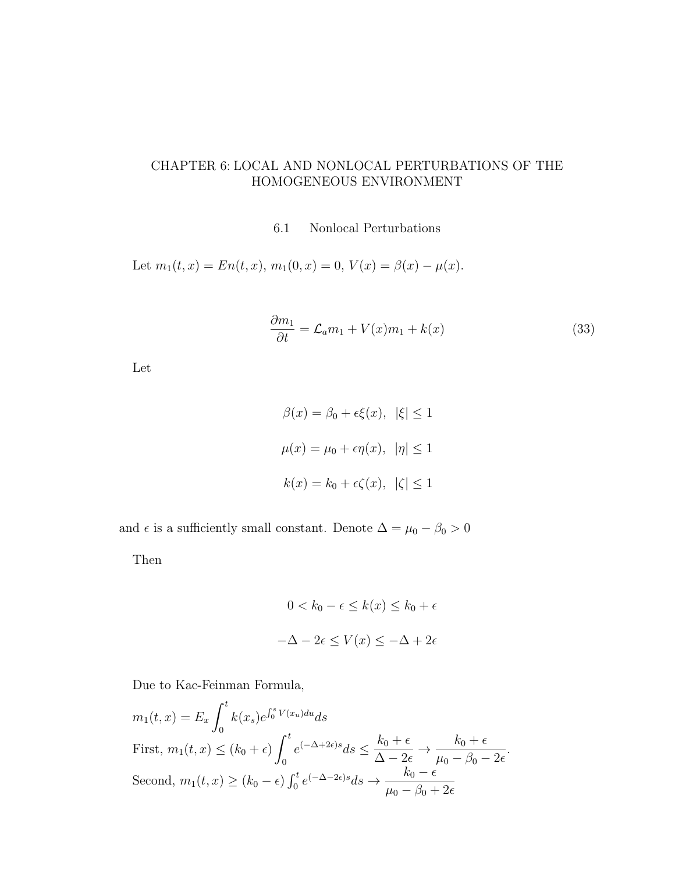# CHAPTER 6: LOCAL AND NONLOCAL PERTURBATIONS OF THE HOMOGENEOUS ENVIRONMENT

### 6.1 Nonlocal Perturbations

Let  $m_1(t, x) = En(t, x), m_1(0, x) = 0, V(x) = \beta(x) - \mu(x)$ .

$$
\frac{\partial m_1}{\partial t} = \mathcal{L}_a m_1 + V(x) m_1 + k(x) \tag{33}
$$

Let

$$
\beta(x) = \beta_0 + \epsilon \xi(x), \quad |\xi| \le 1
$$
  

$$
\mu(x) = \mu_0 + \epsilon \eta(x), \quad |\eta| \le 1
$$
  

$$
k(x) = k_0 + \epsilon \zeta(x), \quad |\zeta| \le 1
$$

and  $\epsilon$  is a sufficiently small constant. Denote  $\Delta = \mu_0 - \beta_0 > 0$ 

Then

$$
0 < k_0 - \epsilon \le k(x) \le k_0 + \epsilon
$$
\n
$$
-\Delta - 2\epsilon \le V(x) \le -\Delta + 2\epsilon
$$

Due to Kac-Feinman Formula,

$$
m_1(t, x) = E_x \int_0^t k(x_s) e^{\int_0^s V(x_u) du} ds
$$
  
First,  $m_1(t, x) \le (k_0 + \epsilon) \int_0^t e^{(-\Delta + 2\epsilon)s} ds \le \frac{k_0 + \epsilon}{\Delta - 2\epsilon} \to \frac{k_0 + \epsilon}{\mu_0 - \beta_0 - 2\epsilon}.$   
Second,  $m_1(t, x) \ge (k_0 - \epsilon) \int_0^t e^{(-\Delta - 2\epsilon)s} ds \to \frac{k_0 - \epsilon}{\mu_0 - \beta_0 + 2\epsilon}$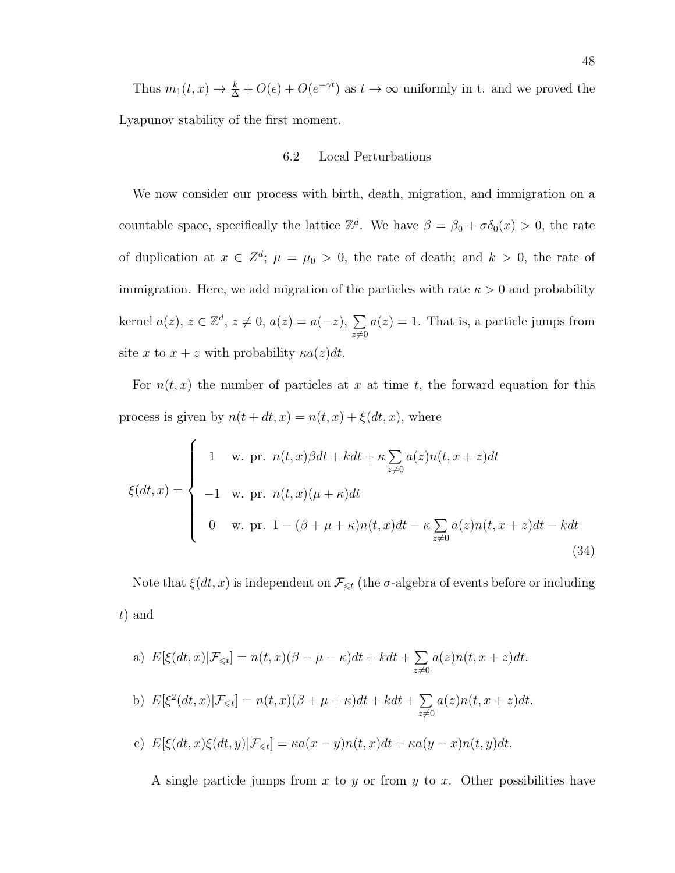Thus  $m_1(t, x) \to \frac{k}{\Delta} + O(\epsilon) + O(e^{-\gamma t})$  as  $t \to \infty$  uniformly in t. and we proved the Lyapunov stability of the first moment.

## 6.2 Local Perturbations

We now consider our process with birth, death, migration, and immigration on a countable space, specifically the lattice  $\mathbb{Z}^d$ . We have  $\beta = \beta_0 + \sigma \delta_0(x) > 0$ , the rate of duplication at  $x \in \mathbb{Z}^d$ ;  $\mu = \mu_0 > 0$ , the rate of death; and  $k > 0$ , the rate of immigration. Here, we add migration of the particles with rate  $\kappa > 0$  and probability kernel  $a(z)$ ,  $z \in \mathbb{Z}^d$ ,  $z \neq 0$ ,  $a(z) = a(-z)$ ,  $\sum$  $z\neq0$  $a(z) = 1$ . That is, a particle jumps from site x to  $x + z$  with probability  $\kappa a(z)dt$ .

For  $n(t, x)$  the number of particles at x at time t, the forward equation for this process is given by  $n(t + dt, x) = n(t, x) + \xi(dt, x)$ , where

$$
\xi(dt,x) = \begin{cases}\n1 & \text{w. pr. } n(t,x)\beta dt + kdt + \kappa \sum_{z\neq 0} a(z)n(t,x+z)dt \\
-1 & \text{w. pr. } n(t,x)(\mu + \kappa)dt \\
0 & \text{w. pr. } 1 - (\beta + \mu + \kappa)n(t,x)dt - \kappa \sum_{z\neq 0} a(z)n(t,x+z)dt - kdt \\
(34)\n\end{cases}
$$

Note that  $\xi(dt, x)$  is independent on  $\mathcal{F}_{\leq t}$  (the  $\sigma$ -algebra of events before or including t) and

a) 
$$
E[\xi(dt, x)|\mathcal{F}_{\leq t}] = n(t, x)(\beta - \mu - \kappa)dt + kdt + \sum_{z \neq 0} a(z)n(t, x + z)dt.
$$
  
\nb)  $E[\xi^2(dt, x)|\mathcal{F}_{\leq t}] = n(t, x)(\beta + \mu + \kappa)dt + kdt + \sum_{z \neq 0} a(z)n(t, x + z)dt.$   
\nc)  $E[\xi(dt, x)\xi(dt, y)|\mathcal{F}_{\leq t}] = \kappa a(x - y)n(t, x)dt + \kappa a(y - x)n(t, y)dt.$ 

A single particle jumps from  $x$  to  $y$  or from  $y$  to  $x$ . Other possibilities have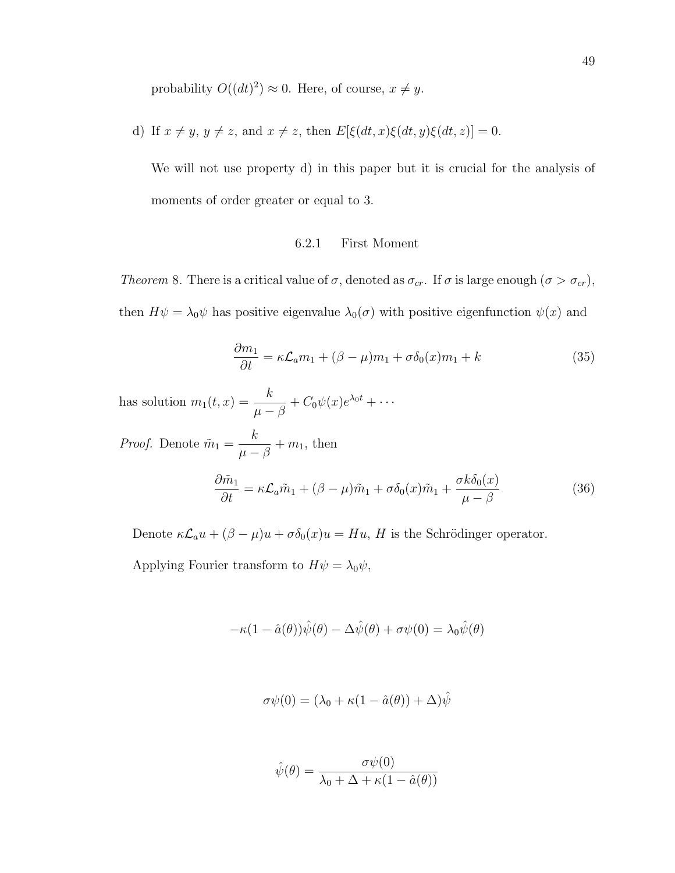probability  $O((dt)^2) \approx 0$ . Here, of course,  $x \neq y$ .

d) If  $x \neq y$ ,  $y \neq z$ , and  $x \neq z$ , then  $E[\xi(dt, x)\xi(dt, y)\xi(dt, z)] = 0$ .

We will not use property d) in this paper but it is crucial for the analysis of moments of order greater or equal to 3.

## 6.2.1 First Moment

Theorem 8. There is a critical value of  $\sigma$ , denoted as  $\sigma_{cr}$ . If  $\sigma$  is large enough  $(\sigma > \sigma_{cr})$ , then  $H\psi = \lambda_0 \psi$  has positive eigenvalue  $\lambda_0(\sigma)$  with positive eigenfunction  $\psi(x)$  and

$$
\frac{\partial m_1}{\partial t} = \kappa \mathcal{L}_a m_1 + (\beta - \mu) m_1 + \sigma \delta_0(x) m_1 + k \tag{35}
$$

has solution  $m_1(t,x) = \frac{k}{\mu - \beta} + C_0 \psi(x) e^{\lambda_0 t} + \cdots$ 

*Proof.* Denote  $\tilde{m}_1 =$ k  $\frac{n}{\mu - \beta} + m_1$ , then

$$
\frac{\partial \tilde{m}_1}{\partial t} = \kappa \mathcal{L}_a \tilde{m}_1 + (\beta - \mu) \tilde{m}_1 + \sigma \delta_0(x) \tilde{m}_1 + \frac{\sigma k \delta_0(x)}{\mu - \beta} \tag{36}
$$

Denote  $\kappa \mathcal{L}_a u + (\beta - \mu)u + \sigma \delta_0(x)u = Hu$ , H is the Schrödinger operator.

Applying Fourier transform to  $H\psi = \lambda_0 \psi$ ,

$$
-\kappa(1 - \hat{a}(\theta))\hat{\psi}(\theta) - \Delta \hat{\psi}(\theta) + \sigma \psi(0) = \lambda_0 \hat{\psi}(\theta)
$$

$$
\sigma\psi(0) = (\lambda_0 + \kappa(1 - \hat{a}(\theta)) + \Delta)\hat{\psi}
$$

$$
\hat{\psi}(\theta) = \frac{\sigma \psi(0)}{\lambda_0 + \Delta + \kappa (1 - \hat{a}(\theta))}
$$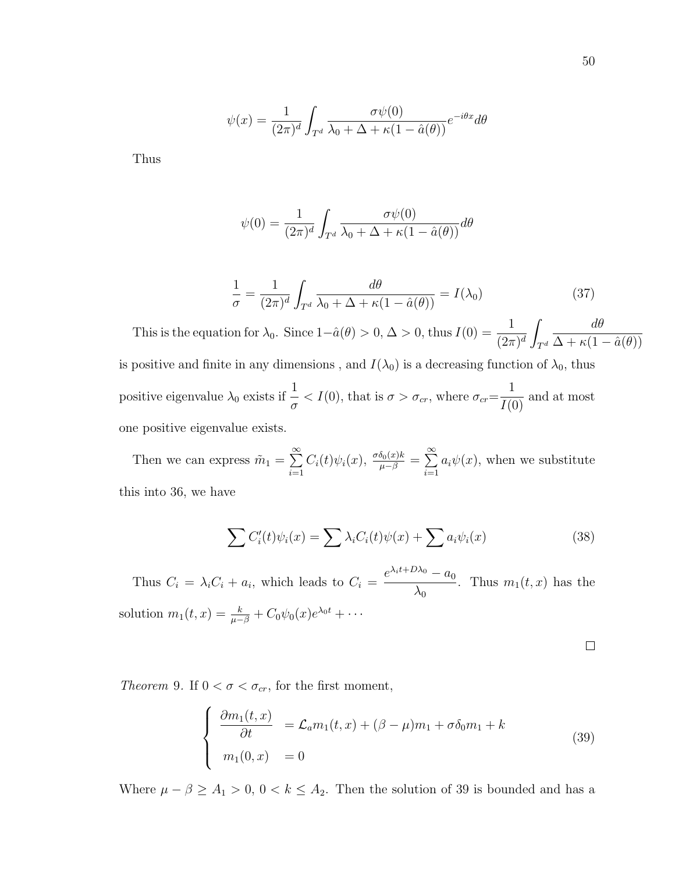$$
\psi(x) = \frac{1}{(2\pi)^d} \int_{T^d} \frac{\sigma \psi(0)}{\lambda_0 + \Delta + \kappa (1 - \hat{a}(\theta))} e^{-i\theta x} d\theta
$$

Thus

$$
\psi(0) = \frac{1}{(2\pi)^d} \int_{T^d} \frac{\sigma \psi(0)}{\lambda_0 + \Delta + \kappa (1 - \hat{a}(\theta))} d\theta
$$

$$
\frac{1}{\sigma} = \frac{1}{(2\pi)^d} \int_{T^d} \frac{d\theta}{\lambda_0 + \Delta + \kappa (1 - \hat{a}(\theta))} = I(\lambda_0)
$$
 (37)

This is the equation for  $\lambda_0$ . Since  $1-\hat{a}(\theta) > 0, \Delta > 0$ , thus  $I(0) = \frac{1}{(2\pi)^d}$ Z  $T^d$ dθ  $\Delta + \kappa(1 - \hat{a}(\theta))$ is positive and finite in any dimensions, and  $I(\lambda_0)$  is a decreasing function of  $\lambda_0$ , thus positive eigenvalue  $\lambda_0$  exists if  $\frac{1}{\sigma} < I(0)$ , that is  $\sigma > \sigma_{cr}$ , where  $\sigma_{cr} =$ 1  $\frac{1}{I(0)}$  and at most one positive eigenvalue exists.

Then we can express  $\tilde{m}_1 = \sum^{\infty}$  $i=1$  $C_i(t)\psi_i(x), \frac{\sigma\delta_0(x)k}{\mu-\beta} = \sum_{n=1}^{\infty}$  $i=1$  $a_i\psi(x)$ , when we substitute this into 36, we have

$$
\sum C_i'(t)\psi_i(x) = \sum \lambda_i C_i(t)\psi(x) + \sum a_i \psi_i(x) \tag{38}
$$

Thus  $C_i = \lambda_i C_i + a_i$ , which leads to  $C_i =$  $e^{\lambda_i t + D\lambda_0} - a_0$  $\lambda_0$ . Thus  $m_1(t, x)$  has the solution  $m_1(t, x) = \frac{k}{\mu - \beta} + C_0 \psi_0(x) e^{\lambda_0 t} + \cdots$ 

 $\Box$ 

Theorem 9. If  $0 < \sigma < \sigma_{cr}$ , for the first moment,

$$
\begin{cases}\n\frac{\partial m_1(t,x)}{\partial t} = \mathcal{L}_a m_1(t,x) + (\beta - \mu)m_1 + \sigma \delta_0 m_1 + k \\
m_1(0,x) = 0\n\end{cases}
$$
\n(39)

Where  $\mu - \beta \ge A_1 > 0$ ,  $0 < k \le A_2$ . Then the solution of 39 is bounded and has a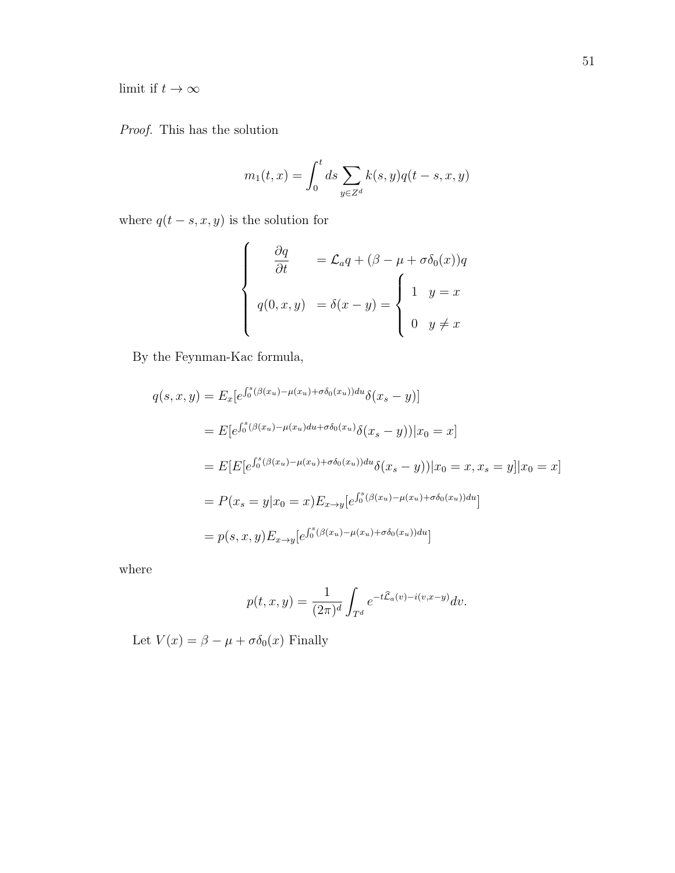limit if  $t\to\infty$ 

Proof. This has the solution

$$
m_1(t, x) = \int_0^t ds \sum_{y \in Z^d} k(s, y) q(t - s, x, y)
$$

where  $q(t - s, x, y)$  is the solution for

$$
\begin{cases}\n\frac{\partial q}{\partial t} = \mathcal{L}_a q + (\beta - \mu + \sigma \delta_0(x)) q \\
q(0, x, y) = \delta(x - y) = \begin{cases}\n1 & y = x \\
0 & y \neq x\n\end{cases}\n\end{cases}
$$

By the Feynman-Kac formula,

$$
q(s, x, y) = E_x[e^{\int_0^s (\beta(x_u) - \mu(x_u) + \sigma \delta_0(x_u))du} \delta(x_s - y)]
$$
  
\n
$$
= E[e^{\int_0^s (\beta(x_u) - \mu(x_u)du + \sigma \delta_0(x_u)} \delta(x_s - y)) | x_0 = x]
$$
  
\n
$$
= E[E[e^{\int_0^s (\beta(x_u) - \mu(x_u) + \sigma \delta_0(x_u))du} \delta(x_s - y)] | x_0 = x, x_s = y] | x_0 = x]
$$
  
\n
$$
= P(x_s = y | x_0 = x) E_{x \to y} [e^{\int_0^s (\beta(x_u) - \mu(x_u) + \sigma \delta_0(x_u))du}]
$$
  
\n
$$
= p(s, x, y) E_{x \to y} [e^{\int_0^s (\beta(x_u) - \mu(x_u) + \sigma \delta_0(x_u))du}]
$$

where

$$
p(t,x,y) = \frac{1}{(2\pi)^d} \int_{T^d} e^{-t\widehat{\mathcal{L}}_a(v) - i(v,x-y)} dv.
$$

Let  $V(x) = \beta - \mu + \sigma \delta_0(x)$  Finally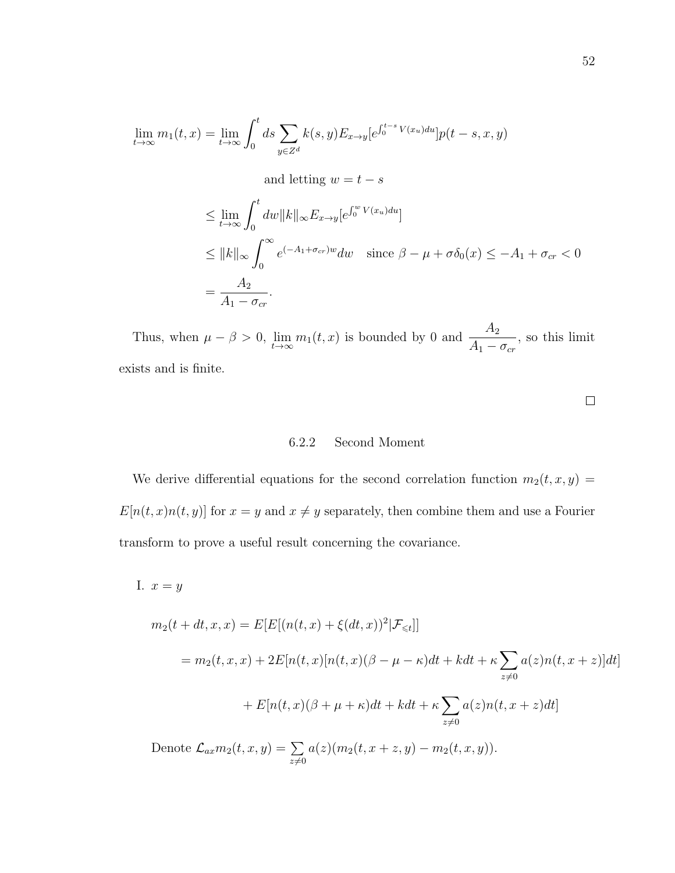$$
\lim_{t \to \infty} m_1(t, x) = \lim_{t \to \infty} \int_0^t ds \sum_{y \in Z^d} k(s, y) E_{x \to y} [e^{\int_0^{t-s} V(x_u) du}] p(t - s, x, y)
$$

and letting  $w = t - s$ 

$$
\leq \lim_{t \to \infty} \int_0^t dw \|k\|_{\infty} E_{x \to y} [e^{\int_0^w V(x_u) du}]
$$
  
\n
$$
\leq \|k\|_{\infty} \int_0^{\infty} e^{(-A_1 + \sigma_{cr})w} dw \quad \text{since } \beta - \mu + \sigma \delta_0(x) \leq -A_1 + \sigma_{cr} < 0
$$
  
\n
$$
= \frac{A_2}{A_1 - \sigma_{cr}}.
$$

Thus, when  $\mu - \beta > 0$ ,  $\lim_{t \to \infty} m_1(t, x)$  is bounded by 0 and  $\frac{A_2}{A_1 - \beta}$  $A_1 - \sigma_{cr}$ , so this limit exists and is finite.

 $\Box$ 

### 6.2.2 Second Moment

We derive differential equations for the second correlation function  $m_2(t, x, y) =$  $E[n(t, x)n(t, y)]$  for  $x = y$  and  $x \neq y$  separately, then combine them and use a Fourier transform to prove a useful result concerning the covariance.

I.  $x = y$ 

$$
m_2(t + dt, x, x) = E[E[(n(t, x) + \xi(dt, x))^2 | \mathcal{F}_{\leq t}]]
$$
  
\n
$$
= m_2(t, x, x) + 2E[n(t, x)[n(t, x)(\beta - \mu - \kappa)dt + kdt + \kappa \sum_{z \neq 0} a(z)n(t, x + z)]dt]
$$
  
\n
$$
+ E[n(t, x)(\beta + \mu + \kappa)dt + kdt + \kappa \sum_{z \neq 0} a(z)n(t, x + z)dt]
$$
  
\nDenote  $\mathcal{L}_{ax}m_2(t, x, y) = \sum_{z \neq 0} a(z)(m_2(t, x + z, y) - m_2(t, x, y)).$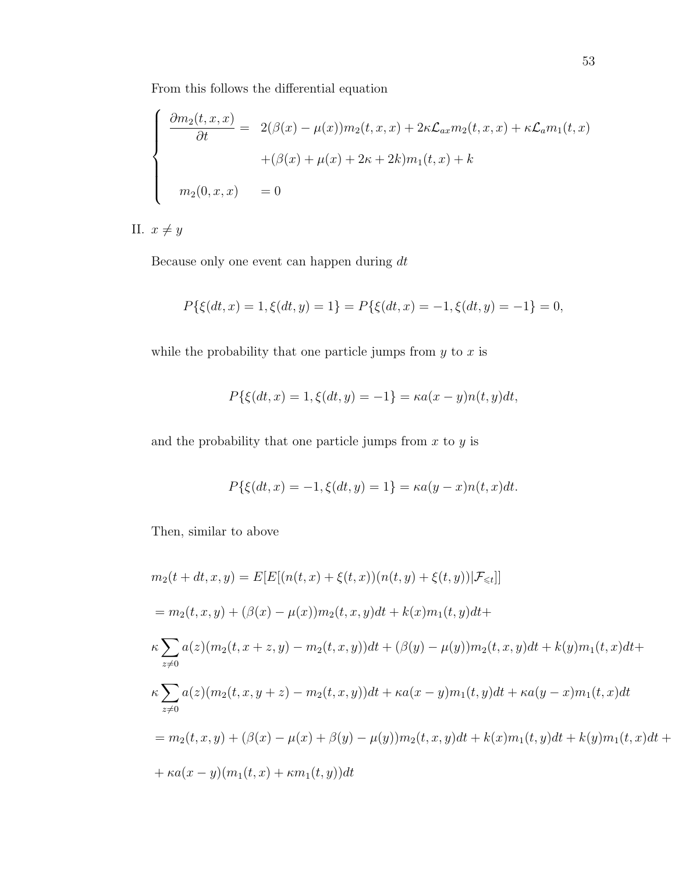From this follows the differential equation

$$
\begin{cases}\n\frac{\partial m_2(t, x, x)}{\partial t} = 2(\beta(x) - \mu(x))m_2(t, x, x) + 2\kappa \mathcal{L}_{ax}m_2(t, x, x) + \kappa \mathcal{L}_a m_1(t, x) \\
+ (\beta(x) + \mu(x) + 2\kappa + 2k)m_1(t, x) + k \\
m_2(0, x, x) = 0\n\end{cases}
$$

II.  $x \neq y$ 

Because only one event can happen during dt

$$
P\{\xi(dt,x)=1,\xi(dt,y)=1\}=P\{\xi(dt,x)=-1,\xi(dt,y)=-1\}=0,
$$

while the probability that one particle jumps from  $y$  to  $x$  is

$$
P\{\xi(dt, x) = 1, \xi(dt, y) = -1\} = \kappa a(x - y)n(t, y)dt,
$$

and the probability that one particle jumps from  $x$  to  $y$  is

$$
P\{\xi(dt, x) = -1, \xi(dt, y) = 1\} = \kappa a(y - x)n(t, x)dt.
$$

Then, similar to above

$$
m_2(t + dt, x, y) = E[E[(n(t, x) + \xi(t, x))(n(t, y) + \xi(t, y))|\mathcal{F}_{\leq t}]]
$$
  
\n
$$
= m_2(t, x, y) + (\beta(x) - \mu(x))m_2(t, x, y)dt + k(x)m_1(t, y)dt +
$$
  
\n
$$
\kappa \sum_{z \neq 0} a(z)(m_2(t, x + z, y) - m_2(t, x, y))dt + (\beta(y) - \mu(y))m_2(t, x, y)dt + k(y)m_1(t, x)dt +
$$
  
\n
$$
\kappa \sum_{z \neq 0} a(z)(m_2(t, x, y + z) - m_2(t, x, y))dt + \kappa a(x - y)m_1(t, y)dt + \kappa a(y - x)m_1(t, x)dt
$$
  
\n
$$
= m_2(t, x, y) + (\beta(x) - \mu(x) + \beta(y) - \mu(y))m_2(t, x, y)dt + k(x)m_1(t, y)dt + k(y)m_1(t, x)dt +
$$
  
\n
$$
+ \kappa a(x - y)(m_1(t, x) + \kappa m_1(t, y))dt
$$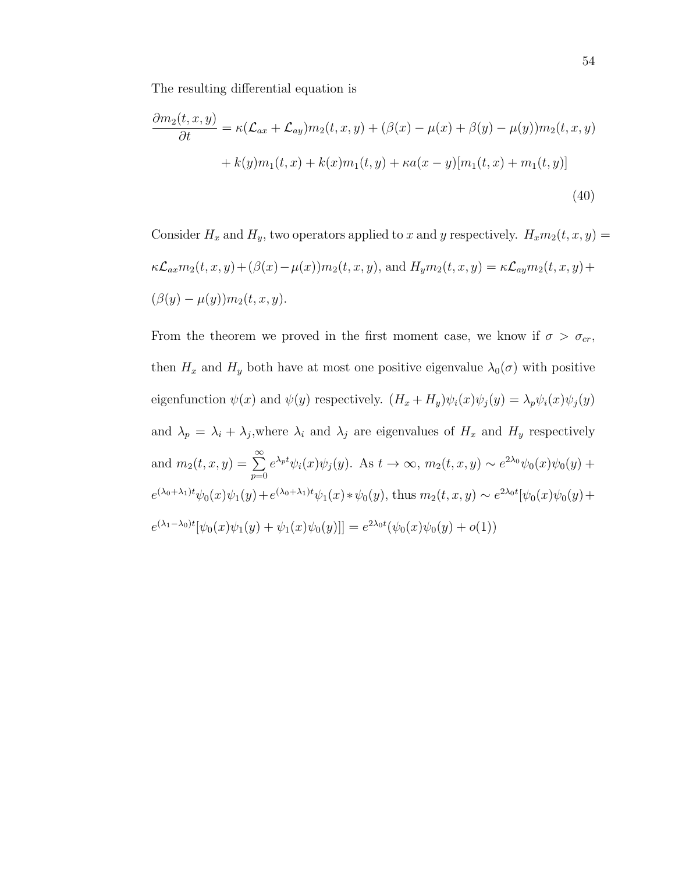The resulting differential equation is

$$
\frac{\partial m_2(t, x, y)}{\partial t} = \kappa (\mathcal{L}_{ax} + \mathcal{L}_{ay}) m_2(t, x, y) + (\beta(x) - \mu(x) + \beta(y) - \mu(y)) m_2(t, x, y)
$$

$$
+ k(y) m_1(t, x) + k(x) m_1(t, y) + \kappa a(x - y) [m_1(t, x) + m_1(t, y)]
$$
(40)

Consider  $H_x$  and  $H_y$ , two operators applied to x and y respectively.  $H_xm_2(t, x, y) =$  $\kappa\mathcal{L}_{ax}m_2(t,x,y)+(\beta(x)-\mu(x))m_2(t,x,y),$  and  $H_ym_2(t,x,y)=\kappa\mathcal{L}_{ay}m_2(t,x,y)+\kappa\mathcal{L}_{ay}m_2(t,x,y)$  $(\beta(y) - \mu(y))m_2(t, x, y).$ 

From the theorem we proved in the first moment case, we know if  $\sigma > \sigma_{cr}$ , then  $H_x$  and  $H_y$  both have at most one positive eigenvalue  $\lambda_0(\sigma)$  with positive eigenfunction  $\psi(x)$  and  $\psi(y)$  respectively.  $(H_x + H_y)\psi_i(x)\psi_j(y) = \lambda_p\psi_i(x)\psi_j(y)$ and  $\lambda_p = \lambda_i + \lambda_j$ , where  $\lambda_i$  and  $\lambda_j$  are eigenvalues of  $H_x$  and  $H_y$  respectively and  $m_2(t, x, y) = \sum_{n=1}^{\infty}$  $p=0$  $e^{\lambda_p t}\psi_i(x)\psi_j(y)$ . As  $t \to \infty$ ,  $m_2(t, x, y) \sim e^{2\lambda_0}\psi_0(x)\psi_0(y)$  +  $e^{(\lambda_0 + \lambda_1)t}\psi_0(x)\psi_1(y) + e^{(\lambda_0 + \lambda_1)t}\psi_1(x) * \psi_0(y)$ , thus  $m_2(t, x, y) \sim e^{2\lambda_0 t}[\psi_0(x)\psi_0(y) +$  $e^{(\lambda_1-\lambda_0)t}[\psi_0(x)\psi_1(y) + \psi_1(x)\psi_0(y)] = e^{2\lambda_0 t}(\psi_0(x)\psi_0(y) + o(1))$